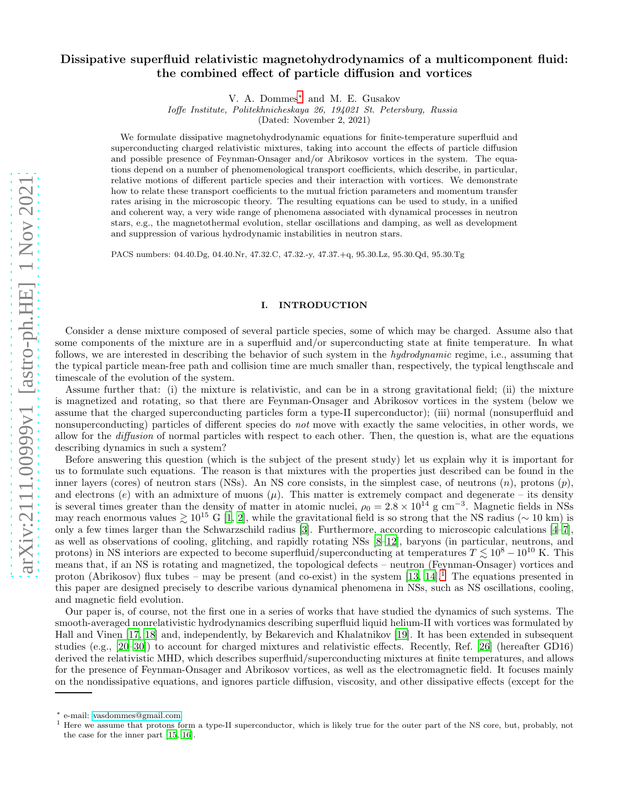# Dissipative superfluid relativistic magnetohydrodynamics of a multicomponent fluid: the combined effect of particle diffusion and vortices

V. A. Dommes[∗](#page-0-0) and M. E. Gusakov

Ioffe Institute, Politekhnicheskaya 26, 194021 St. Petersburg, Russia

(Dated: November 2, 2021)

We formulate dissipative magnetohydrodynamic equations for finite-temperature superfluid and superconducting charged relativistic mixtures, taking into account the effects of particle diffusion and possible presence of Feynman-Onsager and/or Abrikosov vortices in the system. The equations depend on a number of phenomenological transport coefficients, which describe, in particular, relative motions of different particle species and their interaction with vortices. We demonstrate how to relate these transport coefficients to the mutual friction parameters and momentum transfer rates arising in the microscopic theory. The resulting equations can be used to study, in a unified and coherent way, a very wide range of phenomena associated with dynamical processes in neutron stars, e.g., the magnetothermal evolution, stellar oscillations and damping, as well as development and suppression of various hydrodynamic instabilities in neutron stars.

PACS numbers: 04.40.Dg, 04.40.Nr, 47.32.C, 47.32.-y, 47.37.+q, 95.30.Lz, 95.30.Qd, 95.30.Tg

### I. INTRODUCTION

Consider a dense mixture composed of several particle species, some of which may be charged. Assume also that some components of the mixture are in a superfluid and/or superconducting state at finite temperature. In what follows, we are interested in describing the behavior of such system in the hydrodynamic regime, i.e., assuming that the typical particle mean-free path and collision time are much smaller than, respectively, the typical lengthscale and timescale of the evolution of the system.

Assume further that: (i) the mixture is relativistic, and can be in a strong gravitational field; (ii) the mixture is magnetized and rotating, so that there are Feynman-Onsager and Abrikosov vortices in the system (below we assume that the charged superconducting particles form a type-II superconductor); (iii) normal (nonsuperfluid and nonsuperconducting) particles of different species do *not* move with exactly the same velocities, in other words, we allow for the diffusion of normal particles with respect to each other. Then, the question is, what are the equations describing dynamics in such a system?

Before answering this question (which is the subject of the present study) let us explain why it is important for us to formulate such equations. The reason is that mixtures with the properties just described can be found in the inner layers (cores) of neutron stars (NSs). An NS core consists, in the simplest case, of neutrons  $(n)$ , protons  $(p)$ , and electrons (e) with an admixture of muons  $(\mu)$ . This matter is extremely compact and degenerate – its density is several times greater than the density of matter in atomic nuclei,  $\rho_0 = 2.8 \times 10^{14}$  g cm<sup>-3</sup>. Magnetic fields in NSs may reach enormous values  $\geq 10^{15}$  G [\[1](#page-26-0), [2](#page-26-1)], while the gravitational field is so strong that the NS radius ( $\sim 10$  km) is only a few times larger than the Schwarzschild radius [\[3\]](#page-26-2). Furthermore, according to microscopic calculations [\[4](#page-26-3)[–7\]](#page-26-4), as well as observations of cooling, glitching, and rapidly rotating NSs [\[8](#page-26-5)[–12\]](#page-27-0), baryons (in particular, neutrons, and protons) in NS interiors are expected to become superfluid/superconducting at temperatures  $T \lesssim 10^8 - 10^{10}$  K. This means that, if an NS is rotating and magnetized, the topological defects – neutron (Feynman-Onsager) vortices and proton (Abrikosov) flux tubes – may be present (and co-exist) in the system  $[13, 14]$  $[13, 14]$ .<sup>[1](#page-0-1)</sup> The equations presented in this paper are designed precisely to describe various dynamical phenomena in NSs, such as NS oscillations, cooling, and magnetic field evolution.

Our paper is, of course, not the first one in a series of works that have studied the dynamics of such systems. The smooth-averaged nonrelativistic hydrodynamics describing superfluid liquid helium-II with vortices was formulated by Hall and Vinen [\[17](#page-27-3), [18](#page-27-4)] and, independently, by Bekarevich and Khalatnikov [\[19\]](#page-27-5). It has been extended in subsequent studies (e.g., [\[20](#page-27-6)[–30](#page-27-7)]) to account for charged mixtures and relativistic effects. Recently, Ref. [\[26\]](#page-27-8) (hereafter GD16) derived the relativistic MHD, which describes superfluid/superconducting mixtures at finite temperatures, and allows for the presence of Feynman-Onsager and Abrikosov vortices, as well as the electromagnetic field. It focuses mainly on the nondissipative equations, and ignores particle diffusion, viscosity, and other dissipative effects (except for the

<span id="page-0-0"></span><sup>∗</sup> e-mail: [vasdommes@gmail.com](mailto:vasdommes@gmail.com)

<span id="page-0-1"></span><sup>&</sup>lt;sup>1</sup> Here we assume that protons form a type-II superconductor, which is likely true for the outer part of the NS core, but, probably, not the case for the inner part [\[15](#page-27-9), [16\]](#page-27-10).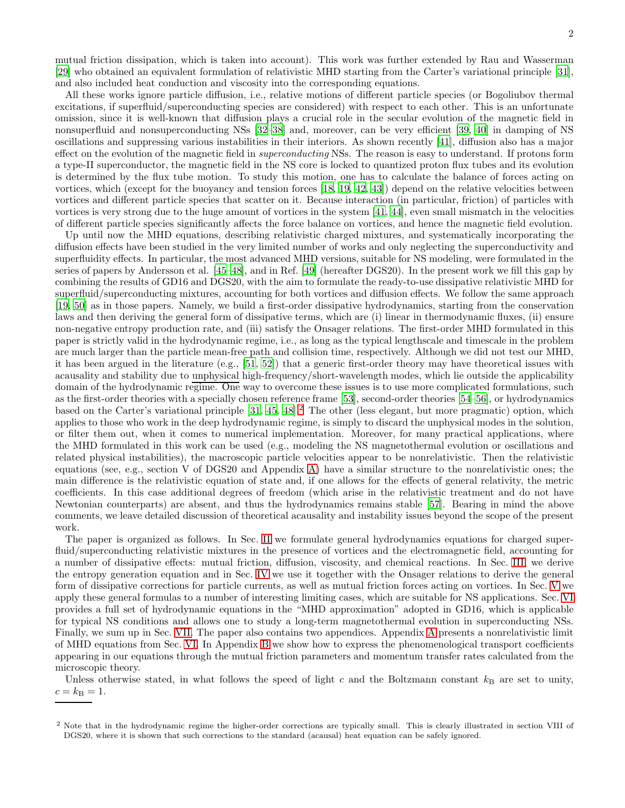mutual friction dissipation, which is taken into account). This work was further extended by Rau and Wasserman [\[29\]](#page-27-11) who obtained an equivalent formulation of relativistic MHD starting from the Carter's variational principle [\[31\]](#page-27-12), and also included heat conduction and viscosity into the corresponding equations.

All these works ignore particle diffusion, i.e., relative motions of different particle species (or Bogoliubov thermal excitations, if superfluid/superconducting species are considered) with respect to each other. This is an unfortunate omission, since it is well-known that diffusion plays a crucial role in the secular evolution of the magnetic field in nonsuperfluid and nonsuperconducting NSs [\[32](#page-27-13)[–38](#page-27-14)] and, moreover, can be very efficient [\[39,](#page-27-15) [40](#page-27-16)] in damping of NS oscillations and suppressing various instabilities in their interiors. As shown recently [\[41\]](#page-27-17), diffusion also has a major effect on the evolution of the magnetic field in *superconducting* NSs. The reason is easy to understand. If protons form a type-II superconductor, the magnetic field in the NS core is locked to quantized proton flux tubes and its evolution is determined by the flux tube motion. To study this motion, one has to calculate the balance of forces acting on vortices, which (except for the buoyancy and tension forces [\[18,](#page-27-4) [19](#page-27-5), [42](#page-27-18), [43](#page-27-19)]) depend on the relative velocities between vortices and different particle species that scatter on it. Because interaction (in particular, friction) of particles with vortices is very strong due to the huge amount of vortices in the system [\[41,](#page-27-17) [44](#page-28-0)], even small mismatch in the velocities of different particle species significantly affects the force balance on vortices, and hence the magnetic field evolution.

Up until now the MHD equations, describing relativistic charged mixtures, and systematically incorporating the diffusion effects have been studied in the very limited number of works and only neglecting the superconductivity and superfluidity effects. In particular, the most advanced MHD versions, suitable for NS modeling, were formulated in the series of papers by Andersson et al. [\[45](#page-28-1)[–48\]](#page-28-2), and in Ref. [\[49](#page-28-3)] (hereafter DGS20). In the present work we fill this gap by combining the results of GD16 and DGS20, with the aim to formulate the ready-to-use dissipative relativistic MHD for superfluid/superconducting mixtures, accounting for both vortices and diffusion effects. We follow the same approach [\[19,](#page-27-5) [50\]](#page-28-4) as in those papers. Namely, we build a first-order dissipative hydrodynamics, starting from the conservation laws and then deriving the general form of dissipative terms, which are (i) linear in thermodynamic fluxes, (ii) ensure non-negative entropy production rate, and (iii) satisfy the Onsager relations. The first-order MHD formulated in this paper is strictly valid in the hydrodynamic regime, i.e., as long as the typical lengthscale and timescale in the problem are much larger than the particle mean-free path and collision time, respectively. Although we did not test our MHD, it has been argued in the literature (e.g., [\[51,](#page-28-5) [52\]](#page-28-6)) that a generic first-order theory may have theoretical issues with acausality and stability due to unphysical high-frequency/short-wavelength modes, which lie outside the applicability domain of the hydrodynamic regime. One way to overcome these issues is to use more complicated formulations, such as the first-order theories with a specially chosen reference frame [\[53](#page-28-7)], second-order theories [\[54](#page-28-8)[–56\]](#page-28-9), or hydrodynamics based on the Carter's variational principle [\[31](#page-27-12), [45](#page-28-1), [48\]](#page-28-2).<sup>[2](#page-1-0)</sup> The other (less elegant, but more pragmatic) option, which applies to those who work in the deep hydrodynamic regime, is simply to discard the unphysical modes in the solution, or filter them out, when it comes to numerical implementation. Moreover, for many practical applications, where the MHD formulated in this work can be used (e.g., modeling the NS magnetothermal evolution or oscillations and related physical instabilities), the macroscopic particle velocities appear to be nonrelativistic. Then the relativistic equations (see, e.g., section V of DGS20 and Appendix [A\)](#page-19-0) have a similar structure to the nonrelativistic ones; the main difference is the relativistic equation of state and, if one allows for the effects of general relativity, the metric coefficients. In this case additional degrees of freedom (which arise in the relativistic treatment and do not have Newtonian counterparts) are absent, and thus the hydrodynamics remains stable [\[57\]](#page-28-10). Bearing in mind the above comments, we leave detailed discussion of theoretical acausality and instability issues beyond the scope of the present work.

The paper is organized as follows. In Sec. [II](#page-2-0) we formulate general hydrodynamics equations for charged superfluid/superconducting relativistic mixtures in the presence of vortices and the electromagnetic field, accounting for a number of dissipative effects: mutual friction, diffusion, viscosity, and chemical reactions. In Sec. [III,](#page-6-0) we derive the entropy generation equation and in Sec. [IV](#page-8-0) we use it together with the Onsager relations to derive the general form of dissipative corrections for particle currents, as well as mutual friction forces acting on vortices. In Sec. [V](#page-11-0) we apply these general formulas to a number of interesting limiting cases, which are suitable for NS applications. Sec. [VI](#page-13-0) provides a full set of hydrodynamic equations in the "MHD approximation" adopted in GD16, which is applicable for typical NS conditions and allows one to study a long-term magnetothermal evolution in superconducting NSs. Finally, we sum up in Sec. [VII.](#page-18-0) The paper also contains two appendices. Appendix [A](#page-19-0) presents a nonrelativistic limit of MHD equations from Sec. [VI.](#page-13-0) In Appendix [B](#page-23-0) we show how to express the phenomenological transport coefficients appearing in our equations through the mutual friction parameters and momentum transfer rates calculated from the microscopic theory.

Unless otherwise stated, in what follows the speed of light c and the Boltzmann constant  $k_B$  are set to unity,  $c = k_{\rm B} = 1.$ 

<span id="page-1-0"></span><sup>&</sup>lt;sup>2</sup> Note that in the hydrodynamic regime the higher-order corrections are typically small. This is clearly illustrated in section VIII of DGS20, where it is shown that such corrections to the standard (acausal) heat equation can be safely ignored.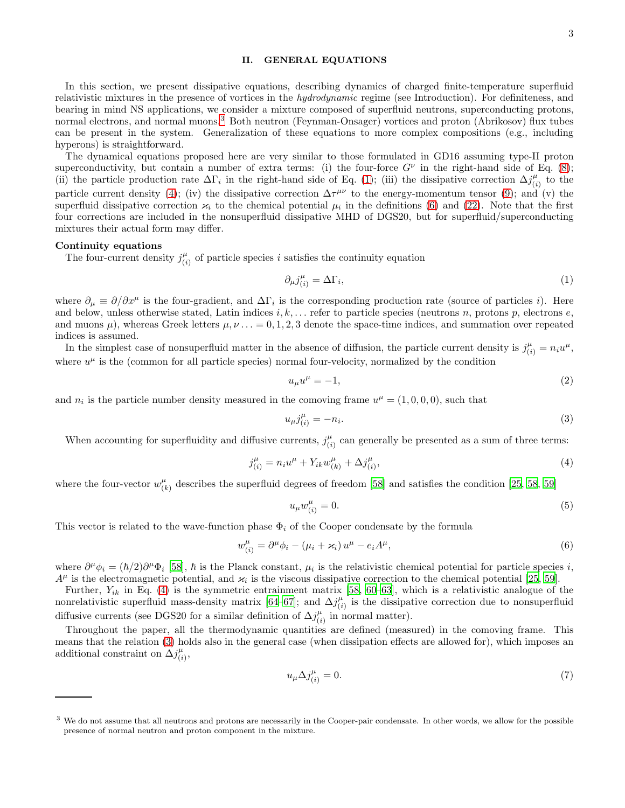## <span id="page-2-0"></span>II. GENERAL EQUATIONS

In this section, we present dissipative equations, describing dynamics of charged finite-temperature superfluid relativistic mixtures in the presence of vortices in the *hydrodynamic* regime (see Introduction). For definiteness, and bearing in mind NS applications, we consider a mixture composed of superfluid neutrons, superconducting protons, normal electrons, and normal muons.[3](#page-2-1) Both neutron (Feynman-Onsager) vortices and proton (Abrikosov) flux tubes can be present in the system. Generalization of these equations to more complex compositions (e.g., including hyperons) is straightforward.

The dynamical equations proposed here are very similar to those formulated in GD16 assuming type-II proton superconductivity, but contain a number of extra terms: (i) the four-force  $G^{\nu}$  in the right-hand side of Eq. [\(8\)](#page-3-0); (ii) the particle production rate  $\Delta\Gamma_i$  in the right-hand side of Eq. [\(1\)](#page-2-2); (iii) the dissipative correction  $\Delta j_{ij}^{\mu}$  $\binom{\mu}{i}$  to the particle current density [\(4\)](#page-2-3); (iv) the dissipative correction  $\Delta \tau^{\mu\nu}$  to the energy-momentum tensor [\(9\)](#page-3-1); and (v) the superfluid dissipative correction  $\varkappa_i$  to the chemical potential  $\mu_i$  in the definitions [\(6\)](#page-2-4) and [\(22\)](#page-4-0). Note that the first four corrections are included in the nonsuperfluid dissipative MHD of DGS20, but for superfluid/superconducting mixtures their actual form may differ.

# Continuity equations

The four-current density  $j^{\mu}_{ij}$  $\binom{\mu}{i}$  of particle species *i* satisfies the continuity equation

<span id="page-2-2"></span>
$$
\partial_{\mu}j_{(i)}^{\mu} = \Delta\Gamma_i,\tag{1}
$$

where  $\partial_{\mu} \equiv \partial/\partial x^{\mu}$  is the four-gradient, and  $\Delta\Gamma_i$  is the corresponding production rate (source of particles *i*). Here and below, unless otherwise stated, Latin indices  $i, k, \ldots$  refer to particle species (neutrons n, protons p, electrons e, and muons  $\mu$ ), whereas Greek letters  $\mu, \nu \ldots = 0, 1, 2, 3$  denote the space-time indices, and summation over repeated indices is assumed.

In the simplest case of nonsuperfluid matter in the absence of diffusion, the particle current density is  $j_{(i)}^{\mu} = n_i u^{\mu}$ , where  $u^{\mu}$  is the (common for all particle species) normal four-velocity, normalized by the condition

<span id="page-2-5"></span>
$$
u_{\mu}u^{\mu} = -1,\tag{2}
$$

and  $n_i$  is the particle number density measured in the comoving frame  $u^{\mu} = (1,0,0,0)$ , such that

$$
u_{\mu}j_{(i)}^{\mu} = -n_i. \tag{3}
$$

When accounting for superfluidity and diffusive currents,  $j_{ij}^{\mu}$  $\binom{\mu}{i}$  can generally be presented as a sum of three terms:

$$
j_{(i)}^{\mu} = n_i u^{\mu} + Y_{ik} w_{(k)}^{\mu} + \Delta j_{(i)}^{\mu}, \qquad (4)
$$

where the four-vector  $w_{ij}^{\mu}$  $\frac{\mu}{(k)}$  describes the superfluid degrees of freedom [\[58](#page-28-11)] and satisfies the condition [\[25,](#page-27-20) [58,](#page-28-11) [59\]](#page-28-12)

<span id="page-2-6"></span><span id="page-2-4"></span><span id="page-2-3"></span>
$$
u_{\mu}w_{(i)}^{\mu}=0.\tag{5}
$$

This vector is related to the wave-function phase  $\Phi_i$  of the Cooper condensate by the formula

$$
w_{(i)}^{\mu} = \partial^{\mu} \phi_i - (\mu_i + \varkappa_i) u^{\mu} - e_i A^{\mu}, \qquad (6)
$$

where  $\partial^{\mu}\phi_i = (\hbar/2)\partial^{\mu}\Phi_i$  [\[58\]](#page-28-11),  $\hbar$  is the Planck constant,  $\mu_i$  is the relativistic chemical potential for particle species i,  $A^{\mu}$  is the electromagnetic potential, and  $\varkappa_i$  is the viscous dissipative correction to the chemical potential [\[25,](#page-27-20) [59\]](#page-28-12).

Further,  $Y_{ik}$  in Eq. [\(4\)](#page-2-3) is the symmetric entrainment matrix [\[58,](#page-28-11) [60](#page-28-13)[–63\]](#page-28-14), which is a relativistic analogue of the nonrelativistic superfluid mass-density matrix [\[64](#page-28-15)[–67\]](#page-28-16); and  $\Delta j_{ij}^{\mu}$  $\binom{\mu}{i}$  is the dissipative correction due to nonsuperfluid diffusive currents (see DGS20 for a similar definition of  $\Delta j_{ij}^{\mu}$  $\binom{\mu}{i}$  in normal matter).

Throughout the paper, all the thermodynamic quantities are defined (measured) in the comoving frame. This means that the relation [\(3\)](#page-2-5) holds also in the general case (when dissipation effects are allowed for), which imposes an additional constraint on  $\Delta j^{\mu}_{ij}$  $\frac{\mu}{(i)}$ 

<span id="page-2-7"></span>
$$
u_{\mu} \Delta j_{(i)}^{\mu} = 0. \tag{7}
$$

<span id="page-2-1"></span><sup>&</sup>lt;sup>3</sup> We do not assume that all neutrons and protons are necessarily in the Cooper-pair condensate. In other words, we allow for the possible presence of normal neutron and proton component in the mixture.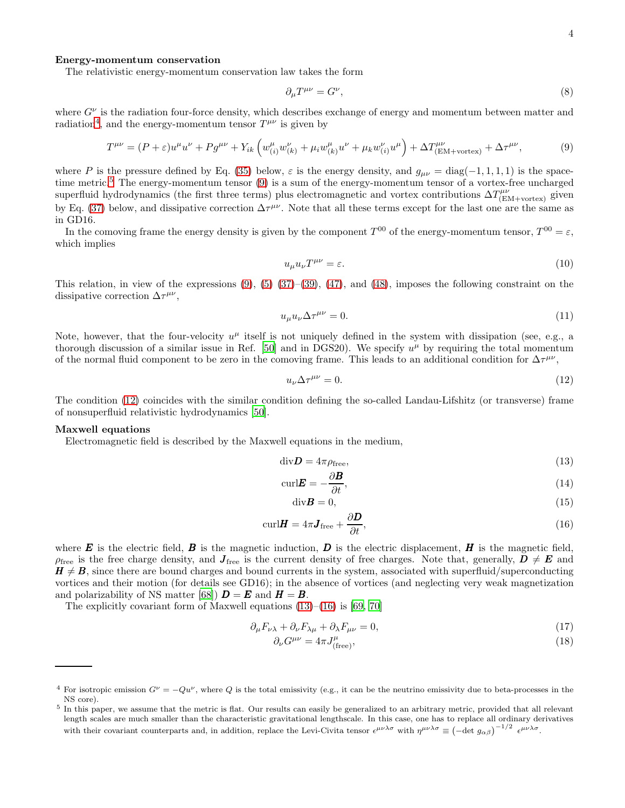### Energy-momentum conservation

The relativistic energy-momentum conservation law takes the form

<span id="page-3-1"></span><span id="page-3-0"></span>
$$
\partial_{\mu}T^{\mu\nu} = G^{\nu},\tag{8}
$$

where  $G^{\nu}$  is the radiation four-force density, which describes exchange of energy and momentum between matter and radiation<sup>[4](#page-3-2)</sup>, and the energy-momentum tensor  $T^{\mu\nu}$  is given by

$$
T^{\mu\nu} = (P + \varepsilon)u^{\mu}u^{\nu} + P g^{\mu\nu} + Y_{ik} \left( w^{\mu}_{(i)} w^{\nu}_{(k)} + \mu_i w^{\mu}_{(k)} u^{\nu} + \mu_k w^{\nu}_{(i)} u^{\mu} \right) + \Delta T^{\mu\nu}_{(\text{EM+vortex})} + \Delta \tau^{\mu\nu}, \tag{9}
$$

where P is the pressure defined by Eq. [\(35\)](#page-5-0) below,  $\varepsilon$  is the energy density, and  $g_{\mu\nu} = \text{diag}(-1, 1, 1, 1)$  is the spacetime metric.[5](#page-3-3) The energy-momentum tensor [\(9\)](#page-3-1) is a sum of the energy-momentum tensor of a vortex-free uncharged superfluid hydrodynamics (the first three terms) plus electromagnetic and vortex contributions  $\Delta T^{\mu\nu}_{\text{(EM+vertex)}}$  given by Eq. [\(37\)](#page-5-1) below, and dissipative correction  $\Delta \tau^{\mu\nu}$ . Note that all these terms except for the last one are the same as in GD16.

In the comoving frame the energy density is given by the component  $T^{00}$  of the energy-momentum tensor,  $T^{00} = \varepsilon$ , which implies

$$
u_{\mu}u_{\nu}T^{\mu\nu} = \varepsilon. \tag{10}
$$

This relation, in view of the expressions  $(9)$ ,  $(5)$   $(37)$ – $(39)$ ,  $(47)$ , and  $(48)$ , imposes the following constraint on the dissipative correction  $\Delta \tau^{\mu\nu}$ ,

$$
u_{\mu}u_{\nu}\Delta\tau^{\mu\nu} = 0. \tag{11}
$$

Note, however, that the four-velocity  $u^{\mu}$  itself is not uniquely defined in the system with dissipation (see, e.g., a thorough discussion of a similar issue in Ref. [\[50\]](#page-28-4) and in DGS20). We specify  $u^{\mu}$  by requiring the total momentum of the normal fluid component to be zero in the comoving frame. This leads to an additional condition for  $\Delta \tau^{\mu\nu}$ ,

<span id="page-3-4"></span>
$$
u_{\nu}\Delta \tau^{\mu\nu} = 0. \tag{12}
$$

The condition [\(12\)](#page-3-4) coincides with the similar condition defining the so-called Landau-Lifshitz (or transverse) frame of nonsuperfluid relativistic hydrodynamics [\[50\]](#page-28-4).

#### Maxwell equations

Electromagnetic field is described by the Maxwell equations in the medium,

$$
\mathrm{div}\mathbf{D} = 4\pi\rho_{\mathrm{free}},\tag{13}
$$

$$
\operatorname{curl} \boldsymbol{E} = -\frac{\partial \boldsymbol{B}}{\partial t},\tag{14}
$$

<span id="page-3-6"></span><span id="page-3-5"></span>
$$
\text{div}\mathbf{B} = 0,\tag{15}
$$

$$
\text{curl}\mathbf{H} = 4\pi \mathbf{J}_{\text{free}} + \frac{\partial \mathbf{D}}{\partial t},\tag{16}
$$

where **E** is the electric field, **B** is the magnetic induction, **D** is the electric displacement, **H** is the magnetic field,  $\rho_{\text{free}}$  is the free charge density, and  $J_{\text{free}}$  is the current density of free charges. Note that, generally,  $\dot{D} \neq E$  and  $H \neq B$ , since there are bound charges and bound currents in the system, associated with superfluid/superconducting vortices and their motion (for details see GD16); in the absence of vortices (and neglecting very weak magnetization and polarizability of NS matter [\[68](#page-28-17)])  $\mathbf{D} = \mathbf{E}$  and  $\mathbf{H} = \mathbf{B}$ .

The explicitly covariant form of Maxwell equations  $(13)$ – $(16)$  is [\[69](#page-28-18), [70](#page-28-19)]

$$
\partial_{\mu}F_{\nu\lambda} + \partial_{\nu}F_{\lambda\mu} + \partial_{\lambda}F_{\mu\nu} = 0, \qquad (17)
$$

<span id="page-3-8"></span><span id="page-3-7"></span>
$$
\partial_{\nu}G^{\mu\nu} = 4\pi J_{\text{(free)}}^{\mu},\tag{18}
$$

<span id="page-3-2"></span><sup>&</sup>lt;sup>4</sup> For isotropic emission  $G^{\nu} = -Qu^{\nu}$ , where Q is the total emissivity (e.g., it can be the neutrino emissivity due to beta-processes in the NS core).

<span id="page-3-3"></span><sup>&</sup>lt;sup>5</sup> In this paper, we assume that the metric is flat. Our results can easily be generalized to an arbitrary metric, provided that all relevant length scales are much smaller than the characteristic gravitational lengthscale. In this case, one has to replace all ordinary derivatives with their covariant counterparts and, in addition, replace the Levi-Civita tensor  $\epsilon^{\mu\nu\lambda\sigma}$  with  $\eta^{\mu\nu\lambda\sigma} \equiv \left(-\det g_{\alpha\beta}\right)^{-1/2} \epsilon^{\mu\nu\lambda\sigma}$ .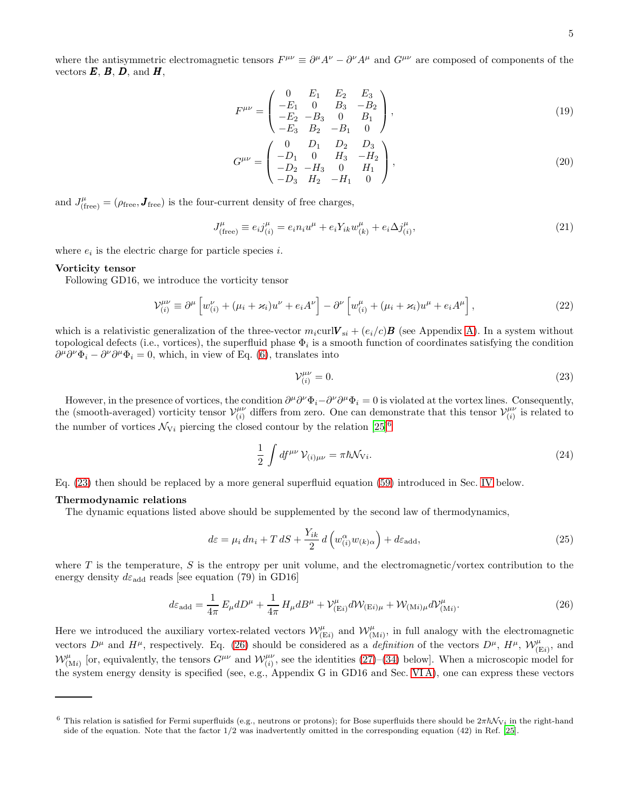where the antisymmetric electromagnetic tensors  $F^{\mu\nu} \equiv \partial^{\mu}A^{\nu} - \partial^{\nu}A^{\mu}$  and  $G^{\mu\nu}$  are composed of components of the vectors  $E, B, D$ , and  $H$ ,

$$
F^{\mu\nu} = \begin{pmatrix} 0 & E_1 & E_2 & E_3 \\ -E_1 & 0 & B_3 & -B_2 \\ -E_2 & -B_3 & 0 & B_1 \\ -E_3 & B_2 & -B_1 & 0 \end{pmatrix},
$$
(19)

$$
G^{\mu\nu} = \begin{pmatrix} 0 & D_1 & D_2 & D_3 \\ -D_1 & 0 & H_3 & -H_2 \\ -D_2 & -H_3 & 0 & H_1 \\ -D_3 & H_2 & -H_1 & 0 \end{pmatrix},
$$
(20)

and  $J_{\text{(free)}}^{\mu} = (\rho_{\text{free}}, \mathbf{J}_{\text{free}})$  is the four-current density of free charges,

$$
J_{\text{(free)}}^{\mu} \equiv e_i j_{(i)}^{\mu} = e_i n_i u^{\mu} + e_i Y_{ik} w_{(k)}^{\mu} + e_i \Delta j_{(i)}^{\mu}, \tag{21}
$$

where  $e_i$  is the electric charge for particle species *i*.

## Vorticity tensor

Following GD16, we introduce the vorticity tensor

$$
\mathcal{V}_{(i)}^{\mu\nu} \equiv \partial^{\mu} \left[ w_{(i)}^{\nu} + (\mu_i + \varkappa_i) u^{\nu} + e_i A^{\nu} \right] - \partial^{\nu} \left[ w_{(i)}^{\mu} + (\mu_i + \varkappa_i) u^{\mu} + e_i A^{\mu} \right], \tag{22}
$$

which is a relativistic generalization of the three-vector  $m_i$ curl $V_{si} + (e_i/c)\boldsymbol{B}$  (see Appendix [A\)](#page-19-0). In a system without topological defects (i.e., vortices), the superfluid phase  $\Phi_i$  is a smooth function of coordinates satisfying the condition  $\partial^{\mu}\partial^{\nu}\Phi_i - \partial^{\nu}\partial^{\mu}\Phi_i = 0$ , which, in view of Eq. [\(6\)](#page-2-4), translates into

<span id="page-4-6"></span><span id="page-4-5"></span><span id="page-4-2"></span><span id="page-4-0"></span>
$$
\mathcal{V}_{(i)}^{\mu\nu} = 0. \tag{23}
$$

However, in the presence of vortices, the condition  $\partial^{\mu}\partial^{\nu}\Phi_i - \partial^{\nu}\partial^{\mu}\Phi_i = 0$  is violated at the vortex lines. Consequently, the (smooth-averaged) vorticity tensor  $\mathcal{V}^{\mu\nu}_{(i)}$  $\begin{bmatrix} \mu\nu \ i \end{bmatrix}$  differs from zero. One can demonstrate that this tensor  $\mathcal{V}^{\mu\nu}_{(i)}$  $\binom{\mu\nu}{i}$  is related to the number of vortices  $\mathcal{N}_{Vi}$  piercing the closed contour by the relation [\[25\]](#page-27-20)<sup>[6](#page-4-1)</sup>

<span id="page-4-3"></span>
$$
\frac{1}{2} \int df^{\mu\nu} \mathcal{V}_{(i)\mu\nu} = \pi \hbar \mathcal{N}_{\mathrm{V}i}.
$$
\n(24)

Eq. [\(23\)](#page-4-2) then should be replaced by a more general superfluid equation [\(59\)](#page-7-0) introduced in Sec. [IV](#page-8-0) below.

#### Thermodynamic relations

The dynamic equations listed above should be supplemented by the second law of thermodynamics,

<span id="page-4-4"></span>
$$
d\varepsilon = \mu_i \, dn_i + T \, dS + \frac{Y_{ik}}{2} \, d\left(w_{(i)}^{\alpha} w_{(k)\alpha}\right) + d\varepsilon_{\text{add}},\tag{25}
$$

where T is the temperature, S is the entropy per unit volume, and the electromagnetic/vortex contribution to the energy density  $d\varepsilon_{\text{add}}$  reads [see equation (79) in GD16]

$$
d\varepsilon_{\text{add}} = \frac{1}{4\pi} E_{\mu} dD^{\mu} + \frac{1}{4\pi} H_{\mu} dB^{\mu} + \mathcal{V}_{(\text{E}i)}^{\mu} d\mathcal{W}_{(\text{E}i)\mu} + \mathcal{W}_{(\text{Mi})\mu} d\mathcal{V}_{(\text{Mi})}^{\mu}.
$$
 (26)

Here we introduced the auxiliary vortex-related vectors  $\mathcal{W}_{(\text{E}i)}^{\mu}$  and  $\mathcal{W}_{(\text{M}i)}^{\mu}$ , in full analogy with the electromagnetic vectors  $D^{\mu}$  and  $H^{\mu}$ , respectively. Eq. [\(26\)](#page-4-3) should be considered as a *definition* of the vectors  $D^{\mu}$ ,  $H^{\mu}$ ,  $\mathcal{W}_{(Ei)}^{\mu}$ , and  $W^{\mu}_{(Mi)}$  [or, equivalently, the tensors  $G^{\mu\nu}$  and  $W^{\mu\nu}_{(i)}$ , see the identities [\(27\)](#page-5-3)–[\(34\)](#page-5-4) below]. When a microscopic model for the system energy density is specified (see, e.g., Appendix G in GD16 and Sec. [VI A\)](#page-13-1), one can express these vectors

<span id="page-4-1"></span><sup>&</sup>lt;sup>6</sup> This relation is satisfied for Fermi superfluids (e.g., neutrons or protons); for Bose superfluids there should be  $2\pi\hbar\mathcal{N}_{V_i}$  in the right-hand side of the equation. Note that the factor 1/2 was inadvertently omitted in the corresponding equation (42) in Ref. [\[25\]](#page-27-20).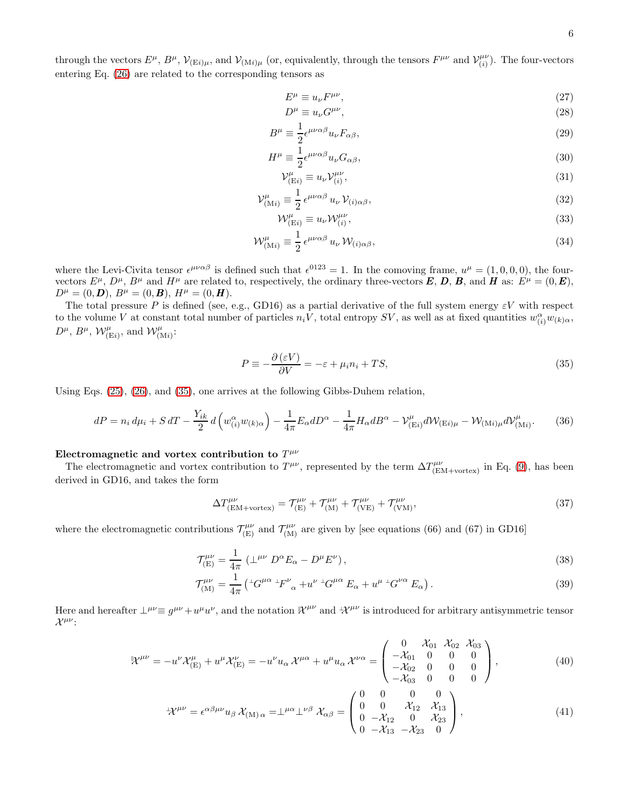through the vectors  $E^{\mu}$ ,  $B^{\mu}$ ,  $\mathcal{V}_{(Ei)\mu}$ , and  $\mathcal{V}_{(Mi)\mu}$  (or, equivalently, through the tensors  $F^{\mu\nu}$  and  $\mathcal{V}_{(i)}^{\mu\nu}$  $\binom{\mu\nu}{i}$ . The four-vectors entering Eq. [\(26\)](#page-4-3) are related to the corresponding tensors as

<span id="page-5-3"></span>
$$
E^{\mu} \equiv u_{\nu} F^{\mu \nu}, \tag{27}
$$
\n
$$
D^{\mu} = u_{\nu} G^{\mu \nu} \tag{28}
$$

$$
D^{\mu} \equiv u_{\nu} G^{\mu \nu},\tag{28}
$$
\n
$$
u_{\mu} = \frac{1}{2} \mu \nu \alpha \beta \gamma_{\nu} F_{\nu} \tag{29}
$$

$$
B^{\mu} \equiv \frac{1}{2} \epsilon^{\mu \nu \alpha \beta} u_{\nu} F_{\alpha \beta}, \tag{29}
$$

$$
H^{\mu} \equiv \frac{1}{2} \epsilon^{\mu \nu \alpha \beta} u_{\nu} G_{\alpha \beta}, \tag{30}
$$

<span id="page-5-9"></span><span id="page-5-5"></span>
$$
\mathcal{V}_{\text{(Ei)}}^{\mu} \equiv u_{\nu} \mathcal{V}_{(i)}^{\mu \nu},\tag{31}
$$

$$
\mathcal{V}_{\left(Mi\right)}^{\mu} \equiv \frac{1}{2} \epsilon^{\mu\nu\alpha\beta} u_{\nu} \mathcal{V}_{\left(i\right)\alpha\beta},\tag{32}
$$

<span id="page-5-4"></span>
$$
\mathcal{W}_{(Ei)}^{\mu} \equiv u_{\nu} \mathcal{W}_{(i)}^{\mu \nu},\tag{33}
$$

$$
\mathcal{W}^{\mu}_{(Mi)} \equiv \frac{1}{2} \,\epsilon^{\mu\nu\alpha\beta} \, u_{\nu} \, \mathcal{W}_{(i)\alpha\beta},\tag{34}
$$

where the Levi-Civita tensor  $\epsilon^{\mu\nu\alpha\beta}$  is defined such that  $\epsilon^{0123} = 1$ . In the comoving frame,  $u^{\mu} = (1,0,0,0)$ , the fourvectors  $E^{\mu}$ ,  $D^{\mu}$ ,  $B^{\mu}$  and  $H^{\mu}$  are related to, respectively, the ordinary three-vectors **E**, **D**, **B**, and **H** as:  $E^{\mu} = (0, \mathbf{E})$ ,  $D^{\mu} = (0, \mathbf{D}), B^{\mu} = (0, \mathbf{B}), H^{\mu} = (0, \mathbf{H}).$ 

The total pressure P is defined (see, e.g., GD16) as a partial derivative of the full system energy  $\varepsilon V$  with respect to the volume V at constant total number of particles  $n_i V$ , total entropy SV, as well as at fixed quantities  $w_{(i)}^{\alpha} w_{(k)\alpha}$ ,  $D^{\mu}$ ,  $B^{\mu}$ ,  $\mathcal{W}_{(\text{E}i)}^{\mu}$ , and  $\mathcal{W}_{(\text{M}i)}^{\mu}$ :

<span id="page-5-0"></span>
$$
P \equiv -\frac{\partial (\varepsilon V)}{\partial V} = -\varepsilon + \mu_i n_i + TS,
$$
\n(35)

Using Eqs. [\(25\)](#page-4-4), [\(26\)](#page-4-3), and [\(35\)](#page-5-0), one arrives at the following Gibbs-Duhem relation,

<span id="page-5-8"></span>
$$
dP = n_i d\mu_i + S dT - \frac{Y_{ik}}{2} d\left(w_{(i)}^{\alpha} w_{(k)\alpha}\right) - \frac{1}{4\pi} E_{\alpha} dD^{\alpha} - \frac{1}{4\pi} H_{\alpha} dB^{\alpha} - \mathcal{V}_{(Ei)}^{\mu} d\mathcal{W}_{(Ei)\mu} - \mathcal{W}_{(Mi)\mu} d\mathcal{V}_{(Mi)}^{\mu}.
$$
 (36)

# Electromagnetic and vortex contribution to  $T^{\mu\nu}$

The electromagnetic and vortex contribution to  $T^{\mu\nu}$ , represented by the term  $\Delta T^{\mu\nu}_{\text{(EM+vertex)}}$  in Eq. [\(9\)](#page-3-1), has been derived in GD16, and takes the form

<span id="page-5-1"></span>
$$
\Delta T^{\mu\nu}_{\text{(EM+vortex)}} = \mathcal{T}^{\mu\nu}_{\text{(E)}} + \mathcal{T}^{\mu\nu}_{\text{(M)}} + \mathcal{T}^{\mu\nu}_{\text{(VE)}} + \mathcal{T}^{\mu\nu}_{\text{(VM)}},\tag{37}
$$

where the electromagnetic contributions  $\mathcal{T}_{(E)}^{\mu\nu}$  and  $\mathcal{T}_{(M)}^{\mu\nu}$  are given by [see equations (66) and (67) in GD16]

<span id="page-5-2"></span>
$$
\mathcal{T}^{\mu\nu}_{\text{(E)}} = \frac{1}{4\pi} \left( \perp^{\mu\nu} D^{\alpha} E_{\alpha} - D^{\mu} E^{\nu} \right),\tag{38}
$$

<span id="page-5-7"></span><span id="page-5-6"></span>
$$
\mathcal{T}^{\mu\nu}_{\text{(M)}} = \frac{1}{4\pi} \left( {}^{\perp}G^{\mu\alpha} {}^{\perp}F^{\nu}{}_{\alpha} + u^{\nu} {}^{\perp}G^{\mu\alpha} E_{\alpha} + u^{\mu} {}^{\perp}G^{\nu\alpha} E_{\alpha} \right). \tag{39}
$$

Here and hereafter  $\perp^{\mu\nu} \equiv g^{\mu\nu} + u^{\mu}u^{\nu}$ , and the notation  $\mathcal{K}^{\mu\nu}$  and  $\mathcal{K}^{\mu\nu}$  is introduced for arbitrary antisymmetric tensor  $\mathcal{X}^{\mu\nu}$ :

$$
\mathcal{X}^{\mu\nu} = -u^{\nu}\mathcal{X}_{\text{(E)}}^{\mu} + u^{\mu}\mathcal{X}_{\text{(E)}}^{\nu} = -u^{\nu}u_{\alpha}\mathcal{X}^{\mu\alpha} + u^{\mu}u_{\alpha}\mathcal{X}^{\nu\alpha} = \begin{pmatrix} 0 & \mathcal{X}_{01} & \mathcal{X}_{02} & \mathcal{X}_{03} \\ -\mathcal{X}_{01} & 0 & 0 & 0 \\ -\mathcal{X}_{02} & 0 & 0 & 0 \\ -\mathcal{X}_{03} & 0 & 0 & 0 \end{pmatrix},
$$
(40)

$$
{}^{\perp}\!\mathcal{X}^{\mu\nu} = \epsilon^{\alpha\beta\mu\nu} u_{\beta} \, \mathcal{X}_{(M)\,\alpha} = \perp^{\mu\alpha} \perp^{\nu\beta} \, \mathcal{X}_{\alpha\beta} = \begin{pmatrix} 0 & 0 & 0 & 0 \\ 0 & 0 & \mathcal{X}_{12} & \mathcal{X}_{13} \\ 0 & -\mathcal{X}_{12} & 0 & \mathcal{X}_{23} \\ 0 & -\mathcal{X}_{13} & -\mathcal{X}_{23} & 0 \end{pmatrix},
$$
(41)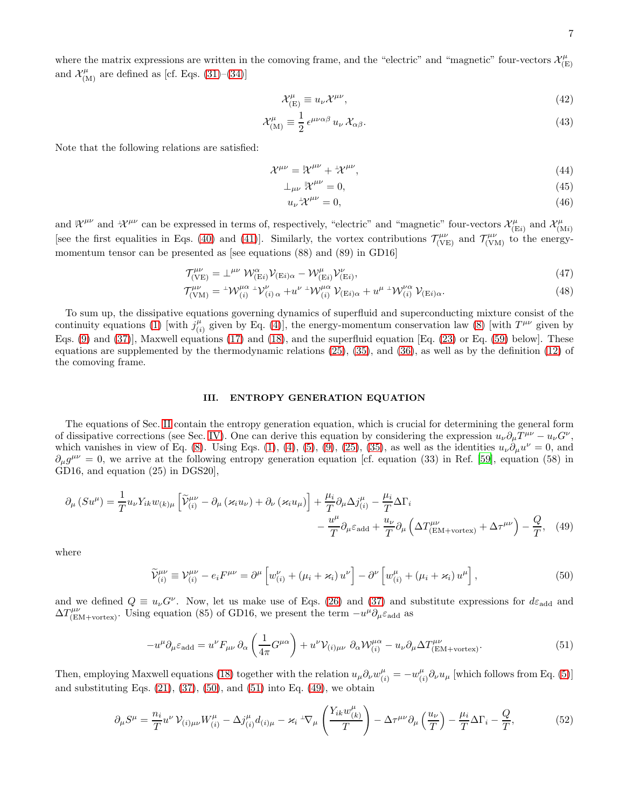where the matrix expressions are written in the comoving frame, and the "electric" and "magnetic" four-vectors  $\mathcal{X}_{(F)}^{\mu}$ (E) and  $\mathcal{X}^{\mu}_{(\text{M})}$  are defined as [cf. Eqs. [\(31\)](#page-5-5)–[\(34\)](#page-5-4)]

<span id="page-6-6"></span>
$$
\mathcal{X}_{\text{(E)}}^{\mu} \equiv u_{\nu} \mathcal{X}^{\mu \nu},\tag{42}
$$

$$
\mathcal{X}^{\mu}_{\text{(M)}} \equiv \frac{1}{2} \,\epsilon^{\mu\nu\alpha\beta} \, u_{\nu} \, \mathcal{X}_{\alpha\beta}.\tag{43}
$$

Note that the following relations are satisfied:

$$
\mathcal{X}^{\mu\nu} = \mathcal{X}^{\mu\nu} + \mathcal{X}^{\mu\nu},\tag{44}
$$

$$
\perp_{\mu\nu} \mathbb{R}^{\mu\nu} = 0,\tag{45}
$$

$$
u_{\nu}{}^{\perp} \mathcal{X}^{\mu \nu} = 0,\tag{46}
$$

and  $\mathcal{X}^{\mu\nu}$  and  $\mathcal{X}^{\mu\nu}$  can be expressed in terms of, respectively, "electric" and "magnetic" four-vectors  $\mathcal{X}^{\mu}_{(F)}$  $\chi^{\mu}_{(Ei)}$  and  $\mathcal{X}^{\mu}_{(N)}$  $(Mi)$ [see the first equalities in Eqs. [\(40\)](#page-5-6) and [\(41\)](#page-5-7)]. Similarly, the vortex contributions  $\mathcal{T}^{\mu\nu}_{(\text{VE})}$  and  $\mathcal{T}^{\mu\nu}_{(\text{VM})}$  to the energymomentum tensor can be presented as [see equations (88) and (89) in GD16]

<span id="page-6-1"></span>
$$
\mathcal{T}^{\mu\nu}_{(\text{VE})} = \perp^{\mu\nu} \mathcal{W}^{\alpha}_{(\text{E}i)} \mathcal{V}_{(\text{E}i)\alpha} - \mathcal{W}^{\mu}_{(\text{E}i)} \mathcal{V}^{\nu}_{(\text{E}i)},\tag{47}
$$

$$
\mathcal{T}^{\mu\nu}_{(\text{VM})} = {}^{\perp} \mathcal{W}^{\mu\alpha}_{(i)} {}^{\perp} \mathcal{V}^{\nu}_{(i)\,\alpha} + u^{\nu} {}^{\perp} \mathcal{W}^{\mu\alpha}_{(i)} \mathcal{V}_{(\text{E}i)\alpha} + u^{\mu} {}^{\perp} \mathcal{W}^{\nu\alpha}_{(i)} \mathcal{V}_{(\text{E}i)\alpha}.
$$
\n(48)

To sum up, the dissipative equations governing dynamics of superfluid and superconducting mixture consist of the continuity equations [\(1\)](#page-2-2) [with  $j^{\mu}_{ij}$  $_{(i)}^{\mu}$  given by Eq. [\(4\)](#page-2-3)], the energy-momentum conservation law [\(8\)](#page-3-0) [with  $T^{\mu\nu}$  given by Eqs. [\(9\)](#page-3-1) and [\(37\)](#page-5-1)], Maxwell equations [\(17\)](#page-3-7) and [\(18\)](#page-3-8), and the superfluid equation [Eq. [\(23\)](#page-4-2) or Eq. [\(59\)](#page-7-0) below]. These equations are supplemented by the thermodynamic relations [\(25\)](#page-4-4), [\(35\)](#page-5-0), and [\(36\)](#page-5-8), as well as by the definition [\(12\)](#page-3-4) of the comoving frame.

## <span id="page-6-4"></span><span id="page-6-2"></span><span id="page-6-0"></span>III. ENTROPY GENERATION EQUATION

The equations of Sec. [II](#page-2-0) contain the entropy generation equation, which is crucial for determining the general form of dissipative corrections (see Sec. [IV\)](#page-8-0). One can derive this equation by considering the expression  $u_{\nu}\partial_{\mu}T^{\mu\nu} - u_{\nu}G^{\nu}$ , which vanishes in view of Eq. [\(8\)](#page-3-0). Using Eqs. [\(1\)](#page-2-2), [\(4\)](#page-2-3), [\(5\)](#page-2-6), [\(9\)](#page-3-1), [\(25\)](#page-4-4), [\(35\)](#page-5-0), as well as the identities  $u_{\nu}\partial_{\mu}u^{\nu}=0$ , and  $\partial_\mu g^{\mu\nu} = 0$ , we arrive at the following entropy generation equation [cf. equation (33) in Ref. [\[59\]](#page-28-12), equation (58) in GD16, and equation (25) in DGS20],

$$
\partial_{\mu} \left( S u^{\mu} \right) = \frac{1}{T} u_{\nu} Y_{ik} w_{(k) \mu} \left[ \widetilde{\mathcal{V}}^{\mu \nu}_{(i)} - \partial_{\mu} \left( \varkappa_{i} u_{\nu} \right) + \partial_{\nu} \left( \varkappa_{i} u_{\mu} \right) \right] + \frac{\mu_{i}}{T} \partial_{\mu} \Delta j^{\mu}_{(i)} - \frac{\mu_{i}}{T} \Delta \Gamma_{i} - \frac{u^{\mu}}{T} \partial_{\mu} \varepsilon_{\text{add}} + \frac{u_{\nu}}{T} \partial_{\mu} \left( \Delta T^{\mu \nu}_{(\text{EM+vortex})} + \Delta \tau^{\mu \nu} \right) - \frac{Q}{T}, \quad (49)
$$

where

$$
\widetilde{\mathcal{V}}_{(i)}^{\mu\nu} \equiv \mathcal{V}_{(i)}^{\mu\nu} - e_i F^{\mu\nu} = \partial^{\mu} \left[ w_{(i)}^{\nu} + (\mu_i + \varkappa_i) u^{\nu} \right] - \partial^{\nu} \left[ w_{(i)}^{\mu} + (\mu_i + \varkappa_i) u^{\mu} \right],\tag{50}
$$

and we defined  $Q \equiv u_{\nu}G^{\nu}$ . Now, let us make use of Eqs. [\(26\)](#page-4-3) and [\(37\)](#page-5-1) and substitute expressions for  $d\varepsilon_{\rm add}$  and  $\Delta T^{\mu\nu}_{\text{[EM+vortex]}}$ . Using equation (85) of GD16, we present the term  $-u^{\mu}\partial_{\mu}\varepsilon_{\text{add}}$  as

<span id="page-6-5"></span><span id="page-6-3"></span>
$$
-u^{\mu}\partial_{\mu}\varepsilon_{\rm add} = u^{\nu}F_{\mu\nu}\partial_{\alpha}\left(\frac{1}{4\pi}G^{\mu\alpha}\right) + u^{\nu}\mathcal{V}_{(i)\mu\nu}\partial_{\alpha}\mathcal{W}_{(i)}^{\mu\alpha} - u_{\nu}\partial_{\mu}\Delta T_{\rm (EM+vortex)}^{\mu\nu}.
$$
\n(51)

Then, employing Maxwell equations [\(18\)](#page-3-8) together with the relation  $u_{\mu}\partial_{\nu}w_{(i)}^{\mu} = -w_{(i)}^{\mu}$  $\int_{(i)}^{\mu} \partial_{\nu} u_{\mu}$  [which follows from Eq. [\(5\)](#page-2-6)] and substituting Eqs.  $(21)$ ,  $(37)$ ,  $(50)$ , and  $(51)$  into Eq.  $(49)$ , we obtain

$$
\partial_{\mu}S^{\mu} = \frac{n_i}{T} u^{\nu} \mathcal{V}_{(i)\mu\nu} W_{(i)}^{\mu} - \Delta j_{(i)}^{\mu} d_{(i)\mu} - \varkappa_i^{\mu} \nabla_{\mu} \left( \frac{Y_{ik} w_{(k)}^{\mu}}{T} \right) - \Delta \tau^{\mu \nu} \partial_{\mu} \left( \frac{u_{\nu}}{T} \right) - \frac{\mu_i}{T} \Delta \Gamma_i - \frac{Q}{T},\tag{52}
$$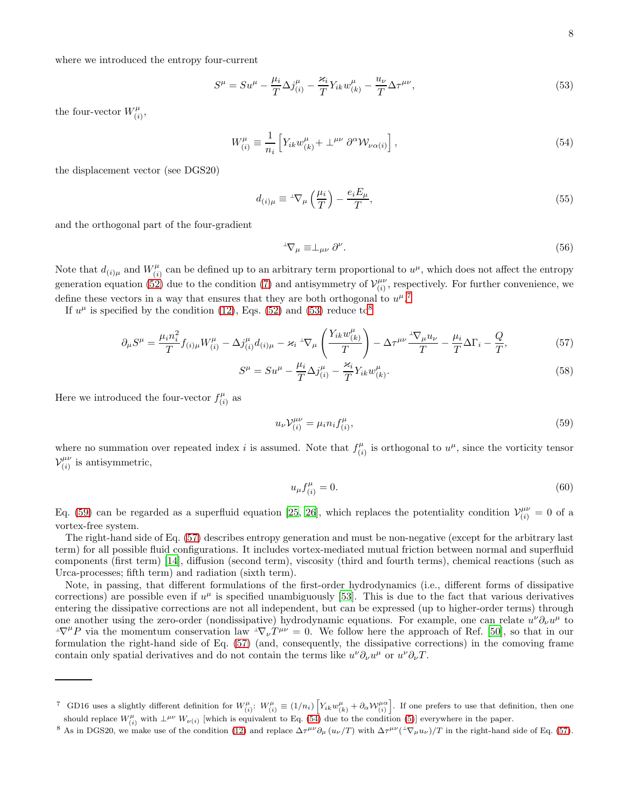where we introduced the entropy four-current

$$
S^{\mu} = S u^{\mu} - \frac{\mu_i}{T} \Delta j_{(i)}^{\mu} - \frac{\varkappa_i}{T} Y_{ik} w_{(k)}^{\mu} - \frac{u_{\nu}}{T} \Delta \tau^{\mu \nu}, \tag{53}
$$

the four-vector  $W_{i}^{\mu}$  $\frac{\mu}{(i)},$ 

$$
W^{\mu}_{(i)} \equiv \frac{1}{n_i} \left[ Y_{ik} w^{\mu}_{(k)} + \perp^{\mu \nu} \partial^{\alpha} \mathcal{W}_{\nu \alpha(i)} \right], \tag{54}
$$

the displacement vector (see DGS20)

$$
d_{(i)\mu} \equiv {}^{\perp}\nabla_{\mu} \left(\frac{\mu_i}{T}\right) - \frac{e_i E_{\mu}}{T},\tag{55}
$$

and the orthogonal part of the four-gradient

<span id="page-7-7"></span><span id="page-7-5"></span><span id="page-7-4"></span><span id="page-7-2"></span>
$$
{}^{\perp}\nabla_{\mu} \equiv \perp_{\mu\nu} \partial^{\nu}.
$$
 (56)

Note that  $d_{(i)\mu}$  and  $W_{(i)}^{\mu}$  $\mu^{\mu}_{(i)}$  can be defined up to an arbitrary term proportional to  $u^{\mu}$ , which does not affect the entropy generation equation [\(52\)](#page-6-5) due to the condition [\(7\)](#page-2-7) and antisymmetry of  $\mathcal{V}_{(i)}^{\mu\nu}$  $\binom{\mu\nu}{(i)}$ , respectively. For further convenience, we define these vectors in a way that ensures that they are both orthogonal to  $u^{\mu}$ .<sup>[7](#page-7-1)</sup>

If  $u^{\mu}$  is specified by the condition [\(12\)](#page-3-4), Eqs. [\(52\)](#page-6-5) and [\(53\)](#page-7-2) reduce to<sup>[8](#page-7-3)</sup>

$$
\partial_{\mu}S^{\mu} = \frac{\mu_i n_i^2}{T} f_{(i)\mu} W^{\mu}_{(i)} - \Delta j^{\mu}_{(i)} d_{(i)\mu} - \varkappa_i^{-1} \nabla_{\mu} \left( \frac{Y_{ik} w^{\mu}_{(k)}}{T} \right) - \Delta \tau^{\mu\nu} \frac{1 \nabla_{\mu} u_{\nu}}{T} - \frac{\mu_i}{T} \Delta \Gamma_i - \frac{Q}{T},\tag{57}
$$

$$
S^{\mu} = S u^{\mu} - \frac{\mu_i}{T} \Delta j_{(i)}^{\mu} - \frac{\varkappa_i}{T} Y_{ik} w_{(k)}^{\mu}.
$$
\n
$$
(58)
$$

Here we introduced the four-vector  $f_{ij}^{\mu}$  $\binom{\mu}{i}$  as

$$
u_{\nu} \mathcal{V}_{(i)}^{\mu \nu} = \mu_i n_i f_{(i)}^{\mu}, \tag{59}
$$

where no summation over repeated index i is assumed. Note that  $f_{ii}^{\mu}$  $\mu^{\mu}_{(i)}$  is orthogonal to  $u^{\mu}$ , since the vorticity tensor  $\mathcal{V}^{\mu\nu}_{(i)}$  $\binom{\mu\nu}{i}$  is antisymmetric,

<span id="page-7-6"></span><span id="page-7-0"></span>
$$
u_{\mu}f_{(i)}^{\mu} = 0. \tag{60}
$$

Eq. [\(59\)](#page-7-0) can be regarded as a superfluid equation [\[25,](#page-27-20) [26\]](#page-27-8), which replaces the potentiality condition  $\mathcal{V}^{\mu\nu}_{(i)}=0$  of a vortex-free system.

The right-hand side of Eq. [\(57\)](#page-7-4) describes entropy generation and must be non-negative (except for the arbitrary last term) for all possible fluid configurations. It includes vortex-mediated mutual friction between normal and superfluid components (first term) [\[14\]](#page-27-2), diffusion (second term), viscosity (third and fourth terms), chemical reactions (such as Urca-processes; fifth term) and radiation (sixth term).

Note, in passing, that different formulations of the first-order hydrodynamics (i.e., different forms of dissipative corrections) are possible even if  $u^{\mu}$  is specified unambiguously [\[53\]](#page-28-7). This is due to the fact that various derivatives entering the dissipative corrections are not all independent, but can be expressed (up to higher-order terms) through one another using the zero-order (nondissipative) hydrodynamic equations. For example, one can relate  $u^{\nu}\partial_{\nu}u^{\mu}$  to  $\pm \nabla^{\mu} P$  via the momentum conservation law  $\pm \nabla_{\nu} T^{\mu\nu} = 0$ . We follow here the approach of Ref. [\[50](#page-28-4)], so that in our formulation the right-hand side of Eq. [\(57\)](#page-7-4) (and, consequently, the dissipative corrections) in the comoving frame contain only spatial derivatives and do not contain the terms like  $u^{\nu} \partial_{\nu} u^{\mu}$  or  $u^{\nu} \partial_{\nu} T$ .

<span id="page-7-1"></span><sup>&</sup>lt;sup>7</sup> GD16 uses a slightly different definition for  $W^{\mu}_{(i)}$ :  $W^{\mu}_{(i)} \equiv (1/n_i) \left[ Y_{ik} w^{\mu}_{(k)} + \partial_{\alpha} \mathcal{W}^{\mu \alpha}_{(i)} \right]$ . If one prefers to use that definition, then one should replace  $W^{\mu}_{(i)}$  with  $\perp^{\mu\nu} W_{\nu(i)}$  [which is equivalent to Eq. [\(54\)](#page-7-5) due to the condition [\(5\)](#page-2-6)] everywhere in the paper.

<span id="page-7-3"></span><sup>&</sup>lt;sup>8</sup> As in DGS20, we make use of the condition [\(12\)](#page-3-4) and replace  $\Delta \tau^{\mu\nu}\partial_{\mu}(u_{\nu}/T)$  with  $\Delta \tau^{\mu\nu}(-\nabla_{\mu}u_{\nu})/T$  in the right-hand side of Eq. [\(57\)](#page-7-4).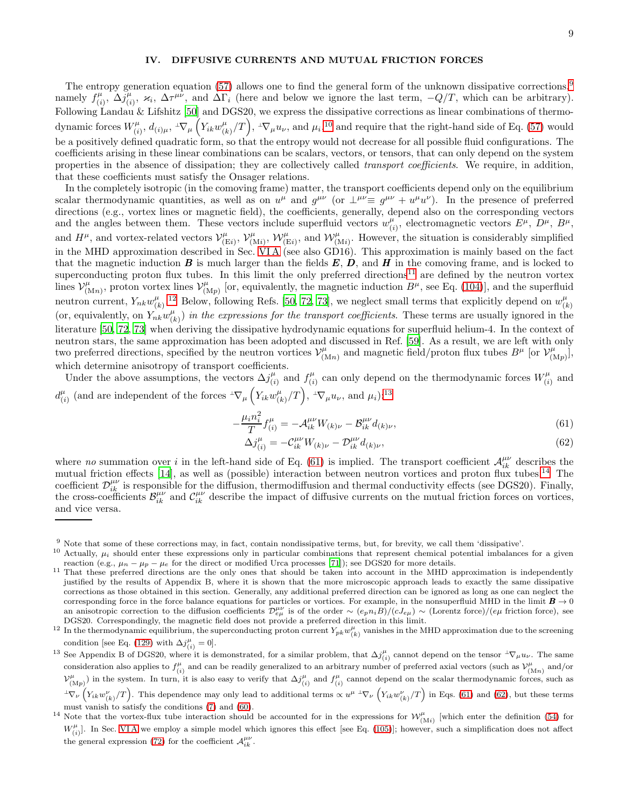### <span id="page-8-0"></span>IV. DIFFUSIVE CURRENTS AND MUTUAL FRICTION FORCES

The entropy generation equation [\(57\)](#page-7-4) allows one to find the general form of the unknown dissipative corrections,  $9$ namely  $f_{ij}^{\mu}$  $\sum_{(i)}^{\mu} \Delta j^{\mu}_{(i)}$  $(\mu_i, \varkappa_i, \Delta \tau^{\mu\nu}, \Delta \Pi_i)$  (here and below we ignore the last term,  $-Q/T$ , which can be arbitrary). Following Landau & Lifshitz [\[50\]](#page-28-4) and DGS20, we express the dissipative corrections as linear combinations of thermodynamic forces  $W_{(i)}^{\mu}$  $\tilde{f}^\mu_{(i)},\,d_{(i)\mu},\,{}^\perp\!\nabla_\mu\,\Big(Y_{ik}w^\mu_{(\mu)}\Big)$  $(\frac{\mu}{(k)}/T)$ ,  $\pm \nabla_{\mu} u_{\nu}$ , and  $\mu_i$ ,<sup>[10](#page-8-2)</sup> and require that the right-hand side of Eq. [\(57\)](#page-7-4) would be a positively defined quadratic form, so that the entropy would not decrease for all possible fluid configurations. The coefficients arising in these linear combinations can be scalars, vectors, or tensors, that can only depend on the system properties in the absence of dissipation; they are collectively called transport coefficients. We require, in addition, that these coefficients must satisfy the Onsager relations.

In the completely isotropic (in the comoving frame) matter, the transport coefficients depend only on the equilibrium scalar thermodynamic quantities, as well as on  $u^{\mu}$  and  $g^{\mu\nu}$  (or  $\perp^{\mu\nu} \equiv g^{\mu\nu} + u^{\mu}u^{\nu}$ ). In the presence of preferred directions (e.g., vortex lines or magnetic field), the coefficients, generally, depend also on the corresponding vectors and the angles between them. These vectors include superfluid vectors  $w_i^{\mu}$  $_{(i)}^{\mu}$ , electromagnetic vectors  $E^{\mu}$ ,  $D^{\mu}$ ,  $B^{\mu}$ , and  $H^{\mu}$ , and vortex-related vectors  $\mathcal{V}_{(1)}^{\mu}$  $\chi_{(\mathrm{E}i)}^{\mu},\,\mathcal{V}_{(\mathrm{l})}^{\mu}$  $w^{\mu}_{(Mi)}$ ,  $\mathcal{W}^{\mu}_{(Ei)}$ , and  $\mathcal{W}^{\mu}_{(Mi)}$ . However, the situation is considerably simplified in the MHD approximation described in Sec. [VI A](#page-13-1) (see also GD16). This approximation is mainly based on the fact that the magnetic induction **B** is much larger than the fields  $E$ ,  $\overline{D}$ , and **H** in the comoving frame, and is locked to superconducting proton flux tubes. In this limit the only preferred directions<sup>[11](#page-8-3)</sup> are defined by the neutron vortex lines  $\mathcal{V}_{(1)}^{\mu}$  $\bigvee_{(Mn)}^{\mu}$ , proton vortex lines  $\mathcal{V}_{(N)}^{\mu}$  $\binom{\mu}{(M_p)}$  [or, equivalently, the magnetic induction  $B^{\mu}$ , see Eq. [\(104\)](#page-14-0)], and the superfluid neutron current,  $Y_{nk}w_{(l)}^{\mu}$  $(\mu)$ , <sup>[12](#page-8-4)</sup> Below, following Refs. [\[50](#page-28-4), [72](#page-28-20), [73\]](#page-28-21), we neglect small terms that explicitly depend on  $w_{(i)}^{\mu}$  $(k)$ (or, equivalently, on  $\overrightarrow{Y}_{nk} w_{(l)}^{\mu}$  $\binom{\mu}{(k)}$  in the expressions for the transport coefficients. These terms are usually ignored in the literature [\[50](#page-28-4), [72,](#page-28-20) [73](#page-28-21)] when deriving the dissipative hydrodynamic equations for superfluid helium-4. In the context of neutron stars, the same approximation has been adopted and discussed in Ref. [\[59\]](#page-28-12). As a result, we are left with only two preferred directions, specified by the neutron vortices  $\mathcal{V}^{\mu}_{(1)}$  $\int_{(M_n)}^{\mu}$  and magnetic field/proton flux tubes  $B^{\mu}$  [or  $\mathcal{V}^{\mu}_{(N)}$  $\binom{\mu}{(\mathrm{M}p)},$ which determine anisotropy of transport coefficients.

Under the above assumptions, the vectors  $\Delta j_{ij}^{\mu}$  $\binom{\mu}{i}$  and  $f_{(i)}^{\mu}$  $\binom{\mu}{i}$  can only depend on the thermodynamic forces  $W^{\mu}_{(i)}$  $\binom{\mu}{i}$  and  $d^{\mu}_{\ell_2}$  $\frac{\mu}{(i)}$  (and are independent of the forces  ${}^{\perp}\nabla_{\mu} \left(Y_{ik}w^{\mu}_{(i)}\right)$  $\left(\frac{\mu}{(k)}/T\right)$ ,  $\frac{1}{2}\nabla_{\mu}u_{\nu}$ , and  $\mu_i$ ):<sup>[13](#page-8-5)</sup>

$$
-\frac{\mu_i n_i^2}{T} f_{(i)}^{\mu} = -\mathcal{A}_{ik}^{\mu\nu} W_{(k)\nu} - \mathcal{B}_{ik}^{\mu\nu} d_{(k)\nu},\tag{61}
$$

<span id="page-8-8"></span><span id="page-8-6"></span>
$$
\Delta j_{(i)}^{\mu} = -\mathcal{C}_{ik}^{\mu\nu} W_{(k)\nu} - \mathcal{D}_{ik}^{\mu\nu} d_{(k)\nu},\tag{62}
$$

where no summation over i in the left-hand side of Eq. [\(61\)](#page-8-6) is implied. The transport coefficient  $\mathcal{A}_{ik}^{\mu\nu}$  describes the mutual friction effects [\[14\]](#page-27-2), as well as (possible) interaction between neutron vortices and proton flux tubes.[14](#page-8-7) The coefficient  $\mathcal{D}_{ik}^{\mu\nu}$  is responsible for the diffusion, thermodiffusion and thermal conductivity effects (see DGS20). Finally, the cross-coefficients  $\mathcal{B}_{ik}^{\mu\nu}$  and  $\mathcal{C}_{ik}^{\mu\nu}$  describe the impact of diffusive currents on the mutual friction forces on vortices, and vice versa.

<sup>9</sup> Note that some of these corrections may, in fact, contain nondissipative terms, but, for brevity, we call them 'dissipative'.

<span id="page-8-2"></span><span id="page-8-1"></span><sup>&</sup>lt;sup>10</sup> Actually,  $\mu_i$  should enter these expressions only in particular combinations that represent chemical potential imbalances for a given reaction (e.g.,  $\mu_n - \mu_p - \mu_e$  for the direct or modified Urca processes [\[71\]](#page-28-22)); see DGS20 for more details.

<span id="page-8-3"></span><sup>&</sup>lt;sup>11</sup> That these preferred directions are the only ones that should be taken into account in the MHD approximation is independently justified by the results of Appendix B, where it is shown that the more microscopic approach leads to exactly the same dissipative corrections as those obtained in this section. Generally, any additional preferred direction can be ignored as long as one can neglect the corresponding force in the force balance equations for particles or vortices. For example, in the nonsuperfluid MHD in the limit  $B \to 0$ an anisotropic correction to the diffusion coefficients  $\mathcal{D}^{\mu\nu}_{e\mu}$  is of the order ~  $(e_p n_i B)/(cJ_{e\mu}) \sim (Lorentz$  force)/(e $\mu$  friction force), see DGS20. Correspondingly, the magnetic field does not provide a preferred direction in this limit.

<span id="page-8-4"></span><sup>&</sup>lt;sup>12</sup> In the thermodynamic equilibrium, the superconducting proton current  $Y_{pk}w_{(k)}^{\mu}$  vanishes in the MHD approximation due to the screening condition [see Eq. [\(129\)](#page-16-0) with  $\Delta j_{(i)}^{\mu} = 0$ ].

<span id="page-8-5"></span><sup>&</sup>lt;sup>13</sup> See Appendix B of DGS20, where it is demonstrated, for a similar problem, that  $\Delta j_{(i)}^{\mu}$  cannot depend on the tensor  $^{\perp}\nabla_{\mu}u_{\nu}$ . The same consideration also applies to  $f_{\mu}^{\mu}$  and can be readily generalized to an arbitrary number of preferred axial vectors (such as  $\mathcal{V}_{(Mn)}^{\mu}$  and/or  $\mathcal{V}^{(Mn)}_{(Mp)}$ ) in the system. In turn, it is also easy to verify that  $\Delta j^{\mu}_{(i)}$  and  $f^{\mu}_{(i)}$  cannot depend on the scalar thermodynamic forces, such as  $\pm \nabla_{\nu} \left( Y_{ik} w_{(k)}^{\nu} / T \right)$ . This dependence may only lead to additional terms  $\propto u^{\mu} \pm \nabla_{\nu} \left( Y_{ik} w_{(k)}^{\nu} / T \right)$  in Eqs. [\(61\)](#page-8-6) and [\(62\)](#page-8-8), but these terms must vanish to satisfy the conditions [\(7\)](#page-2-7) and [\(60\)](#page-7-6).

<span id="page-8-7"></span><sup>&</sup>lt;sup>14</sup> Note that the vortex-flux tube interaction should be accounted for in the expressions for  $\mathcal{W}_{(Mi)}^{\mu}$  [which enter the definition [\(54\)](#page-7-5) for  $W^{\mu}_{(i)}$ . In Sec. VIA we employ a simple model which ignores this effect [see Eq. [\(105\)](#page-14-1)]; however, such a simplification does not affect the general expression [\(72\)](#page-9-0) for the coefficient  $\mathcal{A}_{ik}^{\mu\nu}$ .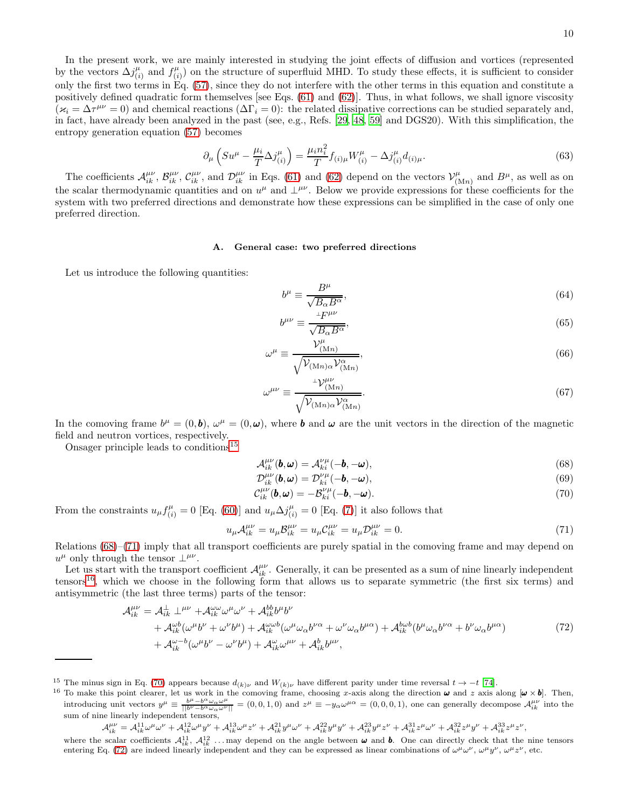In the present work, we are mainly interested in studying the joint effects of diffusion and vortices (represented by the vectors  $\Delta j^{\mu}_{(i)}$  $\binom{\mu}{i}$  and  $f_{(i)}^{\mu}$  $\binom{\mu}{i}$  on the structure of superfluid MHD. To study these effects, it is sufficient to consider only the first two terms in Eq. [\(57\)](#page-7-4), since they do not interfere with the other terms in this equation and constitute a positively defined quadratic form themselves [see Eqs. [\(61\)](#page-8-6) and [\(62\)](#page-8-8)]. Thus, in what follows, we shall ignore viscosity  $(\varkappa_i = \Delta \tau^{\mu\nu} = 0)$  and chemical reactions  $(\Delta \Gamma_i = 0)$ : the related dissipative corrections can be studied separately and, in fact, have already been analyzed in the past (see, e.g., Refs. [\[29,](#page-27-11) [48,](#page-28-2) [59](#page-28-12)] and DGS20). With this simplification, the entropy generation equation [\(57\)](#page-7-4) becomes

$$
\partial_{\mu} \left( S u^{\mu} - \frac{\mu_i}{T} \Delta j^{\mu}_{(i)} \right) = \frac{\mu_i n_i^2}{T} f_{(i)\mu} W^{\mu}_{(i)} - \Delta j^{\mu}_{(i)} d_{(i)\mu}.
$$
\n(63)

The coefficients  $\mathcal{A}_{ik}^{\mu\nu}$ ,  $\mathcal{B}_{ik}^{\mu\nu}$ ,  $\mathcal{C}_{ik}^{\mu\nu}$ , and  $\mathcal{D}_{ik}^{\mu\nu}$  in Eqs. [\(61\)](#page-8-6) and [\(62\)](#page-8-8) depend on the vectors  $\mathcal{V}_{(1)}^{\mu}$  $\mu_{(Mn)}^{\mu}$  and  $B^{\mu}$ , as well as on the scalar thermodynamic quantities and on  $u^{\mu}$  and  $\perp^{\mu\nu}$ . Below we provide expressions for these coefficients for the system with two preferred directions and demonstrate how these expressions can be simplified in the case of only one preferred direction.

## General case: two preferred directions

Let us introduce the following quantities:

<span id="page-9-6"></span>
$$
b^{\mu} \equiv \frac{B^{\mu}}{\sqrt{B_{\alpha}B^{\alpha}}},\tag{64}
$$

$$
b^{\mu\nu} \equiv \frac{F^{\mu\nu}}{\sqrt{B_{\alpha}B^{\alpha}}},\tag{65}
$$

$$
\omega^{\mu} \equiv \frac{\mathcal{V}^{\mu}_{(\text{M}n)}}{\sqrt{\mathcal{V}_{(\text{M}n)\alpha}\mathcal{V}^{\alpha}_{(\text{M}n)}}},\tag{66}
$$

$$
\omega^{\mu\nu} \equiv \frac{^{\perp} \mathcal{V}^{\mu\nu}_{(\text{M}n)}}{\sqrt{\mathcal{V}_{(\text{M}n)} \alpha \mathcal{V}^{\alpha}_{(\text{M}n)}}}. \tag{67}
$$

In the comoving frame  $b^{\mu} = (0, \mathbf{b}), \ \omega^{\mu} = (0, \omega)$ , where **b** and  $\omega$  are the unit vectors in the direction of the magnetic field and neutron vortices, respectively.

Onsager principle leads to conditions[15](#page-9-1)

<span id="page-9-2"></span>
$$
\mathcal{A}_{ik}^{\mu\nu}(\boldsymbol{b},\boldsymbol{\omega})=\mathcal{A}_{ki}^{\nu\mu}(-\boldsymbol{b},-\boldsymbol{\omega}),
$$
\n(68)

<span id="page-9-7"></span><span id="page-9-5"></span><span id="page-9-3"></span>
$$
\mathcal{D}_{ik}^{\mu\nu}(\boldsymbol{b},\boldsymbol{\omega})=\mathcal{D}_{ki}^{\nu\mu}(-\boldsymbol{b},-\boldsymbol{\omega}),\tag{69}
$$

<span id="page-9-0"></span>
$$
\mathcal{C}_{ik}^{\mu\nu}(\mathbf{b},\omega) = -\mathcal{B}_{ki}^{\nu\mu}(-\mathbf{b},-\omega). \tag{70}
$$

From the constraints  $u_{\mu} f_{(i)}^{\mu} = 0$  [Eq. [\(60\)](#page-7-6)] and  $u_{\mu} \Delta j_{(i)}^{\mu} = 0$  [Eq. [\(7\)](#page-2-7)] it also follows that

$$
u_{\mu} \mathcal{A}_{ik}^{\mu \nu} = u_{\mu} \mathcal{B}_{ik}^{\mu \nu} = u_{\mu} \mathcal{C}_{ik}^{\mu \nu} = u_{\mu} \mathcal{D}_{ik}^{\mu \nu} = 0. \tag{71}
$$

Relations [\(68\)](#page-9-2)–[\(71\)](#page-9-3) imply that all transport coefficients are purely spatial in the comoving frame and may depend on  $u^{\mu}$  only through the tensor  $\perp^{\mu\nu}$ .

Let us start with the transport coefficient  $\mathcal{A}_{ik}^{\mu\nu}$ . Generally, it can be presented as a sum of nine linearly independent tensors<sup>[16](#page-9-4)</sup>, which we choose in the following form that allows us to separate symmetric (the first six terms) and antisymmetric (the last three terms) parts of the tensor:

$$
\mathcal{A}_{ik}^{\mu\nu} = \mathcal{A}_{ik}^{\perp} \perp^{\mu\nu} + \mathcal{A}_{ik}^{\omega\omega}\omega^{\mu}\omega^{\nu} + \mathcal{A}_{ik}^{bb}\omega^{\mu}\omega^{\nu}
$$
\n
$$
+ \mathcal{A}_{ik}^{\omega(b}(\omega^{\mu}b^{\nu} + \omega^{\nu}b^{\mu}) + \mathcal{A}_{ik}^{\omega\omega(b^{\nu}\omega}(\omega^{\mu}\omega_{\alpha}b^{\nu\alpha} + \omega^{\nu}\omega_{\alpha}b^{\mu\alpha}) + \mathcal{A}_{ik}^{\omega(b^{\nu}\omega}(\omega^{\mu}b^{\nu}\omega_{\alpha}b^{\nu\alpha}) + \mathcal{A}_{ik}^{\omega-b}(\omega^{\mu}b^{\nu} - \omega^{\nu}b^{\mu}) + \mathcal{A}_{ik}^{\omega}\omega^{\mu\nu} + \mathcal{A}_{ik}^{b}b^{\mu\nu}, \tag{72}
$$

<sup>&</sup>lt;sup>15</sup> The minus sign in Eq. [\(70\)](#page-9-5) appears because  $d_{(k)\nu}$  and  $W_{(k)\nu}$  have different parity under time reversal  $t \to -t$  [\[74](#page-28-23)].

<span id="page-9-4"></span><span id="page-9-1"></span><sup>&</sup>lt;sup>16</sup> To make this point clearer, let us work in the comoving frame, choosing x-axis along the direction  $\omega$  and z axis along  $[\omega \times b]$ . Then, introducing unit vectors  $y^{\mu} \equiv \frac{b^{\mu} - b^{\alpha} \omega_{\alpha} \omega^{\mu}}{|b^{\nu} - b^{\alpha} \omega_{\alpha} \omega^{\nu}|} = (0, 0, 1, 0)$  and  $z^{\mu} \equiv -y_{\alpha} \omega^{\mu \alpha} = (0, 0, 0, 1)$ , one can generally decompose  $\mathcal{A}_{ik}^{\mu \nu}$  into the sum of nine linearly independent tensors,

 $\mathcal{A}^{\mu\nu}_{ik} = \mathcal{A}^{11}_{ik} \omega^{\mu} \omega^{\nu} + \mathcal{A}^{12}_{ik} \omega^{\mu} y^{\nu} + \mathcal{A}^{13}_{ik} y^{\mu} \omega^{\nu} + \mathcal{A}^{22}_{ik} y^{\mu} y^{\nu} + \mathcal{A}^{23}_{ik} y^{\mu} z^{\nu} + \mathcal{A}^{31}_{ik} z^{\mu} \omega^{\nu} + \mathcal{A}^{32}_{ik} z^{\mu} y^{\nu} + \mathcal{A}^{33}_{ik} z^{\mu} z^{\nu},$ 

where the scalar coefficients  $\mathcal{A}_{ik}^{11}$ ,  $\mathcal{A}_{ik}^{12}$  ... may depend on the angle between  $\omega$  and b. One can directly check that the nine tensors entering Eq. [\(72\)](#page-9-0) are indeed linearly independent and they can be expressed as linear combinations of  $\omega^{\mu}\omega^{\nu}$ ,  $\omega^{\mu}y^{\nu}$ ,  $\omega^{\mu}z^{\nu}$ , etc.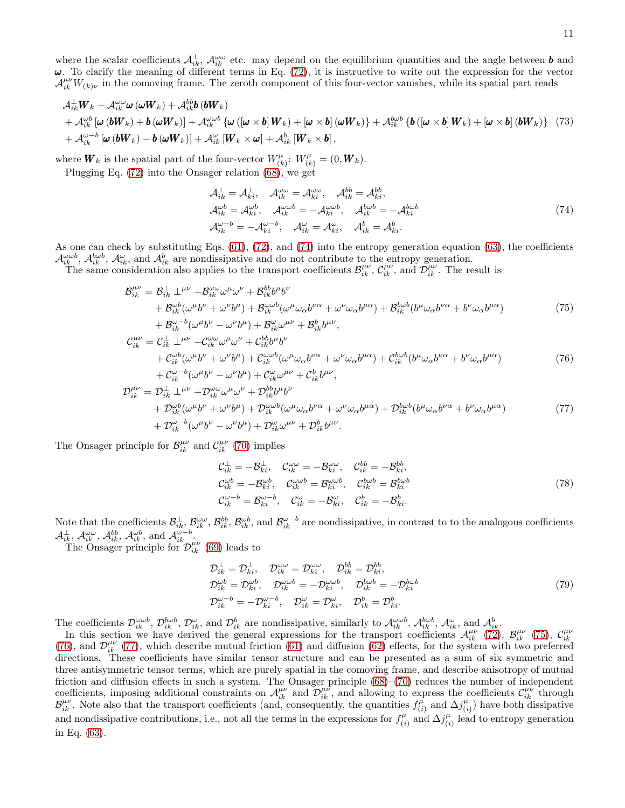where the scalar coefficients  $\mathcal{A}_{ik}^{\perp}, \mathcal{A}_{ik}^{\omega\omega}$  etc. may depend on the equilibrium quantities and the angle between **b** and  $\omega$ . To clarify the meaning of different terms in Eq. [\(72\)](#page-9-0), it is instructive to write out the expression for the vector  $\mathcal{A}_{ik}^{\mu\nu}W_{(k)\nu}$  in the comoving frame. The zeroth component of this four-vector vanishes, while its spatial part reads

$$
\mathcal{A}_{ik}^{\perp} \mathbf{W}_{k} + \mathcal{A}_{ik}^{\omega\omega} \boldsymbol{\omega} (\omega \mathbf{W}_{k}) + \mathcal{A}_{ik}^{bb} \boldsymbol{b} (\boldsymbol{b} \mathbf{W}_{k}) + \mathcal{A}_{ik}^{\omega b} [\boldsymbol{\omega} (\boldsymbol{b} \mathbf{W}_{k}) + \boldsymbol{b} (\omega \mathbf{W}_{k})] + \mathcal{A}_{ik}^{\omega b} {\boldsymbol{\omega} (\boldsymbol{b} \mathbf{W}_{k}) + [\boldsymbol{\omega} \times \boldsymbol{b}] (\boldsymbol{w} \mathbf{W}_{k})} + \mathcal{A}_{ik}^{\omega b} {\boldsymbol{\omega} (\boldsymbol{b} \mathbf{W}_{k}) + [\boldsymbol{\omega} \times \boldsymbol{b}] (\boldsymbol{b} \mathbf{W}_{k})},
$$
(73)  
+ 
$$
\mathcal{A}_{ik}^{\omega-b} [\boldsymbol{\omega} (\boldsymbol{b} \mathbf{W}_{k}) - \boldsymbol{b} (\boldsymbol{\omega} \mathbf{W}_{k})] + \mathcal{A}_{ik}^{\omega} [\mathbf{W}_{k} \times \boldsymbol{\omega}] + \mathcal{A}_{ik}^{b} [\mathbf{W}_{k} \times \boldsymbol{b}],
$$

where  $\boldsymbol{W}_k$  is the spatial part of the four-vector  $W_{lk}^{\mu}$  $W_{(k)}^{\mu}: W_{(k)}^{\mu} = (0, \boldsymbol{W}_k).$ 

Plugging Eq. [\(72\)](#page-9-0) into the Onsager relation [\(68\)](#page-9-2), we get

<span id="page-10-1"></span><span id="page-10-0"></span>
$$
\mathcal{A}_{ik}^{\perp} = \mathcal{A}_{ki}^{\perp}, \quad \mathcal{A}_{ik}^{\omega\omega} = \mathcal{A}_{ki}^{\omega\omega}, \quad \mathcal{A}_{ik}^{bb} = \mathcal{A}_{ki}^{bb},
$$
  
\n
$$
\mathcal{A}_{ik}^{\omega b} = \mathcal{A}_{ki}^{\omega b}, \quad \mathcal{A}_{ik}^{\omega\omega b} = -\mathcal{A}_{ki}^{\omega\omega b}, \quad \mathcal{A}_{ik}^{b\omega b} = -\mathcal{A}_{ki}^{b\omega b}
$$
  
\n
$$
\mathcal{A}_{ik}^{\omega - b} = -\mathcal{A}_{ki}^{\omega - b}, \quad \mathcal{A}_{ik}^{\omega} = \mathcal{A}_{ki}^{\omega}, \quad \mathcal{A}_{ik}^{b} = \mathcal{A}_{ki}^{b}.
$$
\n(74)

As one can check by substituting Eqs. [\(61\)](#page-8-6), [\(72\)](#page-9-0), and [\(74\)](#page-10-0) into the entropy generation equation [\(63\)](#page-9-6), the coefficients  $\mathcal{A}_{ik}^{\omega\omega b}$ ,  $\mathcal{A}_{ik}^{\omega b}$ ,  $\mathcal{A}_{ik}^{\omega}$ , and  $\mathcal{A}_{ik}^{b}$  are nondissipative and do not contribute to the entropy generation.

The same consideration also applies to the transport coefficients  $\mathcal{B}_{ik}^{\mu\nu}$ ,  $\mathcal{C}_{ik}^{\mu\nu}$ , and  $\mathcal{D}_{ik}^{\mu\nu}$ . The result is

$$
\mathcal{B}_{ik}^{\mu\nu} = \mathcal{B}_{ik}^{\perp} \perp^{\mu\nu} + \mathcal{B}_{ik}^{\omega\omega} \omega^{\mu} \omega^{\nu} + \mathcal{B}_{ik}^{bb} b^{\mu} b^{\nu} \n+ \mathcal{B}_{ik}^{\omega} (\omega^{\mu} b^{\nu} + \omega^{\nu} b^{\mu}) + \mathcal{B}_{ik}^{\omega\omega} (\omega^{\mu} \omega_{\alpha} b^{\nu\alpha} + \omega^{\nu} \omega_{\alpha} b^{\mu\alpha}) + \mathcal{B}_{ik}^{bb} (b^{\mu} \omega_{\alpha} b^{\nu\alpha} + b^{\nu} \omega_{\alpha} b^{\mu\alpha}) \n+ \mathcal{B}_{ik}^{\omega-b} (\omega^{\mu} b^{\nu} - \omega^{\nu} b^{\mu}) + \mathcal{B}_{ik}^{\omega} \omega^{\mu\nu} + \mathcal{B}_{ik}^{b} b^{\mu\nu},
$$
\n(75)

$$
\mathcal{C}_{ik}^{\mu\nu} = \mathcal{C}_{ik}^{\perp} \perp^{\mu\nu} + \mathcal{C}_{ik}^{\omega\omega} \omega^{\mu} \omega^{\nu} + \mathcal{C}_{ik}^{bb} b^{\mu} b^{\nu} \n+ \mathcal{C}_{ik}^{\omega b} (\omega^{\mu} b^{\nu} + \omega^{\nu} b^{\mu}) + \mathcal{C}_{ik}^{\omega\omega b} (\omega^{\mu} \omega_{\alpha} b^{\nu\alpha} + \omega^{\nu} \omega_{\alpha} b^{\mu\alpha}) + \mathcal{C}_{ik}^{bb} (b^{\mu} \omega_{\alpha} b^{\nu\alpha} + b^{\nu} \omega_{\alpha} b^{\mu\alpha})
$$
\n(76)

$$
+ C_{ik}^{\omega - b}(\omega^{\mu}b^{\nu} - \omega^{\nu}b^{\mu}) + C_{ik}^{\omega}\omega^{\mu\nu} + C_{ik}^{b}b^{\mu\nu},
$$
  
\n
$$
\mathcal{D}_{ik}^{\mu\nu} = \mathcal{D}_{ik}^{\perp} \perp^{\mu\nu} + \mathcal{D}_{ik}^{\omega\omega}\omega^{\mu}\omega^{\nu} + \mathcal{D}_{ik}^{bb}\omega^{\mu}b^{\nu}b^{\nu}
$$
  
\n
$$
+ \mathcal{D}_{ik}^{\omega b}(\omega^{\mu}b^{\nu} + \omega^{\nu}b^{\mu}) + \mathcal{D}_{ik}^{\omega\omega b}(\omega^{\mu}\omega_{\alpha}b^{\nu\alpha} + \omega^{\nu}\omega_{\alpha}b^{\mu\alpha}) + \mathcal{D}_{ik}^{b\omega b}(b^{\mu}\omega_{\alpha}b^{\nu\alpha} + b^{\nu}\omega_{\alpha}b^{\mu\alpha})
$$
  
\n
$$
+ \mathcal{D}_{ik}^{\omega - b}(\omega^{\mu}b^{\nu} - \omega^{\nu}b^{\mu}) + \mathcal{D}_{ik}^{\omega}\omega^{\mu\nu} + \mathcal{D}_{ik}^{b}b^{\mu\nu}.
$$
\n(77)

The Onsager principle for  $\mathcal{B}_{ik}^{\mu\nu}$  and  $\mathcal{C}_{ik}^{\mu\nu}$  [\(70\)](#page-9-5) implies

<span id="page-10-4"></span><span id="page-10-3"></span><span id="page-10-2"></span>
$$
\mathcal{C}_{ik}^{\perp} = -\mathcal{B}_{ki}^{\perp}, \quad \mathcal{C}_{ik}^{\omega\omega} = -\mathcal{B}_{ki}^{\omega\omega}, \quad \mathcal{C}_{ik}^{bb} = -\mathcal{B}_{ki}^{bb},
$$
\n
$$
\mathcal{C}_{ik}^{\omega b} = -\mathcal{B}_{ki}^{\omega b}, \quad \mathcal{C}_{ik}^{\omega \omega b} = \mathcal{B}_{ki}^{\omega \omega b}, \quad \mathcal{C}_{ik}^{\lambda b} = \mathcal{B}_{ki}^{b}.
$$
\n
$$
\mathcal{C}_{ik}^{\omega - b} = \mathcal{B}_{ki}^{\omega - b}, \quad \mathcal{C}_{ik}^{\omega} = -\mathcal{B}_{ki}^{\omega}, \quad \mathcal{C}_{ik}^{b} = -\mathcal{B}_{ki}^{b}.
$$
\n
$$
(78)
$$

Note that the coefficients  $\mathcal{B}_{ik}^{\perp}, \mathcal{B}_{ik}^{\omega\omega}, \mathcal{B}_{ik}^{bb}, \mathcal{B}_{ik}^{\omega b}$ , and  $\mathcal{B}_{ik}^{\omega-b}$  are nondissipative, in contrast to to the analogous coefficients  $\mathcal{A}_{ik}^{\perp}, \mathcal{A}_{ik}^{\omega\omega}, \mathcal{A}_{ik}^{bb}, \mathcal{A}_{ik}^{\omega b}, \text{ and } \mathcal{A}_{ik}^{\omega-b}$ 

The Onsager principle for  $\mathcal{D}_{ik}^{\mu\nu}$  [\(69\)](#page-9-7) leads to

<span id="page-10-5"></span>
$$
\mathcal{D}_{ik}^{\perp} = \mathcal{D}_{ki}^{\perp}, \quad \mathcal{D}_{ik}^{\omega\omega} = \mathcal{D}_{ki}^{\omega\omega}, \quad \mathcal{D}_{ik}^{bb} = \mathcal{D}_{ki}^{bb},
$$
\n
$$
\mathcal{D}_{ik}^{\omega b} = \mathcal{D}_{ki}^{\omega b}, \quad \mathcal{D}_{ik}^{\omega\omega b} = -\mathcal{D}_{ki}^{\omega b}, \quad \mathcal{D}_{ik}^{b\omega b} = -\mathcal{D}_{ki}^{b\omega b}
$$
\n
$$
\mathcal{D}_{ik}^{\omega - b} = -\mathcal{D}_{ki}^{\omega - b}, \quad \mathcal{D}_{ik}^{\omega} = \mathcal{D}_{ki}^{\omega}, \quad \mathcal{D}_{ik}^{b} = \mathcal{D}_{ki}^{b}.
$$
\n(79)

The coefficients  $\mathcal{D}_{ik}^{\omega\omega b}$ ,  $\mathcal{D}_{ik}^{\omega b}$ ,  $\mathcal{D}_{ik}^{\omega}$ , and  $\mathcal{D}_{ik}^b$  are nondissipative, similarly to  $\mathcal{A}_{ik}^{\omega\omega b}$ ,  $\mathcal{A}_{ik}^{\omega b}$ ,  $\mathcal{A}_{ik}^{\omega}$ , and  $\mathcal{A}_{ik}^b$ .

In this section we have derived the general expressions for the transport coefficients  $\mathcal{A}_{ik}^{\mu\nu}$  [\(72\)](#page-9-0),  $\mathcal{B}_{ik}^{\mu\nu}$  [\(75\)](#page-10-1),  $\mathcal{C}_{ik}^{\mu\nu}$ <br>[\(76\)](#page-10-2), and  $\mathcal{D}_{ik}^{\mu\nu}$  [\(77\)](#page-10-3), which describe mutual friction [\(61\)](#page-8-6) an directions. These coefficients have similar tensor structure and can be presented as a sum of six symmetric and three antisymmetric tensor terms, which are purely spatial in the comoving frame, and describe anisotropy of mutual friction and diffusion effects in such a system. The Onsager principle [\(68\)](#page-9-2)–[\(70\)](#page-9-5) reduces the number of independent coefficients, imposing additional constraints on  $\mathcal{A}_{ik}^{\mu\nu}$  and  $\mathcal{D}_{ik}^{\mu\nu}$ , and allowing to express the coefficients  $\mathcal{C}_{ik}^{\mu\nu}$  through  $\mathcal{B}_{ik}^{\mu\nu}$ . Note also that the transport coefficients (and, consequently, the quantities  $f_{(i)}^{\mu}$  $\alpha_{(i)}^{\mu}$  and  $\Delta j_{(i)}^{\mu}$  $\binom{\mu}{i}$  have both dissipative and nondissipative contributions, i.e., not all the terms in the expressions for  $f_{ij}^{\mu}$  $\sum_{(i)}^{\mu}$  and  $\Delta j^{\mu}_{(i)}$  $\binom{\mu}{i}$  lead to entropy generation in Eq. [\(63\)](#page-9-6).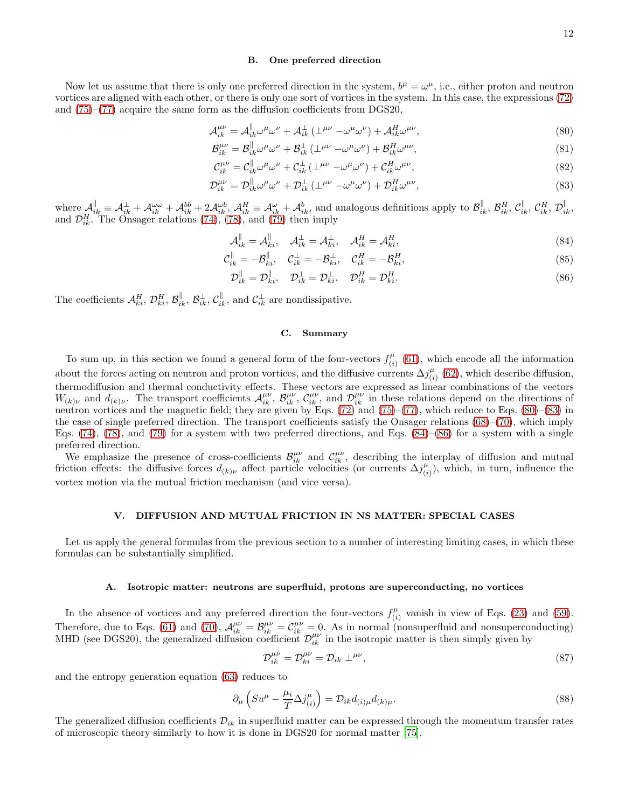# <span id="page-11-7"></span><span id="page-11-1"></span>B. One preferred direction

Now let us assume that there is only one preferred direction in the system,  $b^{\mu} = \omega^{\mu}$ , i.e., either proton and neutron vortices are aligned with each other, or there is only one sort of vortices in the system. In this case, the expressions [\(72\)](#page-9-0) and [\(75\)](#page-10-1)–[\(77\)](#page-10-3) acquire the same form as the diffusion coefficients from DGS20,

$$
\mathcal{A}_{ik}^{\mu\nu} = \mathcal{A}_{ik}^{\parallel} \omega^{\mu} \omega^{\nu} + \mathcal{A}_{ik}^{\perp} \left( \perp^{\mu\nu} - \omega^{\mu} \omega^{\nu} \right) + \mathcal{A}_{ik}^{H} \omega^{\mu\nu},\tag{80}
$$

$$
\mathcal{B}_{ik}^{\mu\nu} = \mathcal{B}_{ik}^{\parallel}\omega^{\mu}\omega^{\nu} + \mathcal{B}_{ik}^{\perp}\left(\perp^{\mu\nu} - \omega^{\mu}\omega^{\nu}\right) + \mathcal{B}_{ik}^{H}\omega^{\mu\nu},\tag{81}
$$

$$
\mathcal{C}_{ik}^{\mu\nu} = \mathcal{C}_{ik}^{\parallel}\omega^{\mu}\omega^{\nu} + \mathcal{C}_{ik}^{\perp}\left(\perp^{\mu\nu} - \omega^{\mu}\omega^{\nu}\right) + \mathcal{C}_{ik}^{H}\omega^{\mu\nu},\tag{82}
$$

$$
\mathcal{D}_{ik}^{\mu\nu} = \mathcal{D}_{ik}^{\parallel} \omega^{\mu} \omega^{\nu} + \mathcal{D}_{ik}^{\perp} \left( \perp^{\mu\nu} - \omega^{\mu} \omega^{\nu} \right) + \mathcal{D}_{ik}^{H} \omega^{\mu\nu},\tag{83}
$$

where  $\mathcal{A}_{ik}^{\parallel} \equiv \mathcal{A}_{ik}^{\perp} + \mathcal{A}_{ik}^{\omega\omega} + \mathcal{A}_{ik}^{bb} + 2\mathcal{A}_{ik}^{\omega b}$ ,  $\mathcal{A}_{ik}^{H} \equiv \mathcal{A}_{ik}^{\omega} + \mathcal{A}_{ik}^{b}$ , and analogous definitions apply to  $\mathcal{B}_{ik}^{\parallel}$ ,  $\mathcal{B}_{ik}^{H}$ ,  $\mathcal{C}_{ik}^{\parallel}$ ,  $\mathcal{C}_{ik}^{H}$ ,  $\math$ and  $\mathcal{D}_{ik}^H$ . The Onsager relations [\(74\)](#page-10-0), [\(78\)](#page-10-4), and [\(79\)](#page-10-5) then imply

$$
\mathcal{A}_{ik}^{\parallel} = \mathcal{A}_{ki}^{\parallel}, \quad \mathcal{A}_{ik}^{\perp} = \mathcal{A}_{ki}^{\perp}, \quad \mathcal{A}_{ik}^{H} = \mathcal{A}_{ki}^{H}, \tag{84}
$$

$$
\mathcal{C}_{ik}^{\parallel} = -\mathcal{B}_{ki}^{\parallel}, \quad \mathcal{C}_{ik}^{\perp} = -\mathcal{B}_{ki}^{\perp}, \quad \mathcal{C}_{ik}^{H} = -\mathcal{B}_{ki}^{H}, \tag{85}
$$

$$
\mathcal{D}_{ik}^{\parallel} = \mathcal{D}_{ki}^{\parallel}, \quad \mathcal{D}_{ik}^{\perp} = \mathcal{D}_{ki}^{\perp}, \quad \mathcal{D}_{ik}^{H} = \mathcal{D}_{ki}^{H}.
$$
\n
$$
(86)
$$

The coefficients  $\mathcal{A}_{ki}^H$ ,  $\mathcal{D}_{ki}^H$ ,  $\mathcal{B}_{ik}^{\parallel}$ ,  $\mathcal{B}_{ik}^{\perp}$ ,  $\mathcal{C}_{ik}^{\parallel}$ , and  $\mathcal{C}_{ik}^{\perp}$  are nondissipative.

#### <span id="page-11-5"></span><span id="page-11-4"></span><span id="page-11-3"></span><span id="page-11-2"></span>C. Summary

To sum up, in this section we found a general form of the four-vectors  $f_{ij}^{\mu}$  $\binom{\mu}{i}$  [\(61\)](#page-8-6), which encode all the information about the forces acting on neutron and proton vortices, and the diffusive currents  $\Delta j_{ij}^{\mu}$  $\binom{\mu}{i}$  [\(62\)](#page-8-8), which describe diffusion, thermodiffusion and thermal conductivity effects. These vectors are expressed as linear combinations of the vectors  $W_{(k)\nu}$  and  $d_{(k)\nu}$ . The transport coefficients  $\mathcal{A}_{ik}^{\mu\nu}$ ,  $\mathcal{B}_{ik}^{\mu\nu}$ ,  $\mathcal{C}_{ik}^{\mu\nu}$ , and  $\mathcal{D}_{ik}^{\mu\nu}$  in these relations depend on the directions of neutron vortices and the magnetic field; they are given by Eqs. [\(72\)](#page-9-0) and [\(75\)](#page-10-1)–[\(77\)](#page-10-3), which reduce to Eqs. [\(80\)](#page-11-1)–[\(83\)](#page-11-2) in the case of single preferred direction. The transport coefficients satisfy the Onsager relations  $(68)–(70)$  $(68)–(70)$ , which imply Eqs.  $(74)$ ,  $(78)$ , and  $(79)$  for a system with two preferred directions, and Eqs.  $(84)$ – $(86)$  for a system with a single preferred direction.

We emphasize the presence of cross-coefficients  $\mathcal{B}_{ik}^{\mu\nu}$  and  $\mathcal{C}_{ik}^{\mu\nu}$ , describing the interplay of diffusion and mutual friction effects: the diffusive forces  $d_{(k)\nu}$  affect particle velocities (or currents  $\Delta j_{(i)}^{\mu}$  $\binom{\mu}{i}$ , which, in turn, influence the vortex motion via the mutual friction mechanism (and vice versa).

# <span id="page-11-0"></span>V. DIFFUSION AND MUTUAL FRICTION IN NS MATTER: SPECIAL CASES

Let us apply the general formulas from the previous section to a number of interesting limiting cases, in which these formulas can be substantially simplified.

#### A. Isotropic matter: neutrons are superfluid, protons are superconducting, no vortices

In the absence of vortices and any preferred direction the four-vectors  $f_{ij}^{\mu}$  $\binom{\mu}{i}$  vanish in view of Eqs. [\(23\)](#page-4-2) and [\(59\)](#page-7-0). Therefore, due to Eqs. [\(61\)](#page-8-6) and [\(70\)](#page-9-5),  $\mathcal{A}_{ik}^{\mu\nu} = \mathcal{B}_{ik}^{\mu\nu} = \mathcal{C}_{ik}^{\mu\nu} = 0$ . As in normal (nonsuperfluid and nonsuperconducting) MHD (see DGS20), the generalized diffusion coefficient  $\mathcal{D}_{ik}^{\mu\nu}$  in the isotropic matter is then simply given by

<span id="page-11-6"></span>
$$
\mathcal{D}_{ik}^{\mu\nu} = \mathcal{D}_{ki}^{\mu\nu} = \mathcal{D}_{ik} \perp^{\mu\nu},\tag{87}
$$

and the entropy generation equation [\(63\)](#page-9-6) reduces to

$$
\partial_{\mu} \left( S u^{\mu} - \frac{\mu_i}{T} \Delta j_{(i)}^{\mu} \right) = \mathcal{D}_{ik} d_{(i)\mu} d_{(k)\mu}.
$$
\n(88)

The generalized diffusion coefficients  $\mathcal{D}_{ik}$  in superfluid matter can be expressed through the momentum transfer rates of microscopic theory similarly to how it is done in DGS20 for normal matter [\[75](#page-28-24)].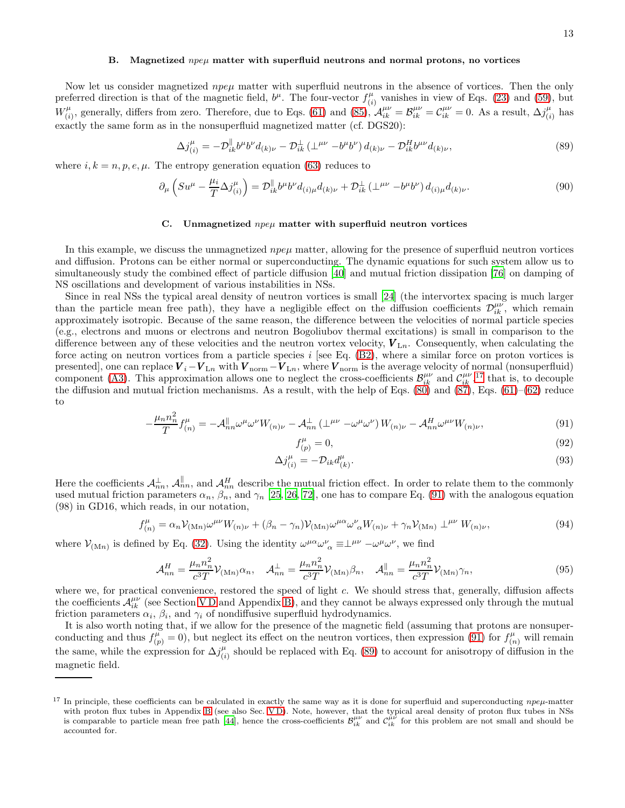#### B. Magnetized  $npe\mu$  matter with superfluid neutrons and normal protons, no vortices

Now let us consider magnetized  $npe\mu$  matter with superfluid neutrons in the absence of vortices. Then the only preferred direction is that of the magnetic field,  $b^{\mu}$ . The four-vector  $f^{\mu}_{ij}$  $\binom{\mu}{i}$  vanishes in view of Eqs. [\(23\)](#page-4-2) and [\(59\)](#page-7-0), but  $W^{\mu}_{(i)}$  $(\hat{i}_i)$ , generally, differs from zero. Therefore, due to Eqs. [\(61\)](#page-8-6) and [\(85\)](#page-11-5),  $\mathcal{A}_{ik}^{\mu\nu} = \mathcal{B}_{ik}^{\mu\nu} = \mathcal{C}_{ik}^{\mu\nu} = 0$ . As a result,  $\Delta j_{(i)}^{\mu}$  $\binom{\mu}{i}$  has exactly the same form as in the nonsuperfluid magnetized matter (cf. DGS20):

<span id="page-12-2"></span>
$$
\Delta j_{(i)}^{\mu} = -\mathcal{D}_{ik}^{\parallel} b^{\mu} b^{\nu} d_{(k)\nu} - \mathcal{D}_{ik}^{\perp} (\perp^{\mu\nu} - b^{\mu} b^{\nu}) d_{(k)\nu} - \mathcal{D}_{ik}^{H} b^{\mu\nu} d_{(k)\nu},\tag{89}
$$

where  $i, k = n, p, e, \mu$ . The entropy generation equation [\(63\)](#page-9-6) reduces to

$$
\partial_{\mu} \left( S u^{\mu} - \frac{\mu_i}{T} \Delta j_{(i)}^{\mu} \right) = \mathcal{D}_{ik}^{\parallel} b^{\mu} b^{\nu} d_{(i) \mu} d_{(k) \nu} + \mathcal{D}_{ik}^{\perp} \left( \perp^{\mu \nu} - b^{\mu} b^{\nu} \right) d_{(i) \mu} d_{(k) \nu}.
$$
\n(90)

## <span id="page-12-3"></span>C. Unmagnetized  $npe\mu$  matter with superfluid neutron vortices

In this example, we discuss the unmagnetized  $npe\mu$  matter, allowing for the presence of superfluid neutron vortices and diffusion. Protons can be either normal or superconducting. The dynamic equations for such system allow us to simultaneously study the combined effect of particle diffusion [\[40\]](#page-27-16) and mutual friction dissipation [\[76](#page-28-25)] on damping of NS oscillations and development of various instabilities in NSs.

Since in real NSs the typical areal density of neutron vortices is small [\[24\]](#page-27-21) (the intervortex spacing is much larger than the particle mean free path), they have a negligible effect on the diffusion coefficients  $\mathcal{D}_{ik}^{\mu\nu}$ , which remain approximately isotropic. Because of the same reason, the difference between the velocities of normal particle species (e.g., electrons and muons or electrons and neutron Bogoliubov thermal excitations) is small in comparison to the difference between any of these velocities and the neutron vortex velocity,  $V_{\text{L}n}$ . Consequently, when calculating the force acting on neutron vortices from a particle species  $i$  [see Eq. [\(B2\)](#page-24-0), where a similar force on proton vortices is presented], one can replace  $V_i - V_{Ln}$  with  $V_{norm} - V_{Ln}$ , where  $V_{norm}$  is the average velocity of normal (nonsuperfluid) component [\(A3\)](#page-19-1). This approximation allows one to neglect the cross-coefficients  $\mathcal{B}_{ik}^{\mu\nu}$  and  $\mathcal{C}_{ik}^{\mu\nu}$ , <sup>[17](#page-12-0)</sup> that is, to decouple the diffusion and mutual friction mechanisms. As a result, with the help of Eqs. [\(80\)](#page-11-1) and [\(87\)](#page-11-6), Eqs. [\(61\)](#page-8-6)–[\(62\)](#page-8-8) reduce to

$$
-\frac{\mu_n n_n^2}{T} f_{(n)}^\mu = -\mathcal{A}_{nn}^{\parallel} \omega^\mu \omega^\nu W_{(n)\nu} - \mathcal{A}_{nn}^{\perp} \left(\perp^{\mu\nu} - \omega^\mu \omega^\nu\right) W_{(n)\nu} - \mathcal{A}_{nn}^H \omega^{\mu\nu} W_{(n)\nu},\tag{91}
$$

<span id="page-12-4"></span><span id="page-12-1"></span>
$$
f_{(p)}^{\mu} = 0,\tag{92}
$$

$$
\Delta j_{(i)}^{\mu} = -\mathcal{D}_{ik} d_{(k)}^{\mu}.
$$
\n
$$
(93)
$$

Here the coefficients  $\mathcal{A}_{nn}^{\perp}$ ,  $\mathcal{A}_{nn}^{\parallel}$ , and  $\mathcal{A}_{nn}^H$  describe the mutual friction effect. In order to relate them to the commonly used mutual friction parameters  $\alpha_n$ ,  $\beta_n$ , and  $\gamma_n$  [\[25](#page-27-20), [26,](#page-27-8) [72\]](#page-28-20), one has to compare Eq. [\(91\)](#page-12-1) with the analogous equation (98) in GD16, which reads, in our notation,

$$
f_{(n)}^{\mu} = \alpha_n \mathcal{V}_{(Mn)} \omega^{\mu\nu} W_{(n)\nu} + (\beta_n - \gamma_n) \mathcal{V}_{(Mn)} \omega^{\mu\alpha} \omega^{\nu}_{\alpha} W_{(n)\nu} + \gamma_n \mathcal{V}_{(Mn)} \perp^{\mu\nu} W_{(n)\nu},\tag{94}
$$

where  $\mathcal{V}_{(Mn)}$  is defined by Eq. [\(32\)](#page-5-9). Using the identity  $\omega^{\mu\alpha}\omega^{\nu}_{\alpha} \equiv \perp^{\mu\nu} - \omega^{\mu}\omega^{\nu}$ , we find

$$
\mathcal{A}_{nn}^H = \frac{\mu_n n_n^2}{c^3 T} \mathcal{V}_{(Mn)} \alpha_n, \quad \mathcal{A}_{nn}^\perp = \frac{\mu_n n_n^2}{c^3 T} \mathcal{V}_{(Mn)} \beta_n, \quad \mathcal{A}_{nn}^\parallel = \frac{\mu_n n_n^2}{c^3 T} \mathcal{V}_{(Mn)} \gamma_n,\tag{95}
$$

where we, for practical convenience, restored the speed of light c. We should stress that, generally, diffusion affects the coefficients  $\mathcal{A}_{ik}^{\mu\nu}$  (see Section VD and Appendix [B\)](#page-23-0), and they cannot be always expressed only through the mutual friction parameters  $\alpha_i$ ,  $\beta_i$ , and  $\gamma_i$  of nondiffusive superfluid hydrodynamics.

It is also worth noting that, if we allow for the presence of the magnetic field (assuming that protons are nonsuperconducting and thus  $f_{(p)}^{\mu} = 0$ , but neglect its effect on the neutron vortices, then expression [\(91\)](#page-12-1) for  $f_{(n)}^{\mu}$  will remain the same, while the expression for  $\Delta j_{ij}^{\mu}$  $\binom{\mu}{i}$  should be replaced with Eq. [\(89\)](#page-12-2) to account for anisotropy of diffusion in the magnetic field.

<span id="page-12-0"></span><sup>&</sup>lt;sup>17</sup> In principle, these coefficients can be calculated in exactly the same way as it is done for superfluid and superconducting  $npe\mu$ -matter with proton flux tubes in Appendix [B](#page-23-0) (see also Sec. VD). Note, however, that the typical areal density of proton flux tubes in NSs is comparable to particle mean free path [\[44](#page-28-0)], hence the cross-coefficients  $\mathcal{B}_{ik}^{\mu\nu}$  and  $\mathcal{C}_{ik}^{\mu\nu}$  for this problem are not small and should be accounted for.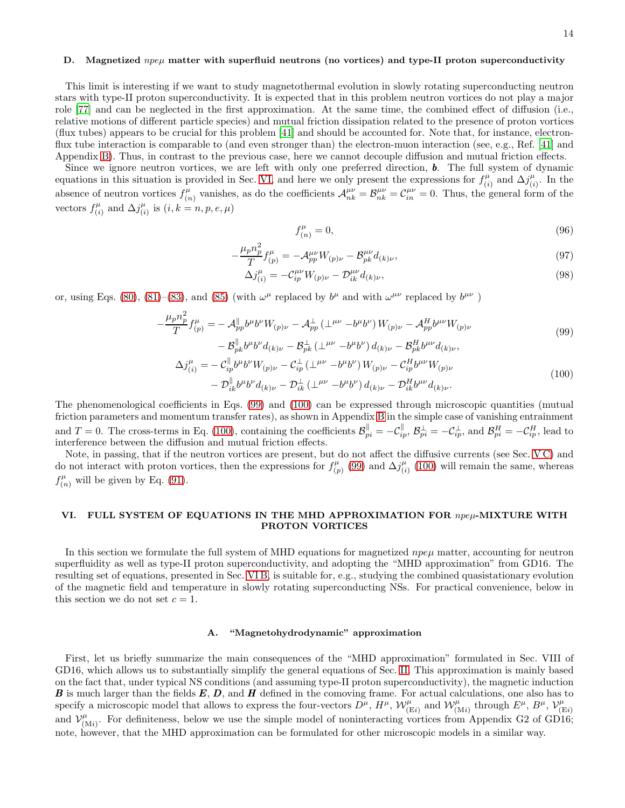### <span id="page-13-2"></span>D. Magnetized  $npe\mu$  matter with superfluid neutrons (no vortices) and type-II proton superconductivity

This limit is interesting if we want to study magnetothermal evolution in slowly rotating superconducting neutron stars with type-II proton superconductivity. It is expected that in this problem neutron vortices do not play a major role [\[77\]](#page-28-26) and can be neglected in the first approximation. At the same time, the combined effect of diffusion (i.e., relative motions of different particle species) and mutual friction dissipation related to the presence of proton vortices (flux tubes) appears to be crucial for this problem [\[41\]](#page-27-17) and should be accounted for. Note that, for instance, electronflux tube interaction is comparable to (and even stronger than) the electron-muon interaction (see, e.g., Ref. [\[41](#page-27-17)] and Appendix [B\)](#page-23-0). Thus, in contrast to the previous case, here we cannot decouple diffusion and mutual friction effects.

Since we ignore neutron vortices, we are left with only one preferred direction,  $\boldsymbol{b}$ . The full system of dynamic equations in this situation is provided in Sec. [VI,](#page-13-0) and here we only present the expressions for  $f_{ij}^{\mu}$  $\alpha_{(i)}^{\mu}$  and  $\Delta j_{(i)}^{\mu}$  $\binom{\mu}{i}$ . In the absence of neutron vortices  $f_{\alpha}^{\mu}$  $\mathcal{L}_{(n)}^{\mu}$  vanishes, as do the coefficients  $\mathcal{A}_{nk}^{\mu\nu} = \mathcal{B}_{nk}^{\mu\nu} = \mathcal{C}_{in}^{\mu\nu} = 0$ . Thus, the general form of the vectors  $f^{\mu}_{(i)}$  $\chi_{(i)}^{\mu}$  and  $\Delta j_{(i)}^{\mu}$  $\binom{\mu}{i}$  is  $(i, k = n, p, e, \mu)$ 

<span id="page-13-4"></span><span id="page-13-3"></span>
$$
f_{(n)}^{\mu} = 0,\t\t(96)
$$

$$
-\frac{\mu_p n_p^2}{T} f_{(p)}^{\mu} = -\mathcal{A}_{pp}^{\mu\nu} W_{(p)\nu} - \mathcal{B}_{pk}^{\mu\nu} d_{(k)\nu},\tag{97}
$$

$$
\Delta j_{(i)}^{\mu} = -\mathcal{C}_{ip}^{\mu\nu} W_{(p)\nu} - \mathcal{D}_{ik}^{\mu\nu} d_{(k)\nu},\tag{98}
$$

or, using Eqs. [\(80\)](#page-11-1), [\(81\)](#page-11-7)–[\(83\)](#page-11-2), and [\(85\)](#page-11-5) (with  $\omega^{\mu}$  replaced by  $b^{\mu}$  and with  $\omega^{\mu\nu}$  replaced by  $b^{\mu\nu}$ )

$$
-\frac{\mu_p n_p^2}{T} f_{(p)}^{\mu} = -\mathcal{A}_{pp}^{\parallel} b^{\mu} b^{\nu} W_{(p)\nu} - \mathcal{A}_{pp}^{\perp} (\perp^{\mu\nu} - b^{\mu} b^{\nu}) W_{(p)\nu} - \mathcal{A}_{pp}^{H} b^{\mu\nu} W_{(p)\nu}
$$
\n(99)

$$
- \mathcal{B}_{pk}^{\parallel} b^{\mu} b^{\nu} d_{(k)\nu} - \mathcal{B}_{pk}^{\perp} (\perp^{\mu\nu} - b^{\mu} b^{\nu}) d_{(k)\nu} - \mathcal{B}_{pk}^{H} b^{\mu\nu} d_{(k)\nu},
$$
  

$$
\Delta j_{(i)}^{\mu} = - \mathcal{C}_{ip}^{\parallel} b^{\mu} b^{\nu} W_{(p)\nu} - \mathcal{C}_{ip}^{\perp} (\perp^{\mu\nu} - b^{\mu} b^{\nu}) W_{(p)\nu} - \mathcal{C}_{ip}^{H} b^{\mu\nu} W_{(p)\nu}
$$
  

$$
- \mathcal{D}_{ik}^{\parallel} b^{\mu} b^{\nu} d_{(k)\nu} - \mathcal{D}_{ik}^{\perp} (\perp^{\mu\nu} - b^{\mu} b^{\nu}) d_{(k)\nu} - \mathcal{D}_{ik}^{H} b^{\mu\nu} d_{(k)\nu}.
$$
 (100)

The phenomenological coefficients in Eqs. [\(99\)](#page-13-3) and [\(100\)](#page-13-4) can be expressed through microscopic quantities (mutual friction parameters and momentum transfer rates), as shown in Appendix [B](#page-23-0) in the simple case of vanishing entrainment and  $T = 0$ . The cross-terms in Eq. [\(100\)](#page-13-4), containing the coefficients  $\mathcal{B}_{pi}^{\parallel} = -\mathcal{C}_{ip}^{\parallel}, \mathcal{B}_{pi}^{\perp} = -\mathcal{C}_{ip}^{\perp},$  and  $\mathcal{B}_{pi}^{H} = -\mathcal{C}_{ip}^{H}$ , lead to interference between the diffusion and mutual friction effects.

Note, in passing, that if the neutron vortices are present, but do not affect the diffusive currents (see Sec. [V C\)](#page-12-3) and do not interact with proton vortices, then the expressions for  $f_{\alpha}^{\mu}$  $\chi_{(p)}^{\mu}$  [\(99\)](#page-13-3) and  $\Delta j_{(i)}^{\mu}$  $\binom{\mu}{i}$  [\(100\)](#page-13-4) will remain the same, whereas  $f_{(n)}^{\mu}$  will be given by Eq. [\(91\)](#page-12-1).

# <span id="page-13-0"></span>VI. FULL SYSTEM OF EQUATIONS IN THE MHD APPROXIMATION FOR npeµ-MIXTURE WITH PROTON VORTICES

In this section we formulate the full system of MHD equations for magnetized  $npe\mu$  matter, accounting for neutron superfluidity as well as type-II proton superconductivity, and adopting the "MHD approximation" from GD16. The resulting set of equations, presented in Sec. [VI B,](#page-16-1) is suitable for, e.g., studying the combined quasistationary evolution of the magnetic field and temperature in slowly rotating superconducting NSs. For practical convenience, below in this section we do not set  $c = 1$ .

### <span id="page-13-1"></span>A. "Magnetohydrodynamic" approximation

First, let us briefly summarize the main consequences of the "MHD approximation" formulated in Sec. VIII of GD16, which allows us to substantially simplify the general equations of Sec. [II.](#page-2-0) This approximation is mainly based on the fact that, under typical NS conditions (and assuming type-II proton superconductivity), the magnetic induction **B** is much larger than the fields  $E, D$ , and  $H$  defined in the comoving frame. For actual calculations, one also has to specify a microscopic model that allows to express the four-vectors  $\overline{D}^{\mu}$ ,  $H^{\mu}$ ,  $\mathcal{W}_{(\text{E}i)}^{\mu}$  and  $\mathcal{W}_{(\text{M}i)}^{\mu}$  through  $E^{\mu}$ ,  $B^{\mu}$ ,  $\mathcal{V}_{(\text{F}i)}^{\mu}$  $(Ei)$ and  $\mathcal{V}_{(1)}^{\mu}$  $\binom{\mu}{(M_i)}$ . For definiteness, below we use the simple model of noninteracting vortices from Appendix G2 of GD16; note, however, that the MHD approximation can be formulated for other microscopic models in a similar way.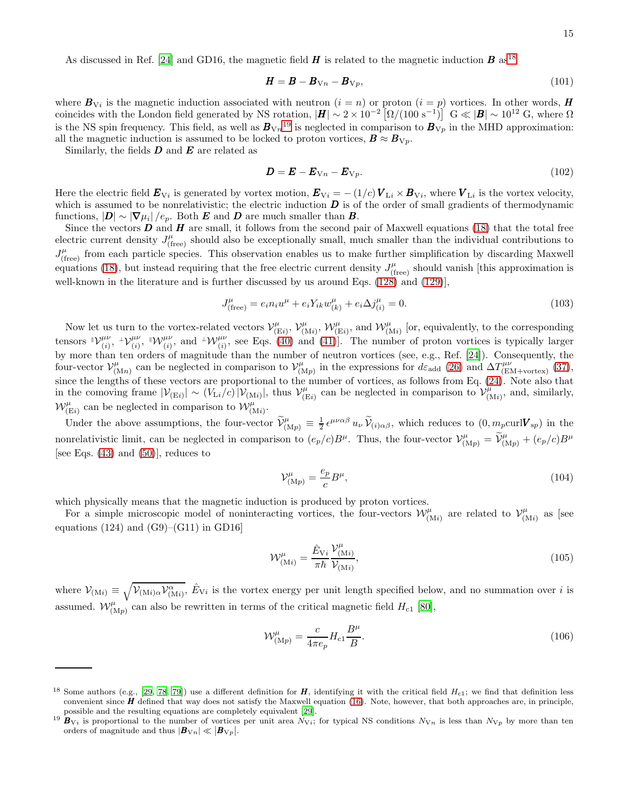$$
\boldsymbol{H} = \boldsymbol{B} - \boldsymbol{B}_{Vn} - \boldsymbol{B}_{Vp},\tag{101}
$$

where  $B_{Vi}$  is the magnetic induction associated with neutron  $(i = n)$  or proton  $(i = p)$  vortices. In other words, H coincides with the London field generated by NS rotation,  $|H| \sim 2 \times 10^{-2} \left[ \Omega/(100 \text{ s}^{-1}) \right] \text{ G} \ll |\mathcal{B}| \sim 10^{12} \text{ G}$ , where  $\Omega$ is the NS spin frequency. This field, as well as  $B_{Vn}$ <sup>[19](#page-14-3)</sup> is neglected in comparison to  $B_{Vp}$  in the MHD approximation: all the magnetic induction is assumed to be locked to proton vortices,  $\mathbf{B} \approx \mathbf{B}_{V_p}$ .

Similarly, the fields  $\boldsymbol{D}$  and  $\boldsymbol{E}$  are related as

<span id="page-14-5"></span>
$$
\mathbf{D} = \mathbf{E} - \mathbf{E}_{Vn} - \mathbf{E}_{Vp}.\tag{102}
$$

Here the electric field  $E_{Vi}$  is generated by vortex motion,  $E_{Vi} = -(1/c) V_{Li} \times B_{Vi}$ , where  $V_{Li}$  is the vortex velocity, which is assumed to be nonrelativistic; the electric induction  $\bm{D}$  is of the order of small gradients of thermodynamic functions,  $|\mathbf{D}| \sim |\nabla \mu_i|/e_p$ . Both **E** and **D** are much smaller than **B**.

Since the vectors  $D$  and  $H$  are small, it follows from the second pair of Maxwell equations [\(18\)](#page-3-8) that the total free electric current density  $J_{(\text{free})}^{\mu}$  should also be exceptionally small, much smaller than the individual contributions to  $J_{\text{(free)}}^{\mu}$  from each particle species. This observation enables us to make further simplification by discarding Maxwell equations [\(18\)](#page-3-8), but instead requiring that the free electric current density  $J_{(\text{free})}^{\mu}$  should vanish [this approximation is well-known in the literature and is further discussed by us around Eqs. [\(128\)](#page-16-2) and [\(129\)](#page-16-0)],

$$
J_{\text{(free)}}^{\mu} = e_i n_i u^{\mu} + e_i Y_{ik} w_{(k)}^{\mu} + e_i \Delta j_{(i)}^{\mu} = 0. \tag{103}
$$

Now let us turn to the vortex-related vectors  $\mathcal{V}^\mu_{\rm (I)}$  $\chi_{(\mathrm{E}i)}^{\mu},\,\mathcal{V}_{(\mathrm{N})}^{\mu}$  $w^{\mu}_{(Mi)}$ ,  $\mathcal{W}^{\mu}_{(Ei)}$ , and  $\mathcal{W}^{\mu}_{(Mi)}$  [or, equivalently, to the corresponding tensors  $\mathbb{V}_{(i)}^{\mu\nu}$  ${}^{\mu\nu}_{(i)}, {}^{\bot} {\cal V}^{\mu\nu}_{(i)}$  $_{(i)}^{\mu\nu}, \; \mathbb{I}\mathcal{W}^{\mu\nu}_{(i)}$  $(\psi_i^{\mu\nu})$ , and  $\psi_i^{\mu\nu}$ , see Eqs. [\(40\)](#page-5-6) and [\(41\)](#page-5-7). The number of proton vortices is typically larger by more than ten orders of magnitude than the number of neutron vortices (see, e.g., Ref. [\[24](#page-27-21)]). Consequently, the four-vector  $\mathcal{V}^\mu_{(1)}$  $\chi^{\mu}_{(Mn)}$  can be neglected in comparison to  $\mathcal{V}^{\mu}_{(N)}$  $_{(Mp)}^{\mu}$  in the expressions for  $d\varepsilon_{\text{add}}$  [\(26\)](#page-4-3) and  $\Delta T^{\mu\nu}_{(\text{EM+vortex})}$  [\(37\)](#page-5-1), since the lengths of these vectors are proportional to the number of vortices, as follows from Eq. [\(24\)](#page-4-6). Note also that in the comoving frame  $|\mathcal{V}_{(Ei)}| \sim (V_{Li}/c) |\mathcal{V}_{(Mi)}|$ , thus  $\mathcal{V}_{(I)}^{\mu}$  $\sum_{k=1}^{\mu}$  can be neglected in comparison to  $\mathcal{V}_{(1)}^{\mu}$  $\int_{(Mi)}^{\mu}$ , and, similarly,  $\mathcal{W}_{(Ei)}^{\mu}$  can be neglected in comparison to  $\mathcal{W}_{(Mi)}^{\mu}$ .

Under the above assumptions, the four-vector  $\widetilde{\mathcal{V}}_{(Mp)}^{\mu} \equiv \frac{1}{2} \epsilon^{\mu\nu\alpha\beta} u_{\nu} \widetilde{\mathcal{V}}_{(i)\alpha\beta}$ , which reduces to  $(0, m_p \text{curl} \mathbf{V}_{sp})$  in the nonrelativistic limit, can be neglected in comparison to  $(e_p/c)B^{\mu}$ . Thus, the four-vector  $\mathcal{V}_{(Mp)}^{\mu} = \widetilde{\mathcal{V}}_{(Mp)}^{\mu} + (e_p/c)B^{\mu}$ [see Eqs.  $(43)$  and  $(50)$ ], reduces to

<span id="page-14-0"></span>
$$
\mathcal{V}^{\mu}_{(\mathcal{M}p)} = \frac{e_p}{c} B^{\mu},\tag{104}
$$

which physically means that the magnetic induction is produced by proton vortices.

For a simple microscopic model of noninteracting vortices, the four-vectors  $\mathcal{W}_{(Mi)}^{\mu}$  are related to  $\mathcal{V}_{(1)}^{\mu}$  $\int_{(Mi)}^{\mu}$  as [see equations (124) and  $(G9)-(G11)$  in GD16

<span id="page-14-1"></span>
$$
\mathcal{W}^{\mu}_{(\text{M}i)} = \frac{\hat{E}_{\text{V}i}}{\pi\hbar} \frac{\mathcal{V}^{\mu}_{(\text{M}i)}}{\mathcal{V}_{(\text{M}i)}},\tag{105}
$$

where  $\mathcal{V}_{(Mi)} \equiv \sqrt{\mathcal{V}_{(Mi)} \alpha \mathcal{V}_{(Mi)}^{\alpha}}$ ,  $\hat{E}_{Vi}$  is the vortex energy per unit length specified below, and no summation over i is assumed.  $W^{\mu}_{(Mp)}$  can also be rewritten in terms of the critical magnetic field  $H_{c1}$  [\[80\]](#page-28-27),

<span id="page-14-4"></span>
$$
\mathcal{W}^{\mu}_{(Mp)} = \frac{c}{4\pi e_p} H_{c1} \frac{B^{\mu}}{B}.
$$
\n(106)

<span id="page-14-2"></span><sup>&</sup>lt;sup>18</sup> Some authors (e.g., [\[29](#page-27-11), [78](#page-28-28), [79](#page-28-29)]) use a different definition for **H**, identifying it with the critical field  $H_{c1}$ ; we find that definition less convenient since  $H$  defined that way does not satisfy the Maxwell equation [\(16\)](#page-3-6). Note, however, that both approaches are, in principle, possible and the resulting equations are completely equivalent [\[29\]](#page-27-11).

<span id="page-14-3"></span><sup>&</sup>lt;sup>19</sup>  $B_{Vi}$  is proportional to the number of vortices per unit area  $N_{Vi}$ ; for typical NS conditions  $N_{Vn}$  is less than  $N_{Vp}$  by more than ten orders of magnitude and thus  $|\boldsymbol{B}_{{\rm V}n}| \ll |\boldsymbol{B}_{{\rm V}p}|$ .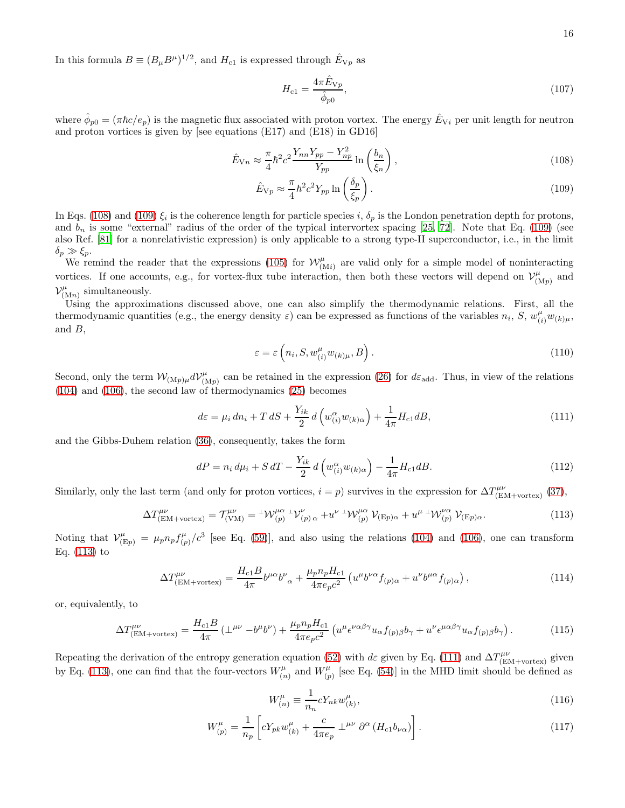In this formula  $B \equiv (B_{\mu}B^{\mu})^{1/2}$ , and  $H_{c1}$  is expressed through  $\hat{E}_{\nabla p}$  as

<span id="page-15-1"></span><span id="page-15-0"></span>
$$
H_{c1} = \frac{4\pi \hat{E}_{Vp}}{\hat{\phi}_{p0}},\tag{107}
$$

where  $\hat{\phi}_{p0} = (\pi \hbar c/e_p)$  is the magnetic flux associated with proton vortex. The energy  $\hat{E}_{Vi}$  per unit length for neutron and proton vortices is given by [see equations (E17) and (E18) in GD16]

$$
\hat{E}_{Vn} \approx \frac{\pi}{4} \hbar^2 c^2 \frac{Y_{nn} Y_{pp} - Y_{np}^2}{Y_{pp}} \ln\left(\frac{b_n}{\xi_n}\right),\tag{108}
$$

$$
\hat{E}_{\rm Vp} \approx \frac{\pi}{4} \hbar^2 c^2 Y_{pp} \ln\left(\frac{\delta_p}{\xi_p}\right). \tag{109}
$$

In Eqs. [\(108\)](#page-15-0) and [\(109\)](#page-15-1)  $\xi_i$  is the coherence length for particle species i,  $\delta_p$  is the London penetration depth for protons, and  $b_n$  is some "external" radius of the order of the typical intervortex spacing [\[25](#page-27-20), [72\]](#page-28-20). Note that Eq. [\(109\)](#page-15-1) (see also Ref. [\[81\]](#page-28-30) for a nonrelativistic expression) is only applicable to a strong type-II superconductor, i.e., in the limit  $\delta_p \gg \xi_p$ .

We remind the reader that the expressions [\(105\)](#page-14-1) for  $W^{\mu}_{(Mi)}$  are valid only for a simple model of noninteracting vortices. If one accounts, e.g., for vortex-flux tube interaction, then both these vectors will depend on  $\mathcal{V}_{(1)}^{\mu}$  $\binom{\mu}{\mathrm{M}p}$  and  $\mathcal{V}^\mu_{(\mathfrak{p})}$  $\int_{(Mn)}^{\mu}$  simultaneously.

Using the approximations discussed above, one can also simplify the thermodynamic relations. First, all the thermodynamic quantities (e.g., the energy density  $\varepsilon$ ) can be expressed as functions of the variables  $n_i$ ,  $S$ ,  $w_{(i)}^{\mu}w_{(k)\mu}$ , and  $B$ ,

<span id="page-15-8"></span><span id="page-15-7"></span>
$$
\varepsilon = \varepsilon \left( n_i, S, w_{(i)}^{\mu} w_{(k)\mu}, B \right). \tag{110}
$$

Second, only the term  $\mathcal{W}_{(\mathrm{M}p)\mu}d\mathcal{V}^{\mu}_{(1)}$  $\binom{\mu}{(M_p)}$  can be retained in the expression [\(26\)](#page-4-3) for  $d\varepsilon_{\text{add}}$ . Thus, in view of the relations [\(104\)](#page-14-0) and [\(106\)](#page-14-4), the second law of thermodynamics [\(25\)](#page-4-4) becomes

<span id="page-15-3"></span>
$$
d\varepsilon = \mu_i \, dn_i + T \, dS + \frac{Y_{ik}}{2} \, d\left(w_{(i)}^{\alpha} w_{(k)\alpha}\right) + \frac{1}{4\pi} H_{c1} dB,\tag{111}
$$

and the Gibbs-Duhem relation [\(36\)](#page-5-8), consequently, takes the form

$$
dP = n_i \, d\mu_i + S \, dT - \frac{Y_{ik}}{2} \, d\left(w_{(i)}^{\alpha} w_{(k)\alpha}\right) - \frac{1}{4\pi} H_{c1} dB. \tag{112}
$$

Similarly, only the last term (and only for proton vortices,  $i = p$ ) survives in the expression for  $\Delta T^{\mu\nu}_{\text{(EM+vertex)}}$  [\(37\)](#page-5-1),

$$
\Delta T^{\mu\nu}_{\text{(EM+vortex)}} = T^{\mu\nu}_{\text{(VM)}} = {}^{\perp} \mathcal{W}^{\mu\alpha}_{\text{(p)}} {}^{\perp} \mathcal{V}^{\nu}_{\text{(p)}\,\alpha} + u^{\nu} {}^{\perp} \mathcal{W}^{\mu\alpha}_{\text{(p)}} \mathcal{V}_{\text{(Ep)}\alpha} + u^{\mu} {}^{\perp} \mathcal{W}^{\nu\alpha}_{\text{(p)}} \mathcal{V}_{\text{(Ep)}\alpha}.
$$
\n(113)

Noting that  $\mathcal{V}_{(\mathrm{E}p)}^{\mu} = \mu_p n_p f_{(p)}^{\mu}$  $(\frac{\mu}{(p)}/c^3)$  [see Eq. [\(59\)](#page-7-0)], and also using the relations [\(104\)](#page-14-0) and [\(106\)](#page-14-4), one can transform Eq. [\(113\)](#page-15-2) to

$$
\Delta T^{\mu\nu}_{\text{(EM+vortex)}} = \frac{H_{c1}B}{4\pi} b^{\mu\alpha} b^{\nu}_{\ \alpha} + \frac{\mu_p n_p H_{c1}}{4\pi e_p c^2} \left( u^{\mu} b^{\nu\alpha} f_{(p)\alpha} + u^{\nu} b^{\mu\alpha} f_{(p)\alpha} \right),\tag{114}
$$

or, equivalently, to

$$
\Delta T^{\mu\nu}_{\text{(EM+vortex)}} = \frac{H_{c1}B}{4\pi} \left( \perp^{\mu\nu} - b^{\mu}b^{\nu} \right) + \frac{\mu_p n_p H_{c1}}{4\pi e_p c^2} \left( u^{\mu} \epsilon^{\nu\alpha\beta\gamma} u_{\alpha} f_{(p)\beta} b_{\gamma} + u^{\nu} \epsilon^{\mu\alpha\beta\gamma} u_{\alpha} f_{(p)\beta} b_{\gamma} \right). \tag{115}
$$

Repeating the derivation of the entropy generation equation [\(52\)](#page-6-5) with d $\varepsilon$  given by Eq. [\(111\)](#page-15-3) and  $\Delta T^{\mu\nu}_{\text{(EM+vortex)}}$  given by Eq. [\(113\)](#page-15-2), one can find that the four-vectors  $W_{\alpha}^{\mu}$  $\binom{\mu}{n}$  and  $W^{\mu}_{(p)}$  $\binom{\mu}{p}$  [see Eq. [\(54\)](#page-7-5)] in the MHD limit should be defined as

<span id="page-15-9"></span><span id="page-15-6"></span><span id="page-15-5"></span><span id="page-15-4"></span><span id="page-15-2"></span>
$$
W_{(n)}^{\mu} \equiv \frac{1}{n_n} c Y_{nk} w_{(k)}^{\mu}, \qquad (116)
$$

$$
W_{(p)}^{\mu} = \frac{1}{n_p} \left[ c Y_{pk} w_{(k)}^{\mu} + \frac{c}{4\pi e_p} \perp^{\mu\nu} \partial^{\alpha} \left( H_{c1} b_{\nu\alpha} \right) \right]. \tag{117}
$$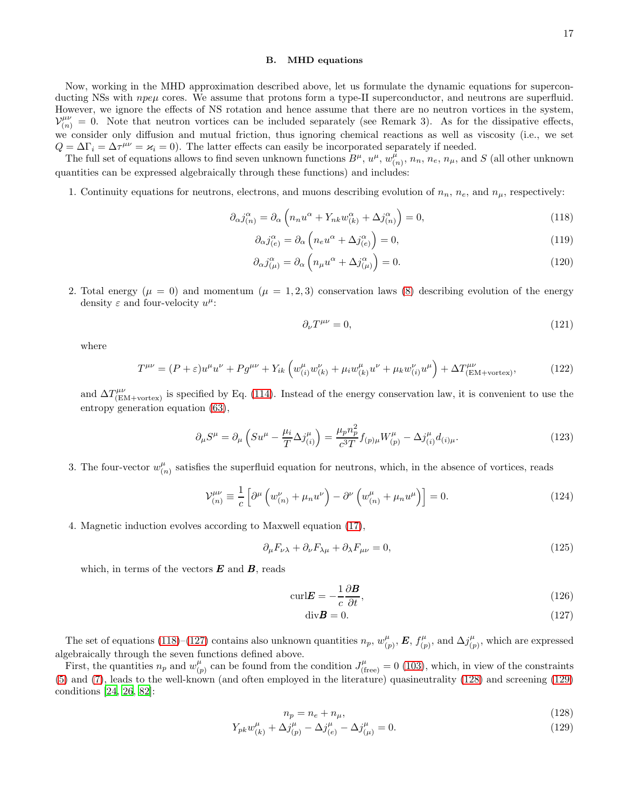# <span id="page-16-1"></span>B. MHD equations

Now, working in the MHD approximation described above, let us formulate the dynamic equations for superconducting NSs with  $npe\mu$  cores. We assume that protons form a type-II superconductor, and neutrons are superfluid. However, we ignore the effects of NS rotation and hence assume that there are no neutron vortices in the system,  $V_{(n)}^{\mu\nu} = 0$ . Note that neutron vortices can be included separately (see Remark 3). As for the dissipative effects, we consider only diffusion and mutual friction, thus ignoring chemical reactions as well as viscosity (i.e., we set  $Q = \Delta \Gamma_i = \Delta \tau^{\mu\nu} = \varkappa_i = 0$ . The latter effects can easily be incorporated separately if needed.

The full set of equations allows to find seven unknown functions  $B^{\mu}$ ,  $u^{\mu}$ ,  $w_i^{\mu}$  $\binom{\mu}{(n)}$ ,  $n_n$ ,  $n_e$ ,  $n_\mu$ , and S (all other unknown quantities can be expressed algebraically through these functions) and includes:

1. Continuity equations for neutrons, electrons, and muons describing evolution of  $n_n$ ,  $n_e$ , and  $n_\mu$ , respectively:

$$
\partial_{\alpha} j_{(n)}^{\alpha} = \partial_{\alpha} \left( n_n u^{\alpha} + Y_{nk} w_{(k)}^{\alpha} + \Delta j_{(n)}^{\alpha} \right) = 0, \qquad (118)
$$

$$
\partial_{\alpha}j_{(e)}^{\alpha} = \partial_{\alpha}\left(n_{e}u^{\alpha} + \Delta j_{(e)}^{\alpha}\right) = 0, \qquad (119)
$$

$$
\partial_{\alpha} j_{(\mu)}^{\alpha} = \partial_{\alpha} \left( n_{\mu} u^{\alpha} + \Delta j_{(\mu)}^{\alpha} \right) = 0. \tag{120}
$$

2. Total energy ( $\mu = 0$ ) and momentum ( $\mu = 1, 2, 3$ ) conservation laws [\(8\)](#page-3-0) describing evolution of the energy density  $\varepsilon$  and four-velocity  $u^{\mu}$ :

<span id="page-16-9"></span><span id="page-16-8"></span><span id="page-16-7"></span><span id="page-16-6"></span><span id="page-16-3"></span>
$$
\partial_{\nu}T^{\mu\nu} = 0,\tag{121}
$$

where

$$
T^{\mu\nu} = (P + \varepsilon)u^{\mu}u^{\nu} + P g^{\mu\nu} + Y_{ik} \left( w_{(i)}^{\mu} w_{(k)}^{\nu} + \mu_i w_{(k)}^{\mu} u^{\nu} + \mu_k w_{(i)}^{\nu} u^{\mu} \right) + \Delta T_{\text{(EM+vertex)}}^{\mu\nu},\tag{122}
$$

and  $\Delta T^{\mu\nu}_{\rm (EM+vortex)}$  is specified by Eq. [\(114\)](#page-15-4). Instead of the energy conservation law, it is convenient to use the entropy generation equation [\(63\)](#page-9-6),

$$
\partial_{\mu}S^{\mu} = \partial_{\mu}\left(Su^{\mu} - \frac{\mu_{i}}{T}\Delta j_{(i)}^{\mu}\right) = \frac{\mu_{p}n_{p}^{2}}{c^{3}T}f_{(p)\mu}W_{(p)}^{\mu} - \Delta j_{(i)}^{\mu}d_{(i)\mu}.
$$
\n(123)

3. The four-vector  $w_{i}^{\mu}$  $\binom{\mu}{(n)}$  satisfies the superfluid equation for neutrons, which, in the absence of vortices, reads

$$
\mathcal{V}_{(n)}^{\mu\nu} \equiv \frac{1}{c} \left[ \partial^{\mu} \left( w_{(n)}^{\nu} + \mu_n u^{\nu} \right) - \partial^{\nu} \left( w_{(n)}^{\mu} + \mu_n u^{\mu} \right) \right] = 0. \tag{124}
$$

4. Magnetic induction evolves according to Maxwell equation [\(17\)](#page-3-7),

$$
\partial_{\mu} F_{\nu\lambda} + \partial_{\nu} F_{\lambda\mu} + \partial_{\lambda} F_{\mu\nu} = 0, \qquad (125)
$$

which, in terms of the vectors  $\boldsymbol{E}$  and  $\boldsymbol{B}$ , reads

$$
\text{curl} \mathbf{E} = -\frac{1}{c} \frac{\partial \mathbf{B}}{\partial t},\tag{126}
$$

<span id="page-16-5"></span><span id="page-16-4"></span><span id="page-16-2"></span><span id="page-16-0"></span>
$$
\mathrm{div}\boldsymbol{B} = 0.\tag{127}
$$

The set of equations [\(118\)](#page-16-3)–[\(127\)](#page-16-4) contains also unknown quantities  $n_p$ ,  $w_{ij}^{\mu}$  $_{(p)}^\mu ,\bm{E},\, f_{(p)}^\mu$  $\Delta j^{\mu}_{(p)}$ , and  $\Delta j^{\mu}_{(p)}$  $_{(p)}^{\mu}$ , which are expressed algebraically through the seven functions defined above.

First, the quantities  $n_p$  and  $w_{ij}^{\mu}$  $_{(p)}^{\mu}$  can be found from the condition  $J_{(\text{free})}^{\mu} = 0$  [\(103\)](#page-14-5), which, in view of the constraints [\(5\)](#page-2-6) and [\(7\)](#page-2-7), leads to the well-known (and often employed in the literature) quasineutrality [\(128\)](#page-16-2) and screening [\(129\)](#page-16-0) conditions [\[24](#page-27-21), [26,](#page-27-8) [82\]](#page-29-0):

$$
n_p = n_e + n_\mu,\tag{128}
$$

$$
Y_{pk}w_{(k)}^{\mu} + \Delta j_{(p)}^{\mu} - \Delta j_{(e)}^{\mu} - \Delta j_{(\mu)}^{\mu} = 0.
$$
\n(129)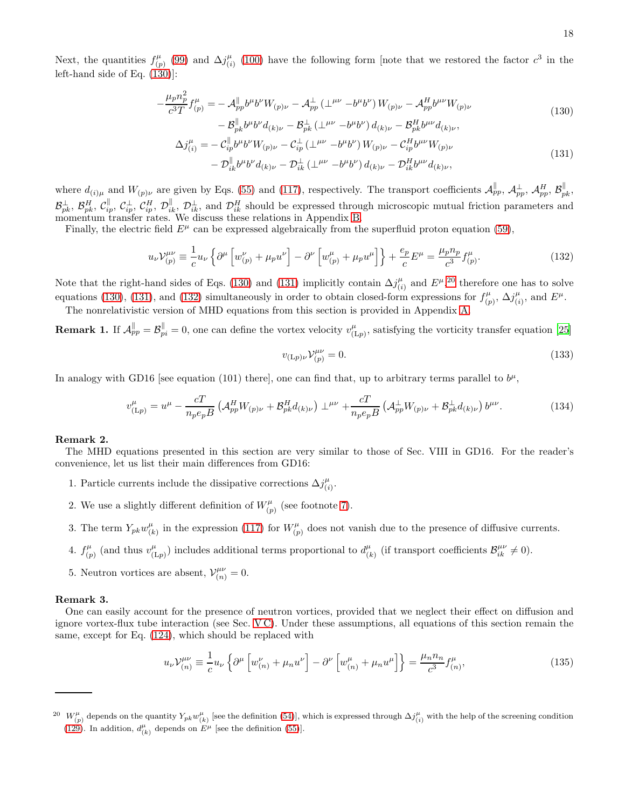Next, the quantities  $f_{(r)}^{\mu}$  $\hat{C}_{(p)}^{\mu}$  [\(99\)](#page-13-3) and  $\Delta j^{\mu}_{(i)}$  $\binom{\mu}{i}$  [\(100\)](#page-13-4) have the following form [note that we restored the factor  $c^3$  in the left-hand side of Eq. [\(130\)](#page-17-0)]:

$$
-\frac{\mu_p n_p^2}{c^3 T} f_{(p)}^{\mu} = -\mathcal{A}_{pp}^{\parallel} b^{\mu} b^{\nu} W_{(p)\nu} - \mathcal{A}_{pp}^{\perp} (\perp^{\mu\nu} - b^{\mu} b^{\nu}) W_{(p)\nu} - \mathcal{A}_{pp}^{H} b^{\mu\nu} W_{(p)\nu} - \mathcal{B}_{pk}^{\parallel} b^{\mu} b^{\nu} d_{(k)\nu} - \mathcal{B}_{pk}^{\perp} (\perp^{\mu\nu} - b^{\mu} b^{\nu}) d_{(k)\nu} - \mathcal{B}_{pk}^{H} b^{\mu\nu} d_{(k)\nu},
$$
\n(130)

$$
\Delta j_{(i)}^{\mu} = -\mathcal{C}_{ip}^{\parallel} b^{\mu} b^{\nu} W_{(p)\nu} - \mathcal{C}_{ip}^{\perp} (\perp^{\mu\nu} - b^{\mu} b^{\nu}) W_{(p)\nu} - \mathcal{C}_{ip}^{H} b^{\mu\nu} W_{(p)\nu} \n- \mathcal{D}_{ik}^{\parallel} b^{\mu} b^{\nu} d_{(k)\nu} - \mathcal{D}_{ik}^{\perp} (\perp^{\mu\nu} - b^{\mu} b^{\nu}) d_{(k)\nu} - \mathcal{D}_{ik}^{H} b^{\mu\nu} d_{(k)\nu},
$$
\n(131)

where  $d_{(i)\mu}$  and  $W_{(p)\nu}$  are given by Eqs. [\(55\)](#page-7-7) and [\(117\)](#page-15-5), respectively. The transport coefficients  $\mathcal{A}_{pp}^{\parallel}$ ,  $\mathcal{A}_{pp}^{\perp}$ ,  $\mathcal{A}_{pp}^H$ ,  $\mathcal{B}_{pk}^{\parallel}$ ,  $\mathcal{B}_{pk}^{\perp}$ ,  $\mathcal{B}_{pk}^H$ ,  $\mathcal{C}_{ip}^{\parallel}$ ,  $\mathcal{C}_{ip}^H$ ,  $\mathcal{D}_{ik}^{\parallel}$ ,  $\mathcal{D}_{ik}^{\perp}$ , and  $\mathcal{D}_{ik}^H$  should be expressed through microscopic mutual friction parameters and momentum transfer rates. We discuss these relations in Appendix [B.](#page-23-0)

Finally, the electric field  $E^{\mu}$  can be expressed algebraically from the superfluid proton equation [\(59\)](#page-7-0),

$$
u_{\nu} \mathcal{V}_{(p)}^{\mu \nu} \equiv \frac{1}{c} u_{\nu} \left\{ \partial^{\mu} \left[ w_{(p)}^{\nu} + \mu_{p} u^{\nu} \right] - \partial^{\nu} \left[ w_{(p)}^{\mu} + \mu_{p} u^{\mu} \right] \right\} + \frac{e_{p}}{c} E^{\mu} = \frac{\mu_{p} n_{p}}{c^{3}} f_{(p)}^{\mu}.
$$
 (132)

Note that the right-hand sides of Eqs. [\(130\)](#page-17-0) and [\(131\)](#page-17-1) implicitly contain  $\Delta j_{ij}^{\mu}$  $\binom{\mu}{i}$  and  $E^{\mu}$ , <sup>[20](#page-17-2)</sup> therefore one has to solve equations [\(130\)](#page-17-0), [\(131\)](#page-17-1), and [\(132\)](#page-17-3) simultaneously in order to obtain closed-form expressions for  $f^{\mu}_{\alpha}$  $\Delta j^{\mu}_{(p)}$ ,  $\Delta j^{\mu}_{(i)}$  $\mu_{(i)}^{\mu}$ , and  $E^{\mu}$ .

The nonrelativistic version of MHD equations from this section is provided in Appendix [A.](#page-19-0)

**Remark 1.** If  $\mathcal{A}_{pp}^{\parallel} = \mathcal{B}_{pi}^{\parallel} = 0$ , one can define the vortex velocity  $v_{(1)}^{\mu}$  $\mu_{(L_p)}^{\mu}$ , satisfying the vorticity transfer equation [\[25\]](#page-27-20)

<span id="page-17-4"></span><span id="page-17-3"></span><span id="page-17-1"></span><span id="page-17-0"></span>
$$
v_{(Lp)\nu} \mathcal{V}_{(p)}^{\mu\nu} = 0. \tag{133}
$$

In analogy with GD16 [see equation (101) there], one can find that, up to arbitrary terms parallel to  $b^{\mu}$ ,

$$
v_{(Lp)}^{\mu} = u^{\mu} - \frac{cT}{n_p e_p B} \left( \mathcal{A}_{pp}^{H} W_{(p)\nu} + \mathcal{B}_{pk}^{H} d_{(k)\nu} \right) \perp^{\mu\nu} + \frac{cT}{n_p e_p B} \left( \mathcal{A}_{pp}^{\perp} W_{(p)\nu} + \mathcal{B}_{pk}^{\perp} d_{(k)\nu} \right) b^{\mu\nu}.
$$
 (134)

## Remark 2.

The MHD equations presented in this section are very similar to those of Sec. VIII in GD16. For the reader's convenience, let us list their main differences from GD16:

- 1. Particle currents include the dissipative corrections  $\Delta j_{ij}^{\mu}$  $\frac{\mu}{(i)}$ .
- 2. We use a slightly different definition of  $W_{\alpha}^{\mu}$  $\binom{\mu}{p}$  (see footnote [7\)](#page-7-1).
- 3. The term  $Y_{pk}w_{(l)}^{\mu}$  $\binom{\mu}{k}$  in the expression [\(117\)](#page-15-5) for  $W^{\mu}_{(p)}$  $\binom{\mu}{p}$  does not vanish due to the presence of diffusive currents.
- 4.  $f^{\mu}_{(r)}$  $v_{(p)}^{\mu}$  (and thus  $v_{(1)}^{\mu}$  $(\mu_{(L_p)})$  includes additional terms proportional to  $d_{(L_p)}^{\mu}$  $_{(k)}^{\mu}$  (if transport coefficients  $\mathcal{B}_{ik}^{\mu\nu} \neq 0$ ).
- 5. Neutron vortices are absent,  $\mathcal{V}_{(n)}^{\mu\nu} = 0$ .

# Remark 3.

One can easily account for the presence of neutron vortices, provided that we neglect their effect on diffusion and ignore vortex-flux tube interaction (see Sec. [V C\)](#page-12-3). Under these assumptions, all equations of this section remain the same, except for Eq. [\(124\)](#page-16-5), which should be replaced with

$$
u_{\nu} \mathcal{V}_{(n)}^{\mu \nu} \equiv \frac{1}{c} u_{\nu} \left\{ \partial^{\mu} \left[ w_{(n)}^{\nu} + \mu_n u^{\nu} \right] - \partial^{\nu} \left[ w_{(n)}^{\mu} + \mu_n u^{\mu} \right] \right\} = \frac{\mu_n n_n}{c^3} f_{(n)}^{\mu}, \tag{135}
$$

<span id="page-17-2"></span><sup>&</sup>lt;sup>20</sup>  $W_{(p)}^{\mu}$  depends on the quantity  $Y_{pk}w_{(k)}^{\mu}$  [see the definition [\(54\)](#page-7-5)], which is expressed through  $\Delta j_{(i)}^{\mu}$  with the help of the screening condition [\(129\)](#page-16-0). In addition,  $d^{\mu}_{(k)}$  depends on  $E^{\mu}$  [see the definition [\(55\)](#page-7-7)].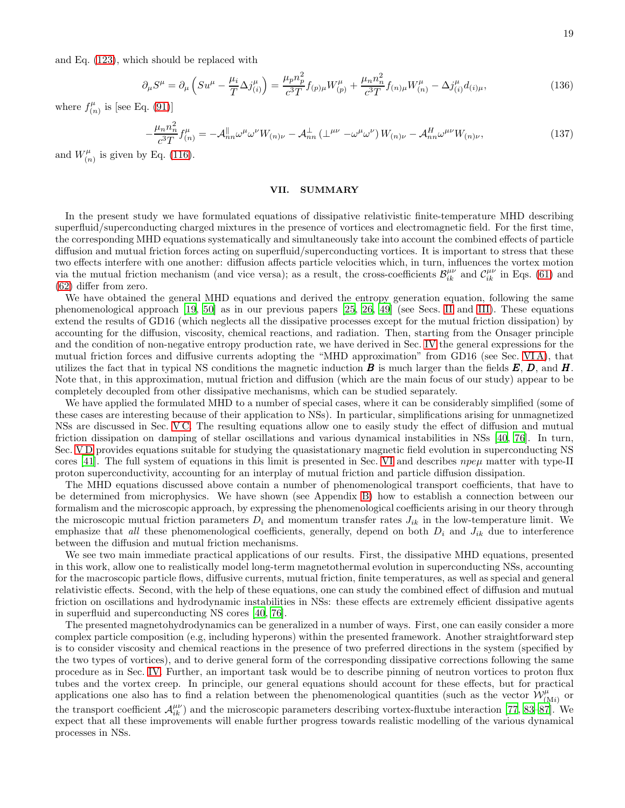and Eq. [\(123\)](#page-16-6), which should be replaced with

$$
\partial_{\mu}S^{\mu} = \partial_{\mu}\left(Su^{\mu} - \frac{\mu_{i}}{T}\Delta j_{(i)}^{\mu}\right) = \frac{\mu_{p}n_{p}^{2}}{c^{3}T}f_{(p)\mu}W_{(p)}^{\mu} + \frac{\mu_{n}n_{n}^{2}}{c^{3}T}f_{(n)\mu}W_{(n)}^{\mu} - \Delta j_{(i)}^{\mu}d_{(i)\mu},\tag{136}
$$

where  $f_{(r)}^{\mu}$  $f_{(n)}^{\mu}$  is [see Eq. [\(91\)](#page-12-1)]

$$
-\frac{\mu_n n_n^2}{c^3 T} f_{(n)}^{\mu} = -\mathcal{A}_{nn}^{\parallel} \omega^{\mu} \omega^{\nu} W_{(n)\nu} - \mathcal{A}_{nn}^{\perp} \left(\perp^{\mu\nu} - \omega^{\mu} \omega^{\nu}\right) W_{(n)\nu} - \mathcal{A}_{nn}^H \omega^{\mu\nu} W_{(n)\nu},\tag{137}
$$

and  $W_{i_r}^{\mu}$  $\zeta_{(n)}^{\mu}$  is given by Eq. [\(116\)](#page-15-6).

### <span id="page-18-0"></span>VII. SUMMARY

In the present study we have formulated equations of dissipative relativistic finite-temperature MHD describing superfluid/superconducting charged mixtures in the presence of vortices and electromagnetic field. For the first time, the corresponding MHD equations systematically and simultaneously take into account the combined effects of particle diffusion and mutual friction forces acting on superfluid/superconducting vortices. It is important to stress that these two effects interfere with one another: diffusion affects particle velocities which, in turn, influences the vortex motion via the mutual friction mechanism (and vice versa); as a result, the cross-coefficients  $\mathcal{B}_{ik}^{\mu\nu}$  and  $\mathcal{C}_{ik}^{\mu\nu}$  in Eqs. [\(61\)](#page-8-6) and [\(62\)](#page-8-8) differ from zero.

We have obtained the general MHD equations and derived the entropy generation equation, following the same phenomenological approach [\[19](#page-27-5), [50](#page-28-4)] as in our previous papers [\[25,](#page-27-20) [26](#page-27-8), [49](#page-28-3)] (see Secs. [II](#page-2-0) and [III\)](#page-6-0). These equations extend the results of GD16 (which neglects all the dissipative processes except for the mutual friction dissipation) by accounting for the diffusion, viscosity, chemical reactions, and radiation. Then, starting from the Onsager principle and the condition of non-negative entropy production rate, we have derived in Sec. [IV](#page-8-0) the general expressions for the mutual friction forces and diffusive currents adopting the "MHD approximation" from GD16 (see Sec. [VI A\)](#page-13-1), that utilizes the fact that in typical NS conditions the magnetic induction  $\bm{B}$  is much larger than the fields  $\bm{E}, \bm{D}$ , and  $\bm{H}$ . Note that, in this approximation, mutual friction and diffusion (which are the main focus of our study) appear to be completely decoupled from other dissipative mechanisms, which can be studied separately.

We have applied the formulated MHD to a number of special cases, where it can be considerably simplified (some of these cases are interesting because of their application to NSs). In particular, simplifications arising for unmagnetized NSs are discussed in Sec. [V C.](#page-12-3) The resulting equations allow one to easily study the effect of diffusion and mutual friction dissipation on damping of stellar oscillations and various dynamical instabilities in NSs [\[40](#page-27-16), [76](#page-28-25)]. In turn, Sec. [V D](#page-13-2) provides equations suitable for studying the quasistationary magnetic field evolution in superconducting NS cores [\[41\]](#page-27-17). The full system of equations in this limit is presented in Sec. [VI](#page-13-0) and describes  $npe\mu$  matter with type-II proton superconductivity, accounting for an interplay of mutual friction and particle diffusion dissipation.

The MHD equations discussed above contain a number of phenomenological transport coefficients, that have to be determined from microphysics. We have shown (see Appendix [B\)](#page-23-0) how to establish a connection between our formalism and the microscopic approach, by expressing the phenomenological coefficients arising in our theory through the microscopic mutual friction parameters  $D_i$  and momentum transfer rates  $J_{ik}$  in the low-temperature limit. We emphasize that all these phenomenological coefficients, generally, depend on both  $D_i$  and  $J_{ik}$  due to interference between the diffusion and mutual friction mechanisms.

We see two main immediate practical applications of our results. First, the dissipative MHD equations, presented in this work, allow one to realistically model long-term magnetothermal evolution in superconducting NSs, accounting for the macroscopic particle flows, diffusive currents, mutual friction, finite temperatures, as well as special and general relativistic effects. Second, with the help of these equations, one can study the combined effect of diffusion and mutual friction on oscillations and hydrodynamic instabilities in NSs: these effects are extremely efficient dissipative agents in superfluid and superconducting NS cores [\[40,](#page-27-16) [76\]](#page-28-25).

The presented magnetohydrodynamics can be generalized in a number of ways. First, one can easily consider a more complex particle composition (e.g, including hyperons) within the presented framework. Another straightforward step is to consider viscosity and chemical reactions in the presence of two preferred directions in the system (specified by the two types of vortices), and to derive general form of the corresponding dissipative corrections following the same procedure as in Sec. [IV.](#page-8-0) Further, an important task would be to describe pinning of neutron vortices to proton flux tubes and the vortex creep. In principle, our general equations should account for these effects, but for practical applications one also has to find a relation between the phenomenological quantities (such as the vector  $\mathcal{W}_{(Mi)}^{\mu}$  or the transport coefficient  $\mathcal{A}_{ik}^{\mu\nu}$ ) and the microscopic parameters describing vortex-fluxtube interaction [\[77,](#page-28-26) [83](#page-29-1)[–87\]](#page-29-2). We expect that all these improvements will enable further progress towards realistic modelling of the various dynamical processes in NSs.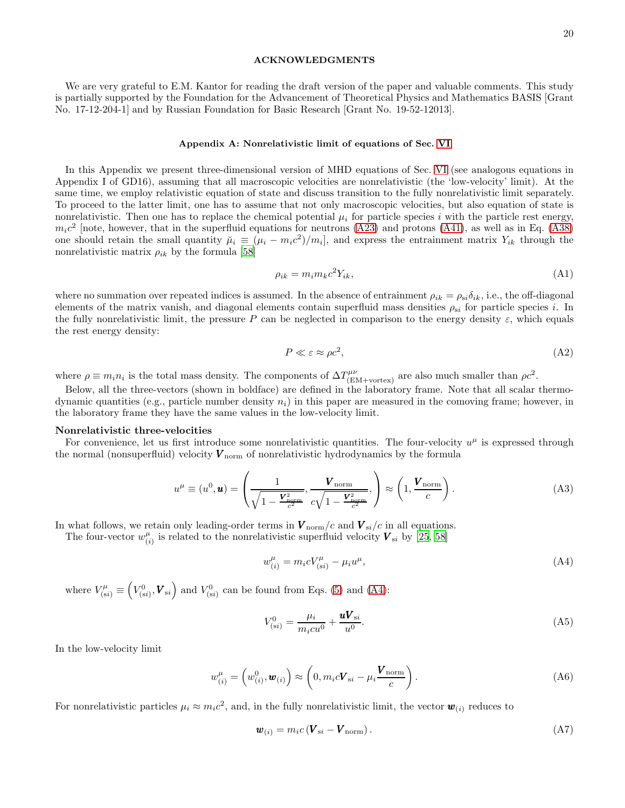### ACKNOWLEDGMENTS

We are very grateful to E.M. Kantor for reading the draft version of the paper and valuable comments. This study is partially supported by the Foundation for the Advancement of Theoretical Physics and Mathematics BASIS [Grant No. 17-12-204-1] and by Russian Foundation for Basic Research [Grant No. 19-52-12013].

#### <span id="page-19-0"></span>Appendix A: Nonrelativistic limit of equations of Sec. [VI](#page-13-0)

In this Appendix we present three-dimensional version of MHD equations of Sec. [VI](#page-13-0) (see analogous equations in Appendix I of GD16), assuming that all macroscopic velocities are nonrelativistic (the 'low-velocity' limit). At the same time, we employ relativistic equation of state and discuss transition to the fully nonrelativistic limit separately. To proceed to the latter limit, one has to assume that not only macroscopic velocities, but also equation of state is nonrelativistic. Then one has to replace the chemical potential  $\mu_i$  for particle species i with the particle rest energy,  $m_i c^2$  [note, however, that in the superfluid equations for neutrons [\(A23\)](#page-21-0) and protons [\(A41\)](#page-22-0), as well as in Eq. [\(A38\)](#page-22-1) one should retain the small quantity  $\tilde{\mu}_i \equiv (\mu_i - m_i c^2)/m_i$ , and express the entrainment matrix  $Y_{ik}$  through the nonrelativistic matrix  $\rho_{ik}$  by the formula [\[58](#page-28-11)]

<span id="page-19-5"></span>
$$
\rho_{ik} = m_i m_k c^2 Y_{ik},\tag{A1}
$$

where no summation over repeated indices is assumed. In the absence of entrainment  $\rho_{ik} = \rho_{si}\delta_{ik}$ , i.e., the off-diagonal elements of the matrix vanish, and diagonal elements contain superfluid mass densities  $\rho_{si}$  for particle species i. In the fully nonrelativistic limit, the pressure P can be neglected in comparison to the energy density  $\varepsilon$ , which equals the rest energy density:

<span id="page-19-1"></span>
$$
P \ll \varepsilon \approx \rho c^2,\tag{A2}
$$

where  $\rho \equiv m_i n_i$  is the total mass density. The components of  $\Delta T^{\mu\nu}_{\text{(EM+vertex)}}$  are also much smaller than  $\rho c^2$ .

Below, all the three-vectors (shown in boldface) are defined in the laboratory frame. Note that all scalar thermodynamic quantities (e.g., particle number density  $n_i$ ) in this paper are measured in the comoving frame; however, in the laboratory frame they have the same values in the low-velocity limit.

### Nonrelativistic three-velocities

For convenience, let us first introduce some nonrelativistic quantities. The four-velocity  $u^{\mu}$  is expressed through the normal (nonsuperfluid) velocity  $V_{\text{norm}}$  of nonrelativistic hydrodynamics by the formula

$$
u^{\mu} \equiv (u^0, \mathbf{u}) = \left(\frac{1}{\sqrt{1 - \frac{\mathbf{V}_{\text{norm}}^2}{c^2}}}, \frac{\mathbf{V}_{\text{norm}}}{c\sqrt{1 - \frac{\mathbf{V}_{\text{norm}}^2}{c^2}}}, \right) \approx \left(1, \frac{\mathbf{V}_{\text{norm}}}{c}\right). \tag{A3}
$$

In what follows, we retain only leading-order terms in  $V_{\text{norm}}/c$  and  $V_{\text{si}}/c$  in all equations.

The four-vector  $w_{ij}^{\mu}$  $\binom{\mu}{i}$  is related to the nonrelativistic superfluid velocity  $\boldsymbol{V}_{si}$  by [\[25](#page-27-20), [58\]](#page-28-11)

<span id="page-19-2"></span>
$$
w_{(i)}^{\mu} = m_i c V_{(si)}^{\mu} - \mu_i u^{\mu}, \tag{A4}
$$

where  $V_{(si)}^{\mu} \equiv$  $(V_{(si)}^0, \boldsymbol{V}_{si})$  and  $V_{(si)}^0$  can be found from Eqs. [\(5\)](#page-2-6) and [\(A4\)](#page-19-2):

<span id="page-19-4"></span><span id="page-19-3"></span>
$$
V_{(si)}^0 = \frac{\mu_i}{m_i c u^0} + \frac{u V_{si}}{u^0}.
$$
 (A5)

In the low-velocity limit

$$
w_{(i)}^{\mu} = \left(w_{(i)}^0, \mathbf{w}_{(i)}\right) \approx \left(0, m_i c \mathbf{V}_{si} - \mu_i \frac{\mathbf{V}_{\text{norm}}}{c}\right). \tag{A6}
$$

For nonrelativistic particles  $\mu_i \approx m_i c^2$ , and, in the fully nonrelativistic limit, the vector  $\bm{w}_{(i)}$  reduces to

<span id="page-19-6"></span>
$$
\boldsymbol{w}_{(i)} = m_i c \left( \boldsymbol{V}_{si} - \boldsymbol{V}_{\text{norm}} \right). \tag{A7}
$$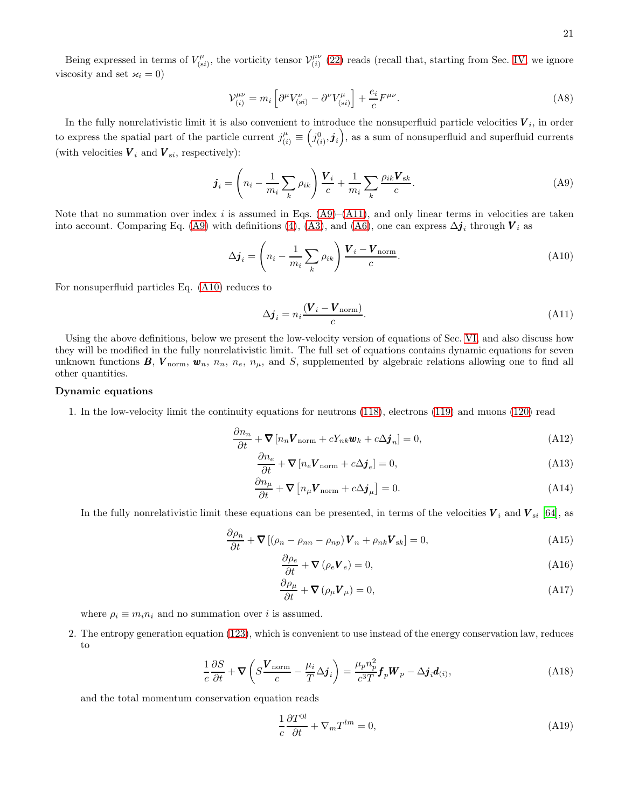Being expressed in terms of  $V_{(s)}^{\mu}$  $\mathcal{V}^{\mu}_{(si)}$ , the vorticity tensor  $\mathcal{V}^{\mu\nu}_{(i)}$  $\binom{\mu\nu}{(i)}$  [\(22\)](#page-4-0) reads (recall that, starting from Sec. [IV,](#page-8-0) we ignore viscosity and set  $\varkappa_i = 0$ )

$$
\mathcal{V}_{(i)}^{\mu\nu} = m_i \left[ \partial^{\mu} V_{(si)}^{\nu} - \partial^{\nu} V_{(si)}^{\mu} \right] + \frac{e_i}{c} F^{\mu\nu}.
$$
\n(A8)

In the fully nonrelativistic limit it is also convenient to introduce the nonsuperfluid particle velocities  $V_i$ , in order to express the spatial part of the particle current  $j^{\mu}_{(i)} \equiv$  $(j_{(i)}^0, \mathbf{j}_i)$ , as a sum of nonsuperfluid and superfluid currents (with velocities  $V_i$  and  $V_{si}$ , respectively):

$$
\boldsymbol{j}_i = \left(n_i - \frac{1}{m_i} \sum_k \rho_{ik}\right) \frac{\boldsymbol{V}_i}{c} + \frac{1}{m_i} \sum_k \frac{\rho_{ik} \boldsymbol{V}_{sk}}{c}.
$$
\n(A9)

Note that no summation over index i is assumed in Eqs.  $(A9)$ – $(A11)$ , and only linear terms in velocities are taken into account. Comparing Eq. [\(A9\)](#page-20-0) with definitions [\(4\)](#page-2-3), [\(A3\)](#page-19-1), and [\(A6\)](#page-19-3), one can express  $\Delta \mathbf{j}_i$  through  $\mathbf{V}_i$  as

$$
\Delta \boldsymbol{j}_i = \left( n_i - \frac{1}{m_i} \sum_k \rho_{ik} \right) \frac{\boldsymbol{V}_i - \boldsymbol{V}_{\text{norm}}}{c}.
$$
\n(A10)

For nonsuperfluid particles Eq. [\(A10\)](#page-20-2) reduces to

<span id="page-20-2"></span><span id="page-20-1"></span><span id="page-20-0"></span>
$$
\Delta \boldsymbol{j}_i = n_i \frac{(\boldsymbol{V}_i - \boldsymbol{V}_{\text{norm}})}{c}.
$$
\n(A11)

Using the above definitions, below we present the low-velocity version of equations of Sec. [VI,](#page-13-0) and also discuss how they will be modified in the fully nonrelativistic limit. The full set of equations contains dynamic equations for seven unknown functions  $B, V_{\text{norm}}, w_n, n_n, n_e, n_\mu$ , and S, supplemented by algebraic relations allowing one to find all other quantities.

## Dynamic equations

1. In the low-velocity limit the continuity equations for neutrons [\(118\)](#page-16-3), electrons [\(119\)](#page-16-7) and muons [\(120\)](#page-16-8) read

$$
\frac{\partial n_n}{\partial t} + \nabla \left[ n_n \mathbf{V}_{\text{norm}} + c Y_{nk} \mathbf{w}_k + c \Delta \mathbf{j}_n \right] = 0, \tag{A12}
$$

$$
\frac{\partial n_e}{\partial t} + \nabla \left[ n_e \mathbf{V}_{\text{norm}} + c \Delta \mathbf{j}_e \right] = 0, \tag{A13}
$$

$$
\frac{\partial n_{\mu}}{\partial t} + \nabla \left[ n_{\mu} \mathbf{V}_{\text{norm}} + c \Delta \mathbf{j}_{\mu} \right] = 0. \tag{A14}
$$

In the fully nonrelativistic limit these equations can be presented, in terms of the velocities  $V_i$  and  $V_{si}$  [\[64](#page-28-15)], as

$$
\frac{\partial \rho_n}{\partial t} + \nabla \left[ (\rho_n - \rho_{nn} - \rho_{np}) \mathbf{V}_n + \rho_{nk} \mathbf{V}_{sk} \right] = 0, \tag{A15}
$$

$$
\frac{\partial \rho_e}{\partial t} + \mathbf{\nabla} (\rho_e \mathbf{V}_e) = 0, \tag{A16}
$$

$$
\frac{\partial \rho_{\mu}}{\partial t} + \mathbf{\nabla} \left( \rho_{\mu} \mathbf{V}_{\mu} \right) = 0, \tag{A17}
$$

where  $\rho_i \equiv m_i n_i$  and no summation over *i* is assumed.

2. The entropy generation equation [\(123\)](#page-16-6), which is convenient to use instead of the energy conservation law, reduces to

$$
\frac{1}{c}\frac{\partial S}{\partial t} + \nabla \left( S \frac{\mathbf{V}_{\text{norm}}}{c} - \frac{\mu_i}{T} \Delta \mathbf{j}_i \right) = \frac{\mu_p n_p^2}{c^3 T} \mathbf{f}_p \mathbf{W}_p - \Delta \mathbf{j}_i \mathbf{d}_{(i)},\tag{A18}
$$

and the total momentum conservation equation reads

<span id="page-20-4"></span><span id="page-20-3"></span>
$$
\frac{1}{c}\frac{\partial T^{0l}}{\partial t} + \nabla_m T^{lm} = 0,\tag{A19}
$$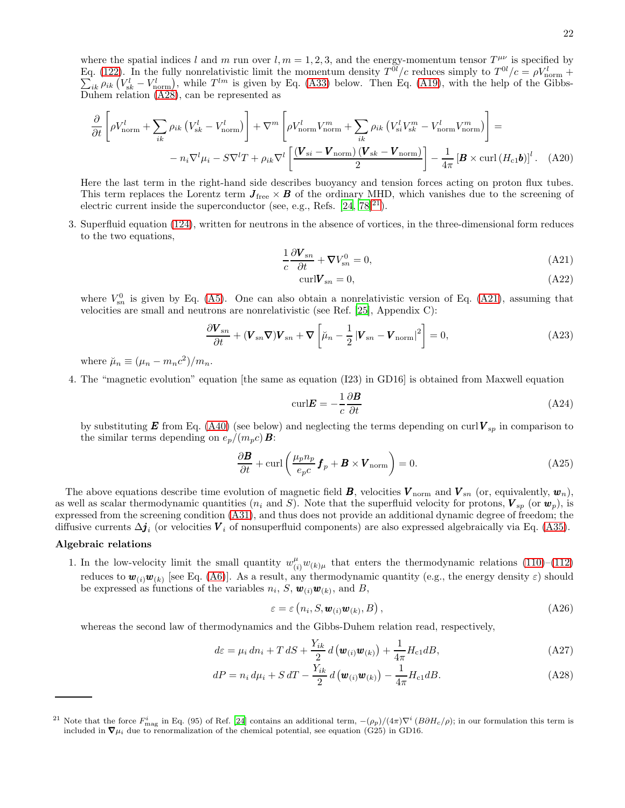$$
\frac{\partial}{\partial t} \left[ \rho V_{\text{norm}}^l + \sum_{ik} \rho_{ik} \left( V_{sk}^l - V_{\text{norm}}^l \right) \right] + \nabla^m \left[ \rho V_{\text{norm}}^l V_{\text{norm}}^m + \sum_{ik} \rho_{ik} \left( V_{si}^l V_{sk}^m - V_{\text{norm}}^l V_{\text{norm}}^m \right) \right] =
$$
  
-  $n_i \nabla^l \mu_i - S \nabla^l T + \rho_{ik} \nabla^l \left[ \frac{(\mathbf{V}_{si} - \mathbf{V}_{\text{norm}})(\mathbf{V}_{sk} - \mathbf{V}_{\text{norm}})}{2} \right] - \frac{1}{4\pi} \left[ \mathbf{B} \times \text{curl} \left( H_{c1} \mathbf{b} \right) \right]^l.$  (A20)

Here the last term in the right-hand side describes buoyancy and tension forces acting on proton flux tubes. This term replaces the Lorentz term  $J_{\text{free}} \times B$  of the ordinary MHD, which vanishes due to the screening of electric current inside the superconductor (see, e.g., Refs.  $[24, 78]^{21}$  $[24, 78]^{21}$  $[24, 78]^{21}$  $[24, 78]^{21}$  $[24, 78]^{21}$ ).

3. Superfluid equation [\(124\)](#page-16-5), written for neutrons in the absence of vortices, in the three-dimensional form reduces to the two equations,

$$
\frac{1}{c}\frac{\partial \mathbf{V}_{sn}}{\partial t} + \mathbf{\nabla}V_{sn}^0 = 0,
$$
\n(A21)

<span id="page-21-3"></span><span id="page-21-0"></span>
$$
\operatorname{curl} V_{sn} = 0,\tag{A22}
$$

where  $V_{\text{sn}}^0$  is given by Eq. [\(A5\)](#page-19-4). One can also obtain a nonrelativistic version of Eq. [\(A21\)](#page-21-3), assuming that velocities are small and neutrons are nonrelativistic (see Ref. [\[25](#page-27-20)], Appendix C):

$$
\frac{\partial \mathbf{V}_{sn}}{\partial t} + (\mathbf{V}_{sn} \nabla) \mathbf{V}_{sn} + \nabla \left[ \mu_n - \frac{1}{2} \left| \mathbf{V}_{sn} - \mathbf{V}_{\text{norm}} \right|^2 \right] = 0, \tag{A23}
$$

where  $\breve{\mu}_n \equiv (\mu_n - m_n c^2)/m_n$ .

4. The "magnetic evolution" equation [the same as equation (I23) in GD16] is obtained from Maxwell equation

$$
\text{curl} \mathbf{E} = -\frac{1}{c} \frac{\partial \mathbf{B}}{\partial t} \tag{A24}
$$

by substituting **E** from Eq. [\(A40\)](#page-22-3) (see below) and neglecting the terms depending on curl  $V_{sp}$  in comparison to the similar terms depending on  $e_p/(m_pc)\mathbf{B}$ :

<span id="page-21-4"></span>
$$
\frac{\partial \mathbf{B}}{\partial t} + \text{curl}\left(\frac{\mu_p n_p}{e_p c} \mathbf{f}_p + \mathbf{B} \times \mathbf{V}_{\text{norm}}\right) = 0. \tag{A25}
$$

The above equations describe time evolution of magnetic field  $\mathbf{B}$ , velocities  $\mathbf{V}_{\text{norm}}$  and  $\mathbf{V}_{sn}$  (or, equivalently,  $\mathbf{w}_n$ ), as well as scalar thermodynamic quantities ( $n_i$  and S). Note that the superfluid velocity for protons,  $V_{sp}$  (or  $w_p$ ), is expressed from the screening condition [\(A31\)](#page-22-4), and thus does not provide an additional dynamic degree of freedom; the diffusive currents  $\Delta j_i$  (or velocities  $V_i$  of nonsuperfluid components) are also expressed algebraically via Eq. [\(A35\)](#page-22-5).

### Algebraic relations

1. In the low-velocity limit the small quantity  $w_{(i)}^{\mu}w_{(k)\mu}$  that enters the thermodynamic relations [\(110\)](#page-15-7)–[\(112\)](#page-15-8) reduces to  $w_{(i)}w_{(k)}$  [see Eq. [\(A6\)](#page-19-3)]. As a result, any thermodynamic quantity (e.g., the energy density  $\varepsilon$ ) should be expressed as functions of the variables  $n_i$ , S,  $\mathbf{w}_{(i)}\mathbf{w}_{(k)}$ , and B,

<span id="page-21-1"></span>
$$
\varepsilon = \varepsilon \left( n_i, S, \mathbf{w}_{(i)} \mathbf{w}_{(k)}, B \right), \tag{A26}
$$

whereas the second law of thermodynamics and the Gibbs-Duhem relation read, respectively,

$$
d\varepsilon = \mu_i dn_i + T dS + \frac{Y_{ik}}{2} d\left(\mathbf{w}_{(i)}\mathbf{w}_{(k)}\right) + \frac{1}{4\pi} H_{c1} dB,
$$
\n(A27)

$$
dP = n_i d\mu_i + S dT - \frac{Y_{ik}}{2} d\left(\mathbf{w}_{(i)}\mathbf{w}_{(k)}\right) - \frac{1}{4\pi} H_{c1} dB.
$$
\n(A28)

<span id="page-21-2"></span><sup>&</sup>lt;sup>21</sup> Note that the force  $F_{\text{mag}}^i$  in Eq. (95) of Ref. [\[24\]](#page-27-21) contains an additional term,  $-(\rho_p)/(4\pi)\nabla^i(B\partial H_c/\rho)$ ; in our formulation this term is included in  $\nabla \mu_i$  due to renormalization of the chemical potential, see equation (G25) in GD16.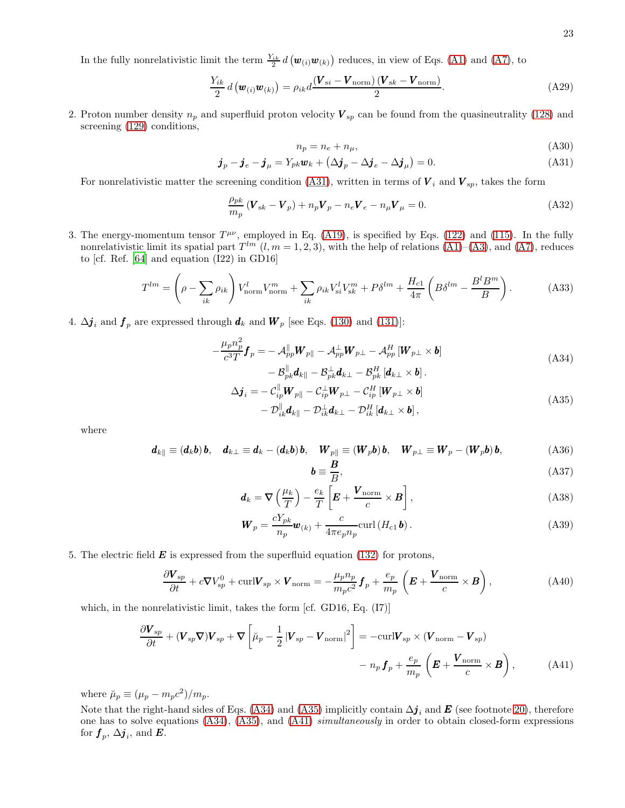In the fully nonrelativistic limit the term  $\frac{Y_{ik}}{2} d(\boldsymbol{w}_{(i)}\boldsymbol{w}_{(k)})$  reduces, in view of Eqs. [\(A1\)](#page-19-5) and [\(A7\)](#page-19-6), to

$$
\frac{Y_{ik}}{2} d\left(\boldsymbol{w}_{(i)}\boldsymbol{w}_{(k)}\right) = \rho_{ik} d\frac{(\boldsymbol{V}_{si} - \boldsymbol{V}_{\text{norm}})(\boldsymbol{V}_{sk} - \boldsymbol{V}_{\text{norm}})}{2}.
$$
\n(A29)

2. Proton number density  $n_p$  and superfluid proton velocity  $V_{sp}$  can be found from the quasineutrality [\(128\)](#page-16-2) and screening [\(129\)](#page-16-0) conditions,

<span id="page-22-4"></span><span id="page-22-2"></span>
$$
n_p = n_e + n_\mu,\tag{A30}
$$

$$
\boldsymbol{j}_p - \boldsymbol{j}_e - \boldsymbol{j}_\mu = Y_{pk} \boldsymbol{w}_k + \left(\Delta \boldsymbol{j}_p - \Delta \boldsymbol{j}_e - \Delta \boldsymbol{j}_\mu\right) = 0.
$$
\n(A31)

For nonrelativistic matter the screening condition [\(A31\)](#page-22-4), written in terms of  $V_i$  and  $V_{sp}$ , takes the form

$$
\frac{\rho_{pk}}{m_p} \left( \mathbf{V}_{sk} - \mathbf{V}_p \right) + n_p \mathbf{V}_p - n_e \mathbf{V}_e - n_\mu \mathbf{V}_\mu = 0. \tag{A32}
$$

3. The energy-momentum tensor  $T^{\mu\nu}$ , employed in Eq. [\(A19\)](#page-20-3), is specified by Eqs. [\(122\)](#page-16-9) and [\(115\)](#page-15-9). In the fully nonrelativistic limit its spatial part  $T^{lm}$   $(l, m = 1, 2, 3)$ , with the help of relations  $(A1)$ – $(A3)$ , and  $(A7)$ , reduces to [cf. Ref. [\[64](#page-28-15)] and equation (I22) in GD16]

$$
T^{lm} = \left(\rho - \sum_{ik} \rho_{ik}\right) V_{\text{norm}}^l V_{\text{norm}}^m + \sum_{ik} \rho_{ik} V_{si}^l V_{sk}^m + P\delta^{lm} + \frac{H_{c1}}{4\pi} \left(B\delta^{lm} - \frac{B^l B^m}{B}\right). \tag{A33}
$$

4.  $\Delta \mathbf{j}_i$  and  $\mathbf{f}_p$  are expressed through  $\mathbf{d}_k$  and  $\mathbf{W}_p$  [see Eqs. [\(130\)](#page-17-0) and [\(131\)](#page-17-1)]:

$$
-\frac{\mu_p n_p^2}{c^3 T} \boldsymbol{f}_p = -\mathcal{A}_{pp}^{\parallel} \boldsymbol{W}_{p\parallel} - \mathcal{A}_{pp}^{\perp} \boldsymbol{W}_{p\perp} - \mathcal{A}_{pp}^H \left[ \boldsymbol{W}_{p\perp} \times \boldsymbol{b} \right] - \mathcal{B}_{pk}^{\parallel} \boldsymbol{d}_{k\parallel} - \mathcal{B}_{pk}^{\perp} \boldsymbol{d}_{k\perp} - \mathcal{B}_{pk}^H \left[ \boldsymbol{d}_{k\perp} \times \boldsymbol{b} \right].
$$
\n(A34)

$$
\Delta \boldsymbol{j}_{i} = - \mathcal{C}_{ip}^{\parallel} \boldsymbol{W}_{p\parallel} - \mathcal{C}_{ip}^{\perp} \boldsymbol{W}_{p\perp} - \mathcal{C}_{ip}^{H} \left[ \boldsymbol{W}_{p\perp} \times \boldsymbol{b} \right] - \mathcal{D}_{ik}^{\parallel} \boldsymbol{d}_{k\parallel} - \mathcal{D}_{ik}^{\perp} \boldsymbol{d}_{k\perp} - \mathcal{D}_{ik}^{H} \left[ \boldsymbol{d}_{k\perp} \times \boldsymbol{b} \right],
$$
\n(A35)

where

$$
\boldsymbol{d}_{k\parallel} \equiv (d_k \boldsymbol{b}) \, \boldsymbol{b}, \quad \boldsymbol{d}_{k\perp} \equiv \boldsymbol{d}_k - (d_k \boldsymbol{b}) \, \boldsymbol{b}, \quad \boldsymbol{W}_{p\parallel} \equiv (\boldsymbol{W}_p \boldsymbol{b}) \, \boldsymbol{b}, \quad \boldsymbol{W}_{p\perp} \equiv \boldsymbol{W}_p - (\boldsymbol{W}_p \boldsymbol{b}) \, \boldsymbol{b}, \tag{A36}
$$

<span id="page-22-7"></span><span id="page-22-6"></span><span id="page-22-5"></span><span id="page-22-3"></span><span id="page-22-1"></span>
$$
\boldsymbol{b} \equiv \frac{\boldsymbol{B}}{B},\tag{A37}
$$

$$
\boldsymbol{d}_{k} = \boldsymbol{\nabla} \left( \frac{\mu_{k}}{T} \right) - \frac{e_{k}}{T} \left[ \boldsymbol{E} + \frac{\boldsymbol{V}_{\text{norm}}}{c} \times \boldsymbol{B} \right], \tag{A38}
$$

$$
\boldsymbol{W}_p = \frac{cY_{pk}}{n_p} \boldsymbol{w}_{(k)} + \frac{c}{4\pi e_p n_p} \text{curl} \left( H_{c1} \boldsymbol{b} \right). \tag{A39}
$$

5. The electric field  $\boldsymbol{E}$  is expressed from the superfluid equation [\(132\)](#page-17-3) for protons,

$$
\frac{\partial \mathbf{V}_{sp}}{\partial t} + c \nabla V_{sp}^{0} + \text{curl} \mathbf{V}_{sp} \times \mathbf{V}_{\text{norm}} = -\frac{\mu_p n_p}{m_p c^2} \mathbf{f}_p + \frac{e_p}{m_p} \left( \mathbf{E} + \frac{\mathbf{V}_{\text{norm}}}{c} \times \mathbf{B} \right), \tag{A40}
$$

which, in the nonrelativistic limit, takes the form [cf. GD16, Eq. (I7)]

<span id="page-22-0"></span>
$$
\frac{\partial \boldsymbol{V}_{sp}}{\partial t} + (\boldsymbol{V}_{sp} \boldsymbol{\nabla}) \boldsymbol{V}_{sp} + \boldsymbol{\nabla} \left[ \breve{\mu}_p - \frac{1}{2} |\boldsymbol{V}_{sp} - \boldsymbol{V}_{\text{norm}}|^2 \right] = -\text{curl} \boldsymbol{V}_{sp} \times (\boldsymbol{V}_{\text{norm}} - \boldsymbol{V}_{sp}) - n_p \boldsymbol{f}_p + \frac{e_p}{m_p} \left( \boldsymbol{E} + \frac{\boldsymbol{V}_{\text{norm}}}{c} \times \boldsymbol{B} \right), \tag{A41}
$$

where  $\mu_p \equiv (\mu_p - m_p c^2)/m_p$ .

Note that the right-hand sides of Eqs. [\(A34\)](#page-22-6) and [\(A35\)](#page-22-5) implicitly contain  $\Delta j_i$  and E (see footnote [20\)](#page-17-2), therefore one has to solve equations [\(A34\)](#page-22-6), [\(A35\)](#page-22-5), and [\(A41\)](#page-22-0) simultaneously in order to obtain closed-form expressions for  $\boldsymbol{f}_p,\,\Delta\boldsymbol{j}_i,$  and  $\boldsymbol{E}.$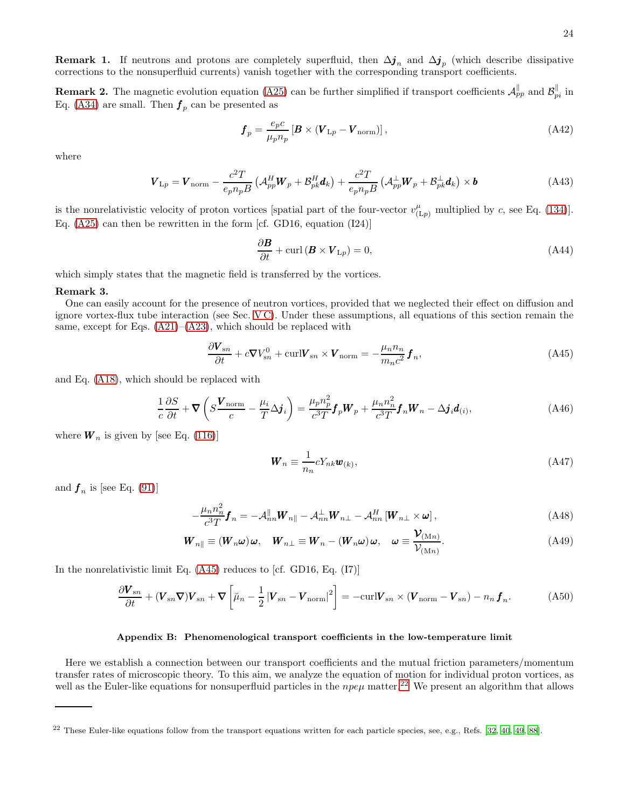**Remark 1.** If neutrons and protons are completely superfluid, then  $\Delta j_n$  and  $\Delta j_p$  (which describe dissipative corrections to the nonsuperfluid currents) vanish together with the corresponding transport coefficients.

**Remark 2.** The magnetic evolution equation [\(A25\)](#page-21-4) can be further simplified if transport coefficients  $\mathcal{A}_{pp}^{\parallel}$  and  $\mathcal{B}_{pi}^{\parallel}$  in Eq. [\(A34\)](#page-22-6) are small. Then  $\boldsymbol{f}_p$  can be presented as

$$
\boldsymbol{f}_p = \frac{e_p c}{\mu_p n_p} \left[ \boldsymbol{B} \times (\boldsymbol{V}_{\text{L}p} - \boldsymbol{V}_{\text{norm}}) \right],\tag{A42}
$$

where

$$
\boldsymbol{V}_{\mathrm{L}p} = \boldsymbol{V}_{\mathrm{norm}} - \frac{c^2 T}{e_p n_p B} \left( \mathcal{A}_{pp}^H \boldsymbol{W}_p + \mathcal{B}_{pk}^H \boldsymbol{d}_k \right) + \frac{c^2 T}{e_p n_p B} \left( \mathcal{A}_{pp}^{\perp} \boldsymbol{W}_p + \mathcal{B}_{pk}^{\perp} \boldsymbol{d}_k \right) \times \boldsymbol{b}
$$
(A43)

is the nonrelativistic velocity of proton vortices [spatial part of the four-vector  $v_{(L_p)}^{\mu}$  multiplied by c, see Eq. [\(134\)](#page-17-4)]. Eq. [\(A25\)](#page-21-4) can then be rewritten in the form [cf. GD16, equation (I24)]

<span id="page-23-3"></span>
$$
\frac{\partial \mathbf{B}}{\partial t} + \text{curl} (\mathbf{B} \times \mathbf{V}_{\text{L}p}) = 0, \tag{A44}
$$

which simply states that the magnetic field is transferred by the vortices.

#### Remark 3.

One can easily account for the presence of neutron vortices, provided that we neglected their effect on diffusion and ignore vortex-flux tube interaction (see Sec. [V C\)](#page-12-3). Under these assumptions, all equations of this section remain the same, except for Eqs.  $(A21)$ – $(A23)$ , which should be replaced with

$$
\frac{\partial \mathbf{V}_{sn}}{\partial t} + c \nabla V_{sn}^0 + \text{curl} \mathbf{V}_{sn} \times \mathbf{V}_{norm} = -\frac{\mu_n n_n}{m_n c^2} \mathbf{f}_n, \tag{A45}
$$

and Eq. [\(A18\)](#page-20-4), which should be replaced with

$$
\frac{1}{c}\frac{\partial S}{\partial t} + \nabla \left( S \frac{\mathbf{V}_{\text{norm}}}{c} - \frac{\mu_i}{T} \Delta \mathbf{j}_i \right) = \frac{\mu_p n_p^2}{c^3 T} \mathbf{f}_p \mathbf{W}_p + \frac{\mu_n n_n^2}{c^3 T} \mathbf{f}_n \mathbf{W}_n - \Delta \mathbf{j}_i \mathbf{d}_{(i)},\tag{A46}
$$

where  $W_n$  is given by [see Eq. [\(116\)](#page-15-6)]

<span id="page-23-1"></span>
$$
\mathbf{W}_n \equiv \frac{1}{n_n} c Y_{nk} \mathbf{w}_{(k)},\tag{A47}
$$

and  $f_n$  is [see Eq. [\(91\)](#page-12-1)]

$$
-\frac{\mu_n n_n^2}{c^3 T} \boldsymbol{f}_n = -\mathcal{A}_{nn}^{\parallel} \boldsymbol{W}_{n\parallel} - \mathcal{A}_{nn}^{\perp} \boldsymbol{W}_{n\perp} - \mathcal{A}_{nn}^H \left[ \boldsymbol{W}_{n\perp} \times \boldsymbol{\omega} \right],
$$
\n(A48)

$$
\boldsymbol{W}_{n\parallel} \equiv (\boldsymbol{W}_{n}\boldsymbol{\omega})\boldsymbol{\omega}, \quad \boldsymbol{W}_{n\perp} \equiv \boldsymbol{W}_{n} - (\boldsymbol{W}_{n}\boldsymbol{\omega})\boldsymbol{\omega}, \quad \boldsymbol{\omega} \equiv \frac{\boldsymbol{\mathcal{V}}_{(\text{M}n)}}{\boldsymbol{\mathcal{V}}_{(\text{M}n)}}.
$$
\n(A49)

In the nonrelativistic limit Eq. [\(A45\)](#page-23-1) reduces to [cf. GD16, Eq. (I7)]

$$
\frac{\partial \boldsymbol{V}_{sn}}{\partial t} + (\boldsymbol{V}_{sn} \boldsymbol{\nabla}) \boldsymbol{V}_{sn} + \boldsymbol{\nabla} \left[ \boldsymbol{\mu}_n - \frac{1}{2} \left| \boldsymbol{V}_{sn} - \boldsymbol{V}_{\text{norm}} \right|^2 \right] = -\text{curl} \boldsymbol{V}_{sn} \times (\boldsymbol{V}_{\text{norm}} - \boldsymbol{V}_{sn}) - n_n \boldsymbol{f}_n. \tag{A50}
$$

#### <span id="page-23-0"></span>Appendix B: Phenomenological transport coefficients in the low-temperature limit

Here we establish a connection between our transport coefficients and the mutual friction parameters/momentum transfer rates of microscopic theory. To this aim, we analyze the equation of motion for individual proton vortices, as well as the Euler-like equations for nonsuperfluid particles in the  $npe\mu$  matter.<sup>[22](#page-23-2)</sup> We present an algorithm that allows

<span id="page-23-2"></span><sup>22</sup> These Euler-like equations follow from the transport equations written for each particle species, see, e.g., Refs. [\[32](#page-27-13), [40,](#page-27-16) [49](#page-28-3), [88](#page-29-3)].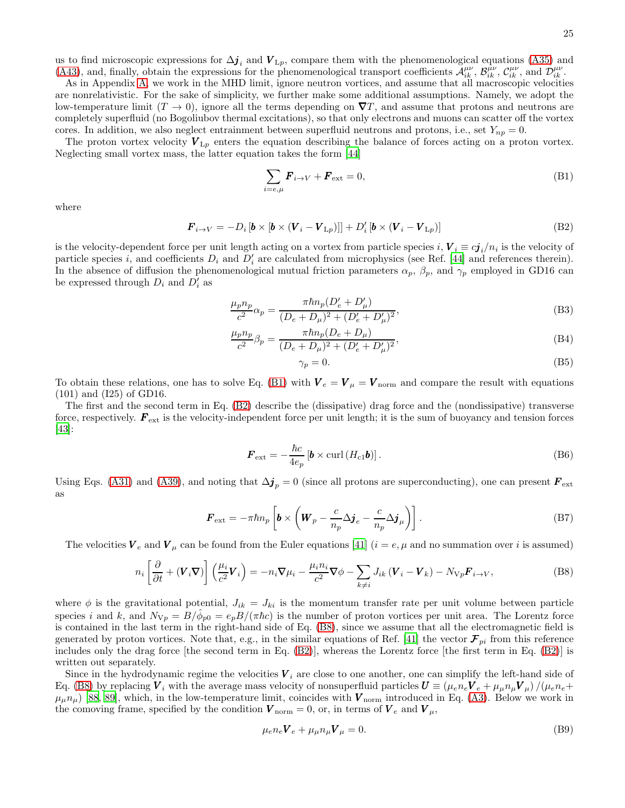us to find microscopic expressions for  $\Delta \mathbf{j}_i$  and  $V_{\perp p}$ , compare them with the phenomenological equations [\(A35\)](#page-22-5) and [\(A43\)](#page-23-3), and, finally, obtain the expressions for the phenomenological transport coefficients  $\mathcal{A}_{ik}^{\mu\nu}$ ,  $\mathcal{B}_{ik}^{\mu\nu}$ ,  $\mathcal{C}_{ik}^{\mu\nu}$ ,  $\mathcal{C}_{ik}^{\mu\nu}$ , and  $\mathcal{D}_{ik}^{\mu\nu}$ .

As in Appendix [A,](#page-19-0) we work in the MHD limit, ignore neutron vortices, and assume that all macroscopic velocities are nonrelativistic. For the sake of simplicity, we further make some additional assumptions. Namely, we adopt the low-temperature limit  $(T \to 0)$ , ignore all the terms depending on  $\nabla T$ , and assume that protons and neutrons are completely superfluid (no Bogoliubov thermal excitations), so that only electrons and muons can scatter off the vortex cores. In addition, we also neglect entrainment between superfluid neutrons and protons, i.e., set  $Y_{np} = 0$ .

The proton vortex velocity  $V_{\perp p}$  enters the equation describing the balance of forces acting on a proton vortex. Neglecting small vortex mass, the latter equation takes the form [\[44](#page-28-0)]

<span id="page-24-1"></span>
$$
\sum_{i=e,\mu} \boldsymbol{F}_{i\to V} + \boldsymbol{F}_{\text{ext}} = 0, \tag{B1}
$$

where

$$
\boldsymbol{F}_{i \to V} = -D_i \left[ \boldsymbol{b} \times \left[ \boldsymbol{b} \times (\boldsymbol{V}_i - \boldsymbol{V}_{\mathrm{L}p}) \right] \right] + D'_i \left[ \boldsymbol{b} \times (\boldsymbol{V}_i - \boldsymbol{V}_{\mathrm{L}p}) \right] \tag{B2}
$$

is the velocity-dependent force per unit length acting on a vortex from particle species  $i, V_i \equiv c j_i/n_i$  is the velocity of particle species *i*, and coefficients  $D_i$  and  $D'_i$  are calculated from microphysics (see Ref. [\[44](#page-28-0)] and references therein). In the absence of diffusion the phenomenological mutual friction parameters  $\alpha_p$ ,  $\beta_p$ , and  $\gamma_p$  employed in GD16 can be expressed through  $D_i$  and  $D'_i$  as

$$
\frac{\mu_p n_p}{c^2} \alpha_p = \frac{\pi \hbar n_p (D_e' + D_\mu')}{(D_e + D_\mu)^2 + (D_e' + D_\mu')^2},
$$
\n(B3)

$$
\frac{\mu_p n_p}{c^2} \beta_p = \frac{\pi \hbar n_p (D_e + D_\mu)}{(D_e + D_\mu)^2 + (D'_e + D'_\mu)^2},\tag{B4}
$$

<span id="page-24-4"></span><span id="page-24-2"></span><span id="page-24-0"></span>
$$
\gamma_p = 0. \tag{B5}
$$

To obtain these relations, one has to solve Eq. [\(B1\)](#page-24-1) with  $V_e = V_\mu = V_{\text{norm}}$  and compare the result with equations (101) and (I25) of GD16.

The first and the second term in Eq. [\(B2\)](#page-24-0) describe the (dissipative) drag force and the (nondissipative) transverse force, respectively.  $\mathbf{F}_{\text{ext}}$  is the velocity-independent force per unit length; it is the sum of buoyancy and tension forces [\[43\]](#page-27-19):

$$
\boldsymbol{F}_{\text{ext}} = -\frac{\hbar c}{4e_p} \left[ \boldsymbol{b} \times \text{curl} \left( H_{c1} \boldsymbol{b} \right) \right]. \tag{B6}
$$

Using Eqs. [\(A31\)](#page-22-4) and [\(A39\)](#page-22-7), and noting that  $\Delta j_p = 0$  (since all protons are superconducting), one can present  $\mathbf{F}_{ext}$ as

$$
\boldsymbol{F}_{\text{ext}} = -\pi \hbar n_p \left[ \boldsymbol{b} \times \left( \boldsymbol{W}_p - \frac{c}{n_p} \Delta \boldsymbol{j}_e - \frac{c}{n_p} \Delta \boldsymbol{j}_\mu \right) \right]. \tag{B7}
$$

The velocities  $V_e$  and  $V_\mu$  can be found from the Euler equations [\[41\]](#page-27-17)  $(i = e, \mu$  and no summation over i is assumed)

$$
n_i \left[ \frac{\partial}{\partial t} + (\boldsymbol{V}_i \boldsymbol{\nabla}) \right] \left( \frac{\mu_i}{c^2} \boldsymbol{V}_i \right) = -n_i \boldsymbol{\nabla} \mu_i - \frac{\mu_i n_i}{c^2} \boldsymbol{\nabla} \phi - \sum_{k \neq i} J_{ik} \left( \boldsymbol{V}_i - \boldsymbol{V}_k \right) - N_{\nabla p} \boldsymbol{F}_{i \to V},
$$
\n(B8)

where  $\phi$  is the gravitational potential,  $J_{ik} = J_{ki}$  is the momentum transfer rate per unit volume between particle species i and k, and  $N_{\rm Vp} = B/\hat{\phi}_{p0} = e_p B/(\pi \hbar c)$  is the number of proton vortices per unit area. The Lorentz force is contained in the last term in the right-hand side of Eq. [\(B8\)](#page-24-2), since we assume that all the electromagnetic field is generated by proton vortices. Note that, e.g., in the similar equations of Ref. [\[41\]](#page-27-17) the vector  $\mathcal{F}_{pi}$  from this reference includes only the drag force [the second term in Eq. [\(B2\)](#page-24-0)], whereas the Lorentz force [the first term in Eq. [\(B2\)](#page-24-0)] is written out separately.

Since in the hydrodynamic regime the velocities  $V_i$  are close to one another, one can simplify the left-hand side of Eq. [\(B8\)](#page-24-2) by replacing  $V_i$  with the average mass velocity of nonsuperfluid particles  $U \equiv (\mu_e n_e V_e + \mu_\mu n_\mu V_\mu)/(\mu_e n_e +$  $\mu_\mu n_\mu$  [\[88,](#page-29-3) [89\]](#page-29-4), which, in the low-temperature limit, coincides with  $V_{\text{norm}}$  introduced in Eq. [\(A3\)](#page-19-1). Below we work in the comoving frame, specified by the condition  $V_{\text{norm}} = 0$ , or, in terms of  $V_e$  and  $V_\mu$ ,

<span id="page-24-3"></span>
$$
\mu_e n_e \mathbf{V}_e + \mu_\mu n_\mu \mathbf{V}_\mu = 0. \tag{B9}
$$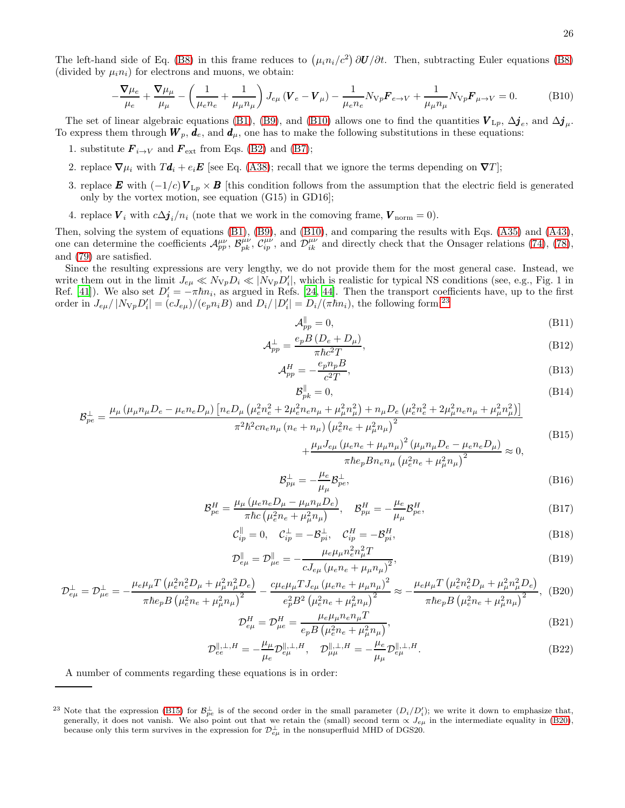The left-hand side of Eq. [\(B8\)](#page-24-2) in this frame reduces to  $(\mu_i n_i/c^2) \partial U/\partial t$ . Then, subtracting Euler equations (B8) (divided by  $\mu_i n_i$ ) for electrons and muons, we obtain:

$$
-\frac{\nabla\mu_e}{\mu_e} + \frac{\nabla\mu_\mu}{\mu_\mu} - \left(\frac{1}{\mu_e n_e} + \frac{1}{\mu_\mu n_\mu}\right) J_{e\mu} \left(\mathbf{V}_e - \mathbf{V}_\mu\right) - \frac{1}{\mu_e n_e} N_{\nabla p} \mathbf{F}_{e\to V} + \frac{1}{\mu_\mu n_\mu} N_{\nabla p} \mathbf{F}_{\mu \to V} = 0. \tag{B10}
$$

The set of linear algebraic equations [\(B1\)](#page-24-1), [\(B9\)](#page-24-3), and [\(B10\)](#page-25-0) allows one to find the quantities  $V_{\perp p}$ ,  $\Delta j_e$ , and  $\Delta j_\mu$ . To express them through  $W_p$ ,  $d_e$ , and  $d_\mu$ , one has to make the following substitutions in these equations:

- 1. substitute  $\mathbf{F}_{i\rightarrow V}$  and  $\mathbf{F}_{ext}$  from Eqs. [\(B2\)](#page-24-0) and [\(B7\)](#page-24-4);
- 2. replace  $\nabla \mu_i$  with  $T\mathbf{d}_i + e_i \mathbf{E}$  [see Eq. [\(A38\)](#page-22-1); recall that we ignore the terms depending on  $\nabla T$ ];
- 3. replace E with  $(-1/c)V_{Lp}\times B$  [this condition follows from the assumption that the electric field is generated only by the vortex motion, see equation (G15) in GD16];
- 4. replace  $V_i$  with  $c\Delta \mathbf{j}_i/n_i$  (note that we work in the comoving frame,  $V_{\text{norm}} = 0$ ).

Then, solving the system of equations [\(B1\)](#page-24-1), [\(B9\)](#page-24-3), and [\(B10\)](#page-25-0), and comparing the results with Eqs. [\(A35\)](#page-22-5) and [\(A43\)](#page-23-3), one can determine the coefficients  $\mathcal{A}_{pp}^{\mu\nu}$ ,  $\mathcal{B}_{pk}^{\mu\nu}$ ,  $\mathcal{C}_{ip}^{\mu\nu}$ , and  $\mathcal{D}_{ik}^{\mu\nu}$  and directly check that the Onsager relations [\(74\)](#page-10-0), [\(78\)](#page-10-4), and [\(79\)](#page-10-5) are satisfied.

Since the resulting expressions are very lengthy, we do not provide them for the most general case. Instead, we write them out in the limit  $J_{e\mu} \ll N_{Vp}D_i \ll |N_{Vp}D'_i|$ , which is realistic for typical NS conditions (see, e.g., Fig. 1 in Ref. [\[41\]](#page-27-17)). We also set  $D'_i = -\pi \hbar n_i$ , as argued in Refs. [\[24,](#page-27-21) [44](#page-28-0)]. Then the transport coefficients have, up to the first order in  $J_{e\mu}/|N_{\nabla p}D_i'| = (cJ_{e\mu})/(e_p n_i B)$  and  $D_i/|D_i'| = D_i/(\pi \hbar n_i)$ , the following form:<sup>[23](#page-25-1)</sup>

<span id="page-25-0"></span>
$$
\mathcal{A}_{pp}^{\parallel} = 0,\tag{B11}
$$

$$
\mathcal{A}_{pp}^{\perp} = \frac{e_p B \left( D_e + D_\mu \right)}{\pi \hbar c^2 T},\tag{B12}
$$

$$
\mathcal{A}_{pp}^H = -\frac{e_p n_p B}{c^2 T},\tag{B13}
$$

$$
\mathcal{B}_{pk}^{\parallel} = 0,\tag{B14}
$$

$$
\mathcal{B}_{pe}^{\perp} = \frac{\mu_{\mu} \left( \mu_{\mu} n_{\mu} D_e - \mu_e n_e D_{\mu} \right) \left[ n_e D_{\mu} \left( \mu_e^2 n_e^2 + 2 \mu_e^2 n_e n_{\mu} + \mu_{\mu}^2 n_{\mu}^2 \right) + n_{\mu} D_e \left( \mu_e^2 n_e^2 + 2 \mu_{\mu}^2 n_e n_{\mu} + \mu_{\mu}^2 n_{\mu}^2 \right) \right]}{\pi^2 \hbar^2 c n_e n_{\mu} \left( n_e + n_{\mu} \right) \left( \mu_e^2 n_e + \mu_{\mu}^2 n_{\mu} \right)^2}
$$
\n(D15)

<span id="page-25-3"></span><span id="page-25-2"></span>
$$
+\frac{\mu_{\mu}J_{e\mu}(\mu_{e}n_{e}+\mu_{\mu}n_{\mu})^{2}(\mu_{\mu}n_{\mu}D_{e}-\mu_{e}n_{e}D_{\mu})}{\pi\hbar e_{p}Bn_{e}n_{\mu}(\mu_{e}^{2}n_{e}+\mu_{\mu}^{2}n_{\mu})^{2}}\approx 0,
$$
\n(B15)

$$
\mathcal{B}^{\perp}_{p\mu} = -\frac{\mu_e}{\mu_\mu} \mathcal{B}^{\perp}_{pe},\tag{B16}
$$

$$
\mathcal{B}_{pe}^{H} = \frac{\mu_{\mu} \left( \mu_e n_e D_{\mu} - \mu_{\mu} n_{\mu} D_e \right)}{\pi \hbar c \left( \mu_e^2 n_e + \mu_{\mu}^2 n_{\mu} \right)}, \quad \mathcal{B}_{p\mu}^{H} = -\frac{\mu_e}{\mu_{\mu}} \mathcal{B}_{pe}^{H},\tag{B17}
$$

$$
\mathcal{C}_{ip}^{\parallel} = 0, \quad \mathcal{C}_{ip}^{\perp} = -\mathcal{B}_{pi}^{\perp}, \quad \mathcal{C}_{ip}^{H} = -\mathcal{B}_{pi}^{H},
$$
\n(B18)

$$
\mathcal{D}_{e\mu}^{\parallel} = \mathcal{D}_{\mu e}^{\parallel} = -\frac{\mu_e \mu_\mu n_e^2 n_\mu^2 T}{c J_{e\mu} (\mu_e n_e + \mu_\mu n_\mu)^2},\tag{B19}
$$

$$
\mathcal{D}_{e\mu}^{\perp} = \mathcal{D}_{\mu e}^{\perp} = -\frac{\mu_e \mu_\mu T \left(\mu_e^2 n_e^2 D_\mu + \mu_\mu^2 n_\mu^2 D_e\right)}{\pi \hbar e_p B \left(\mu_e^2 n_e + \mu_\mu^2 n_\mu\right)^2} - \frac{c \mu_e \mu_\mu T J_{e\mu} \left(\mu_e n_e + \mu_\mu n_\mu\right)^2}{e_p^2 B^2 \left(\mu_e^2 n_e + \mu_\mu^2 n_\mu\right)^2} \approx -\frac{\mu_e \mu_\mu T \left(\mu_e^2 n_e^2 D_\mu + \mu_\mu^2 n_\mu^2 D_e\right)}{\pi \hbar e_p B \left(\mu_e^2 n_e + \mu_\mu^2 n_\mu\right)^2},
$$
(B20)

$$
\mathcal{D}_{e\mu}^{H} = \mathcal{D}_{\mu e}^{H} = \frac{\mu_{e}\mu_{\mu}n_{e}n_{\mu}T}{e_{p}B\left(\mu_{e}^{2}n_{e} + \mu_{\mu}^{2}n_{\mu}\right)},
$$
\n(B21)

$$
\mathcal{D}_{ee}^{\parallel,\perp,H} = -\frac{\mu_{\mu}}{\mu_{e}} \mathcal{D}_{e\mu}^{\parallel,\perp,H}, \quad \mathcal{D}_{\mu\mu}^{\parallel,\perp,H} = -\frac{\mu_{e}}{\mu_{\mu}} \mathcal{D}_{e\mu}^{\parallel,\perp,H}.
$$
 (B22)

A number of comments regarding these equations is in order:

<span id="page-25-1"></span><sup>&</sup>lt;sup>23</sup> Note that the expression [\(B15\)](#page-25-2) for  $\mathcal{B}_{pe}^{\perp}$  is of the second order in the small parameter  $(D_i/D_i')$ ; we write it down to emphasize that, generally, it does not vanish. We also point out that we retain the (small) second term  $\propto J_{e\mu}$  in the intermediate equality in [\(B20\)](#page-25-3), because only this term survives in the expression for  $\mathcal{D}_{e\mu}^{\perp}$  in the nonsuperfluid MHD of DGS20.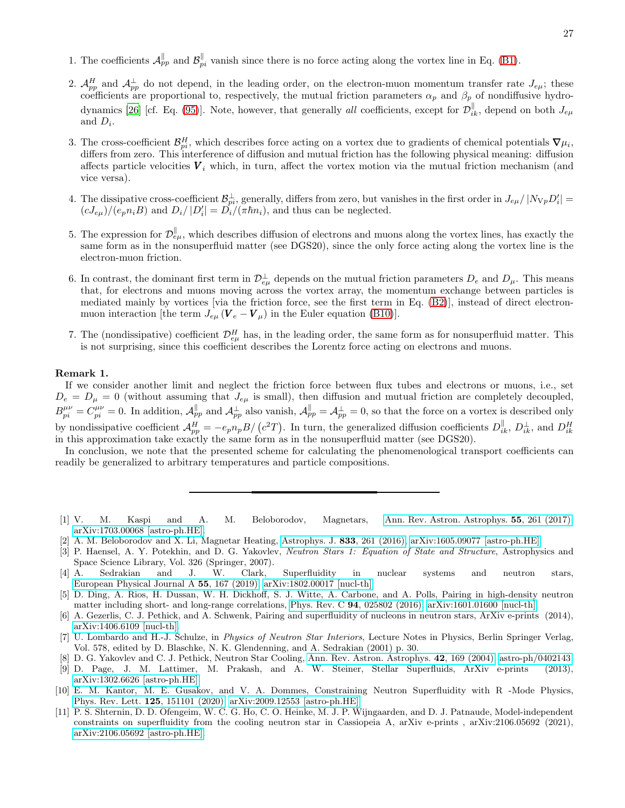- 1. The coefficients  $\mathcal{A}_{pp}^{\parallel}$  and  $\mathcal{B}_{pi}^{\parallel}$  vanish since there is no force acting along the vortex line in Eq. [\(B1\)](#page-24-1).
- 2.  $\mathcal{A}_{pp}^H$  and  $\mathcal{A}_{pp}^{\perp}$  do not depend, in the leading order, on the electron-muon momentum transfer rate  $J_{e\mu}$ ; these coefficients are proportional to, respectively, the mutual friction parameters  $\alpha_p$  and  $\beta_p$  of nondiffusive hydro-dynamics [\[26\]](#page-27-8) [cf. Eq. [\(95\)](#page-12-4)]. Note, however, that generally all coefficients, except for  $\mathcal{D}_{ik}^{\parallel}$ , depend on both  $J_{e\mu}$ and  $D_i$ .
- 3. The cross-coefficient  $\mathcal{B}_{pi}^H$ , which describes force acting on a vortex due to gradients of chemical potentials  $\nabla \mu_i$ , differs from zero. This interference of diffusion and mutual friction has the following physical meaning: diffusion affects particle velocities  $V_i$  which, in turn, affect the vortex motion via the mutual friction mechanism (and vice versa).
- 4. The dissipative cross-coefficient  $\mathcal{B}_{pi}^{\perp}$ , generally, differs from zero, but vanishes in the first order in  $J_{e\mu}/|N_{\rm Vp}D_i'| =$  $(cJ_{e\mu})/(e_p n_i B)$  and  $D_i/|D_i'| = D_i/(\pi \hbar n_i)$ , and thus can be neglected.
- 5. The expression for  $\mathcal{D}^{\parallel}_{e\mu}$ , which describes diffusion of electrons and muons along the vortex lines, has exactly the same form as in the nonsuperfluid matter (see DGS20), since the only force acting along the vortex line is the electron-muon friction.
- 6. In contrast, the dominant first term in  $\mathcal{D}_{e\mu}^{\perp}$  depends on the mutual friction parameters  $D_e$  and  $D_{\mu}$ . This means that, for electrons and muons moving across the vortex array, the momentum exchange between particles is mediated mainly by vortices [via the friction force, see the first term in Eq. [\(B2\)](#page-24-0)], instead of direct electronmuon interaction [the term  $J_{e\mu}$  ( $\boldsymbol{V}_e - \boldsymbol{V}_\mu$ ) in the Euler equation [\(B10\)](#page-25-0)].
- 7. The (nondissipative) coefficient  $\mathcal{D}_{e\mu}^H$  has, in the leading order, the same form as for nonsuperfluid matter. This is not surprising, since this coefficient describes the Lorentz force acting on electrons and muons.

### Remark 1.

If we consider another limit and neglect the friction force between flux tubes and electrons or muons, i.e., set  $D_e = D_\mu = 0$  (without assuming that  $J_{e\mu}$  is small), then diffusion and mutual friction are completely decoupled,  $B_{pi}^{\mu\nu} = C_{pi}^{\mu\nu} = 0$ . In addition,  $\mathcal{A}_{pp}^{\parallel}$  and  $\mathcal{A}_{pp}^{\perp}$  also vanish,  $\mathcal{A}_{pp}^{\parallel} = \mathcal{A}_{pp}^{\perp} = 0$ , so that the force on a vortex is described only by nondissipative coefficient  $\mathcal{A}_{pp}^H = -e_p n_p B / (c^2 T)$ . In turn, the generalized diffusion coefficients  $D_{ik}^{\parallel}$ ,  $D_{ik}^{\perp}$ , and  $D_{ik}^H$  in this approximation take exactly the same form as in the nonsuperfluid matt

In conclusion, we note that the presented scheme for calculating the phenomenological transport coefficients can readily be generalized to arbitrary temperatures and particle compositions.

- <span id="page-26-0"></span>[1] V. M. Kaspi and A. M. Beloborodov, Magnetars, [Ann. Rev. Astron. Astrophys.](https://doi.org/10.1146/annurev-astro-081915-023329) 55, 261 (2017), [arXiv:1703.00068 \[astro-ph.HE\].](https://arxiv.org/abs/1703.00068)
- <span id="page-26-1"></span>[2] A. M. Beloborodov and X. Li, Magnetar Heating, [Astrophys. J.](https://doi.org/10.3847/1538-4357/833/2/261) 833, 261 (2016), [arXiv:1605.09077 \[astro-ph.HE\].](https://arxiv.org/abs/1605.09077)
- <span id="page-26-2"></span>[3] P. Haensel, A. Y. Potekhin, and D. G. Yakovlev, Neutron Stars 1: Equation of State and Structure, Astrophysics and Space Science Library, Vol. 326 (Springer, 2007).
- <span id="page-26-3"></span>[4] A. Sedrakian and J. W. Clark, Superfluidity in nuclear systems and neutron stars, [European Physical Journal A](https://doi.org/10.1140/epja/i2019-12863-6) 55, 167 (2019), [arXiv:1802.00017 \[nucl-th\].](https://arxiv.org/abs/1802.00017)
- [5] D. Ding, A. Rios, H. Dussan, W. H. Dickhoff, S. J. Witte, A. Carbone, and A. Polls, Pairing in high-density neutron matter including short- and long-range correlations, Phys. Rev. C 94[, 025802 \(2016\),](https://doi.org/10.1103/PhysRevC.94.025802) [arXiv:1601.01600 \[nucl-th\].](https://arxiv.org/abs/1601.01600)
- [6] A. Gezerlis, C. J. Pethick, and A. Schwenk, Pairing and superfluidity of nucleons in neutron stars, ArXiv e-prints (2014), [arXiv:1406.6109 \[nucl-th\].](https://arxiv.org/abs/1406.6109)
- <span id="page-26-4"></span>[7] U. Lombardo and H.-J. Schulze, in Physics of Neutron Star Interiors, Lecture Notes in Physics, Berlin Springer Verlag, Vol. 578, edited by D. Blaschke, N. K. Glendenning, and A. Sedrakian (2001) p. 30.
- <span id="page-26-5"></span>[8] D. G. Yakovlev and C. J. Pethick, Neutron Star Cooling, [Ann. Rev. Astron. Astrophys.](https://doi.org/10.1146/annurev.astro.42.053102.134013) 42, 169 (2004), [astro-ph/0402143.](https://arxiv.org/abs/astro-ph/0402143)
- [9] D. Page, J. M. Lattimer, M. Prakash, and A. W. Steiner, Stellar Superfluids, ArXiv e-prints (2013), [arXiv:1302.6626 \[astro-ph.HE\].](https://arxiv.org/abs/1302.6626)
- [10] E. M. Kantor, M. E. Gusakov, and V. A. Dommes, Constraining Neutron Superfluidity with R -Mode Physics, [Phys. Rev. Lett.](https://doi.org/10.1103/PhysRevLett.125.151101) 125, 151101 (2020), [arXiv:2009.12553 \[astro-ph.HE\].](https://arxiv.org/abs/2009.12553)
- [11] P. S. Shternin, D. D. Ofengeim, W. C. G. Ho, C. O. Heinke, M. J. P. Wijngaarden, and D. J. Patnaude, Model-independent constraints on superfluidity from the cooling neutron star in Cassiopeia A, arXiv e-prints , arXiv:2106.05692 (2021), [arXiv:2106.05692 \[astro-ph.HE\].](https://arxiv.org/abs/2106.05692)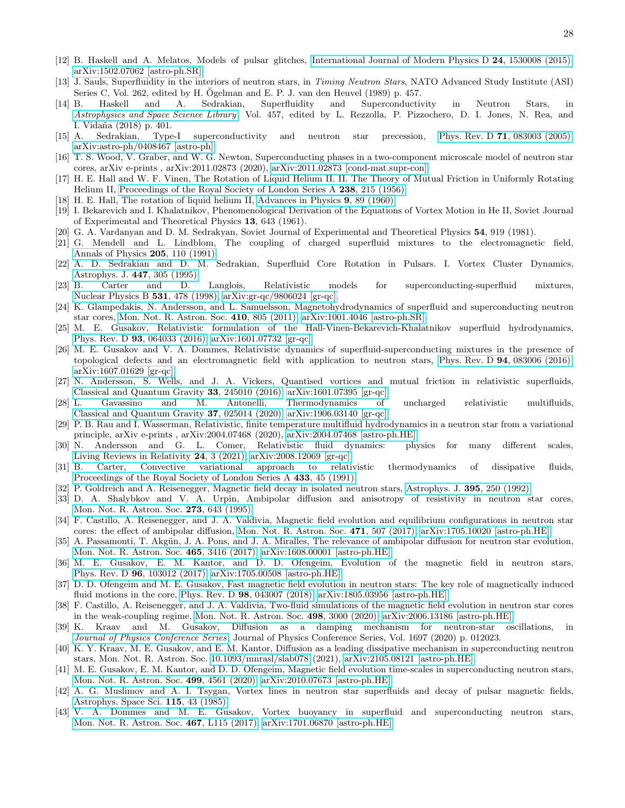- <span id="page-27-0"></span>[12] B. Haskell and A. Melatos, Models of pulsar glitches, [International Journal of Modern Physics D](https://doi.org/10.1142/S0218271815300086) 24, 1530008 (2015), [arXiv:1502.07062 \[astro-ph.SR\].](https://arxiv.org/abs/1502.07062)
- <span id="page-27-1"></span>[13] J. Sauls, Superfluidity in the interiors of neutron stars, in Timing Neutron Stars, NATO Advanced Study Institute (ASI) Series C, Vol. 262, edited by H. Ogelman and E. P. J. van den Heuvel  $(1989)$  p. 457.
- <span id="page-27-2"></span>[14] B. Haskell and A. Sedrakian, Superfluidity and Superconductivity in Neutron Stars, in [Astrophysics and Space Science Library](https://doi.org/10.1007/978-3-319-97616-7_8), Vol. 457, edited by L. Rezzolla, P. Pizzochero, D. I. Jones, N. Rea, and I. Vidaña (2018) p. 401.
- <span id="page-27-9"></span>[15] A. Sedrakian, Type-I superconductivity and neutron star precession, Phys. Rev. D 71[, 083003 \(2005\),](https://doi.org/10.1103/PhysRevD.71.083003) [arXiv:astro-ph/0408467 \[astro-ph\].](https://arxiv.org/abs/astro-ph/0408467)
- <span id="page-27-10"></span>[16] T. S. Wood, V. Graber, and W. G. Newton, Superconducting phases in a two-component microscale model of neutron star cores, arXiv e-prints , arXiv:2011.02873 (2020), [arXiv:2011.02873 \[cond-mat.supr-con\].](https://arxiv.org/abs/2011.02873)
- <span id="page-27-3"></span>[17] H. E. Hall and W. F. Vinen, The Rotation of Liquid Helium II. II. The Theory of Mutual Friction in Uniformly Rotating Helium II, [Proceedings of the Royal Society of London Series](https://doi.org/10.1098/rspa.1956.0215) A 238, 215 (1956).
- <span id="page-27-4"></span>[18] H. E. Hall, The rotation of liquid helium II, [Advances in](https://doi.org/10.1080/00018736000101169) Physics 9, 89 (1960).
- <span id="page-27-5"></span>[19] I. Bekarevich and I. Khalatnikov, Phenomenological Derivation of the Equations of Vortex Motion in He II, Soviet Journal of Experimental and Theoretical Physics 13, 643 (1961).
- <span id="page-27-6"></span>[20] G. A. Vardanyan and D. M. Sedrakyan, Soviet Journal of Experimental and Theoretical Physics 54, 919 (1981).
- [21] G. Mendell and L. Lindblom, The coupling of charged superfluid mixtures to the electromagnetic field, [Annals of Physics](https://doi.org/10.1016/0003-4916(91)90239-5) 205, 110 (1991).
- [22] A. D. Sedrakian and D. M. Sedrakian, Superfluid Core Rotation in Pulsars. I. Vortex Cluster Dynamics, [Astrophys. J.](https://doi.org/10.1086/175876) 447, 305 (1995).
- [23] B. Carter and D. Langlois, Relativistic models for superconducting-superfluid mixtures, [Nuclear Physics B](https://doi.org/10.1016/S0550-3213(98)00430-1) 531, 478 (1998), [arXiv:gr-qc/9806024 \[gr-qc\].](https://arxiv.org/abs/gr-qc/9806024)
- <span id="page-27-21"></span>[24] K. Glampedakis, N. Andersson, and L. Samuelsson, Magnetohydrodynamics of superfluid and superconducting neutron star cores, [Mon. Not. R. Astron. Soc.](https://doi.org/10.1111/j.1365-2966.2010.17484.x) 410, 805 (2011), [arXiv:1001.4046 \[astro-ph.SR\].](https://arxiv.org/abs/1001.4046)
- <span id="page-27-20"></span>[25] M. E. Gusakov, Relativistic formulation of the Hall-Vinen-Bekarevich-Khalatnikov superfluid hydrodynamics, Phys. Rev. D 93[, 064033 \(2016\),](https://doi.org/10.1103/PhysRevD.93.064033) [arXiv:1601.07732 \[gr-qc\].](https://arxiv.org/abs/1601.07732)
- <span id="page-27-8"></span>[26] M. E. Gusakov and V. A. Dommes, Relativistic dynamics of superfluid-superconducting mixtures in the presence of topological defects and an electromagnetic field with application to neutron stars, Phys. Rev. D 94[, 083006 \(2016\),](https://doi.org/10.1103/PhysRevD.94.083006) [arXiv:1607.01629 \[gr-qc\].](https://arxiv.org/abs/1607.01629)
- [27] N. Andersson, S. Wells, and J. A. Vickers, Quantised vortices and mutual friction in relativistic superfluids, [Classical and Quantum Gravity](https://doi.org/10.1088/0264-9381/33/24/245010) 33, 245010 (2016), [arXiv:1601.07395 \[gr-qc\].](https://arxiv.org/abs/1601.07395)
- [28] L. Gavassino and M. Antonelli, Thermodynamics of uncharged relativistic multifluids, [Classical and Quantum Gravity](https://doi.org/10.1088/1361-6382/ab5f23) 37, 025014 (2020), [arXiv:1906.03140 \[gr-qc\].](https://arxiv.org/abs/1906.03140)
- <span id="page-27-11"></span>[29] P. B. Rau and I. Wasserman, Relativistic, finite temperature multifluid hydrodynamics in a neutron star from a variational principle, arXiv e-prints , arXiv:2004.07468 (2020), [arXiv:2004.07468 \[astro-ph.HE\].](https://arxiv.org/abs/2004.07468)
- <span id="page-27-7"></span>[30] N. Andersson and G. L. Comer, Relativistic fluid dynamics: physics for many different scales, [Living Reviews in Relativity](https://doi.org/10.1007/s41114-021-00031-6) 24, 3 (2021), [arXiv:2008.12069 \[gr-qc\].](https://arxiv.org/abs/2008.12069)<br>[31] B. Carter, Convective variational approach to relati
- <span id="page-27-12"></span>Carter, Convective variational approach to relativistic thermodynamics of dissipative fluids, [Proceedings of the Royal Society of London Series A](https://doi.org/10.1098/rspa.1991.0034) 433, 45 (1991).
- <span id="page-27-13"></span>[32] P. Goldreich and A. Reisenegger, Magnetic field decay in isolated neutron stars, [Astrophys. J.](https://doi.org/10.1086/171646) 395, 250 (1992).
- [33] D. A. Shalybkov and V. A. Urpin, Ambipolar diffusion and anisotropy of resistivity in neutron star cores, [Mon. Not. R. Astron. Soc.](https://doi.org/10.1093/mnras/273.3.643) 273, 643 (1995).
- [34] F. Castillo, A. Reisenegger, and J. A. Valdivia, Magnetic field evolution and equilibrium configurations in neutron star cores: the effect of ambipolar diffusion, [Mon. Not. R. Astron.](https://doi.org/10.1093/mnras/stx1604) Soc. 471, 507 (2017), [arXiv:1705.10020 \[astro-ph.HE\].](https://arxiv.org/abs/1705.10020)
- [35] A. Passamonti, T. Akgün, J. A. Pons, and J. A. Miralles, The relevance of ambipolar diffusion for neutron star evolution, [Mon. Not. R. Astron. Soc.](https://doi.org/10.1093/mnras/stw2936) 465, 3416 (2017), [arXiv:1608.00001 \[astro-ph.HE\].](https://arxiv.org/abs/1608.00001)
- [36] M. E. Gusakov, E. M. Kantor, and D. D. Ofengeim, Evolution of the magnetic field in neutron stars, Phys. Rev. D 96[, 103012 \(2017\),](https://doi.org/10.1103/PhysRevD.96.103012) [arXiv:1705.00508 \[astro-ph.HE\].](https://arxiv.org/abs/1705.00508)
- [37] D. D. Ofengeim and M. E. Gusakov, Fast magnetic field evolution in neutron stars: The key role of magnetically induced fluid motions in the core, Phys. Rev. D 98[, 043007 \(2018\),](https://doi.org/10.1103/PhysRevD.98.043007) [arXiv:1805.03956 \[astro-ph.HE\].](https://arxiv.org/abs/1805.03956)
- <span id="page-27-14"></span>[38] F. Castillo, A. Reisenegger, and J. A. Valdivia, Two-fluid simulations of the magnetic field evolution in neutron star cores in the weak-coupling regime, [Mon. Not. R. Astron. Soc.](https://doi.org/10.1093/mnras/staa2543) 498, 3000 (2020), [arXiv:2006.13186 \[astro-ph.HE\].](https://arxiv.org/abs/2006.13186)
- <span id="page-27-15"></span>[39] K. Kraav and M. Gusakov, Diffusion as a damping mechanism for neutron-star oscillations, in [Journal of Physics Conference Series](https://doi.org/10.1088/1742-6596/1697/1/012023), Journal of Physics Conference Series, Vol. 1697 (2020) p. 012023.
- <span id="page-27-16"></span>[40] K. Y. Kraav, M. E. Gusakov, and E. M. Kantor, Diffusion as a leading dissipative mechanism in superconducting neutron stars, Mon. Not. R. Astron. Soc. [10.1093/mnrasl/slab078](https://doi.org/10.1093/mnrasl/slab078) (2021), [arXiv:2105.08121 \[astro-ph.HE\].](https://arxiv.org/abs/2105.08121)
- <span id="page-27-17"></span>[41] M. E. Gusakov, E. M. Kantor, and D. D. Ofengeim, Magnetic field evolution time-scales in superconducting neutron stars, [Mon. Not. R. Astron. Soc.](https://doi.org/10.1093/mnras/staa3160) 499, 4561 (2020), [arXiv:2010.07673 \[astro-ph.HE\].](https://arxiv.org/abs/2010.07673)
- <span id="page-27-18"></span>[42] A. G. Muslimov and A. I. Tsygan, Vortex lines in neutron star superfluids and decay of pulsar magnetic fields, [Astrophys. Space Sci.](https://doi.org/10.1007/BF00653825) 115, 43 (1985).
- <span id="page-27-19"></span>[43] V. A. Dommes and M. E. Gusakov, Vortex buoyancy in superfluid and superconducting neutron stars, [Mon. Not. R. Astron. Soc.](https://doi.org/10.1093/mnrasl/slx011) 467, L115 (2017), [arXiv:1701.06870 \[astro-ph.HE\].](https://arxiv.org/abs/1701.06870)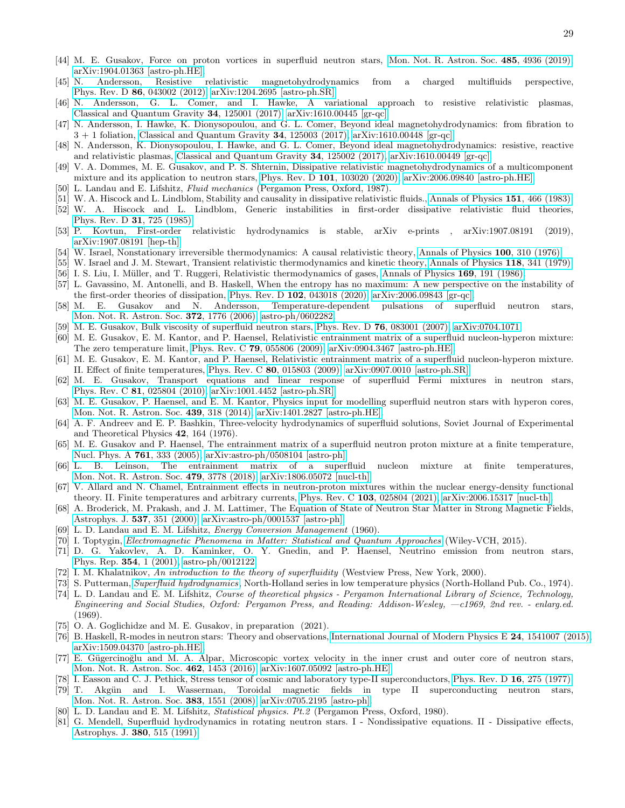- <span id="page-28-0"></span>[44] M. E. Gusakov, Force on proton vortices in superfluid neutron stars, [Mon. Not. R. Astron. Soc.](https://doi.org/10.1093/mnras/stz657) 485, 4936 (2019), [arXiv:1904.01363 \[astro-ph.HE\].](https://arxiv.org/abs/1904.01363)
- <span id="page-28-1"></span>[45] N. Andersson, Resistive relativistic magnetohydrodynamics from a charged multifluids perspective, Phys. Rev. D 86[, 043002 \(2012\),](https://doi.org/10.1103/PhysRevD.86.043002) [arXiv:1204.2695 \[astro-ph.SR\].](https://arxiv.org/abs/1204.2695)
- [46] N. Andersson, G. L. Comer, and I. Hawke, A variational approach to resistive relativistic plasmas, [Classical and Quantum Gravity](https://doi.org/10.1088/1361-6382/aa6b37) 34, 125001 (2017),  $arXiv:1610.00445$  [gr-qc].
- [47] N. Andersson, I. Hawke, K. Dionysopoulou, and G. L. Comer, Beyond ideal magnetohydrodynamics: from fibration to  $3 + 1$  foliation, [Classical and Quantum Gravity](https://doi.org/10.1088/1361-6382/aa6b39)  $34$ , 125003 (2017), [arXiv:1610.00448 \[gr-qc\].](https://arxiv.org/abs/1610.00448)
- <span id="page-28-2"></span>[48] N. Andersson, K. Dionysopoulou, I. Hawke, and G. L. Comer, Beyond ideal magnetohydrodynamics: resistive, reactive and relativistic plasmas, [Classical and Quantum Gravity](https://doi.org/10.1088/1361-6382/aa6b3a) 34, 125002 (2017), [arXiv:1610.00449 \[gr-qc\].](https://arxiv.org/abs/1610.00449)
- <span id="page-28-3"></span>[49] V. A. Dommes, M. E. Gusakov, and P. S. Shternin, Dissipative relativistic magnetohydrodynamics of a multicomponent mixture and its application to neutron stars, Phys. Rev. D 101[, 103020 \(2020\),](https://doi.org/10.1103/PhysRevD.101.103020) [arXiv:2006.09840 \[astro-ph.HE\].](https://arxiv.org/abs/2006.09840)
- <span id="page-28-4"></span>[50] L. Landau and E. Lifshitz, Fluid mechanics (Pergamon Press, Oxford, 1987).
- <span id="page-28-5"></span>[51] W. A. Hiscock and L. Lindblom, Stability and causality in dissipative relativistic fluids., [Annals of Physics](https://doi.org/10.1016/0003-4916(83)90288-9) 151, 466 (1983).
- <span id="page-28-6"></span>[52] W. A. Hiscock and L. Lindblom, Generic instabilities in first-order dissipative relativistic fluid theories, [Phys. Rev. D](https://doi.org/10.1103/PhysRevD.31.725) 31, 725 (1985).
- <span id="page-28-7"></span>[53] P. Kovtun, First-order relativistic hydrodynamics is stable, arXiv e-prints , arXiv:1907.08191 (2019), [arXiv:1907.08191 \[hep-th\].](https://arxiv.org/abs/1907.08191)
- <span id="page-28-8"></span>[54] W. Israel, Nonstationary irreversible thermodynamics: A causal relativistic theory, [Annals of Physics](https://doi.org/10.1016/0003-4916(76)90064-6) 100, 310 (1976).
- [55] W. Israel and J. M. Stewart, Transient relativistic thermodynamics and kinetic theory, [Annals of Physics](https://doi.org/10.1016/0003-4916(79)90130-1) 118, 341 (1979). [56] I. S. Liu, I. Müller, and T. Ruggeri, Relativistic thermodynamics of gases, [Annals of Physics](https://doi.org/10.1016/0003-4916(86)90164-8) 169, 191 (1986).
- <span id="page-28-10"></span><span id="page-28-9"></span>[57] L. Gavassino, M. Antonelli, and B. Haskell, When the entropy has no maximum: A new perspective on the instability of
- <span id="page-28-11"></span>the first-order theories of dissipation, Phys. Rev. D 102[, 043018 \(2020\),](https://doi.org/10.1103/PhysRevD.102.043018) [arXiv:2006.09843 \[gr-qc\].](https://arxiv.org/abs/2006.09843) [58] M. E. Gusakov and N. Andersson, Temperature-dependent pulsations of superfluid neutron stars,
- [Mon. Not. R. Astron. Soc.](https://doi.org/10.1111/j.1365-2966.2006.10982.x) 372, 1776 (2006), [astro-ph/0602282.](https://arxiv.org/abs/astro-ph/0602282)
- <span id="page-28-12"></span>[59] M. E. Gusakov, Bulk viscosity of superfluid neutron stars, Phys. Rev. D 76[, 083001 \(2007\),](https://doi.org/10.1103/PhysRevD.76.083001) [arXiv:0704.1071.](https://arxiv.org/abs/0704.1071)
- <span id="page-28-13"></span>[60] M. E. Gusakov, E. M. Kantor, and P. Haensel, Relativistic entrainment matrix of a superfluid nucleon-hyperon mixture: The zero temperature limit, Phys. Rev. C 79[, 055806 \(2009\),](https://doi.org/10.1103/PhysRevC.79.055806) [arXiv:0904.3467 \[astro-ph.HE\].](https://arxiv.org/abs/0904.3467)
- [61] M. E. Gusakov, E. M. Kantor, and P. Haensel, Relativistic entrainment matrix of a superfluid nucleon-hyperon mixture. II. Effect of finite temperatures, Phys. Rev. C 80[, 015803 \(2009\),](https://doi.org/10.1103/PhysRevC.80.015803) [arXiv:0907.0010 \[astro-ph.SR\].](https://arxiv.org/abs/0907.0010)
- [62] M. E. Gusakov, Transport equations and linear response of superfluid Fermi mixtures in neutron stars, Phys. Rev. C 81[, 025804 \(2010\),](https://doi.org/10.1103/PhysRevC.81.025804) [arXiv:1001.4452 \[astro-ph.SR\].](https://arxiv.org/abs/1001.4452)
- <span id="page-28-14"></span>[63] M. E. Gusakov, P. Haensel, and E. M. Kantor, Physics input for modelling superfluid neutron stars with hyperon cores, [Mon. Not. R. Astron. Soc.](https://doi.org/10.1093/mnras/stt2438) 439, 318 (2014), [arXiv:1401.2827 \[astro-ph.HE\].](https://arxiv.org/abs/1401.2827)
- <span id="page-28-15"></span>[64] A. F. Andreev and E. P. Bashkin, Three-velocity hydrodynamics of superfluid solutions, Soviet Journal of Experimental and Theoretical Physics 42, 164 (1976).
- [65] M. E. Gusakov and P. Haensel, The entrainment matrix of a superfluid neutron proton mixture at a finite temperature, [Nucl. Phys. A](https://doi.org/10.1016/j.nuclphysa.2005.07.005) 761, 333 (2005), [arXiv:astro-ph/0508104 \[astro-ph\].](https://arxiv.org/abs/astro-ph/0508104)
- [66] L. B. Leinson, The entrainment matrix of a superfluid nucleon mixture at finite temperatures, [Mon. Not. R. Astron. Soc.](https://doi.org/10.1093/mnras/sty1592) 479, 3778 (2018), [arXiv:1806.05072 \[nucl-th\].](https://arxiv.org/abs/1806.05072)
- <span id="page-28-16"></span>[67] V. Allard and N. Chamel, Entrainment effects in neutron-proton mixtures within the nuclear energy-density functional theory. II. Finite temperatures and arbitrary currents, Phys. Rev. C 103[, 025804 \(2021\),](https://doi.org/10.1103/PhysRevC.103.025804) [arXiv:2006.15317 \[nucl-th\].](https://arxiv.org/abs/2006.15317)
- <span id="page-28-17"></span>[68] A. Broderick, M. Prakash, and J. M. Lattimer, The Equation of State of Neutron Star Matter in Strong Magnetic Fields, [Astrophys. J.](https://doi.org/10.1086/309010) 537, 351 (2000), [arXiv:astro-ph/0001537 \[astro-ph\].](https://arxiv.org/abs/astro-ph/0001537)
- <span id="page-28-18"></span>[69] L. D. Landau and E. M. Lifshitz, Energy Conversion Management (1960).
- <span id="page-28-19"></span>[70] I. Toptygin, [Electromagnetic Phenomena in Matter: Statistical and Quantum Approaches](https://books.google.ru/books?id=2rZNCAAAQBAJ) (Wiley-VCH, 2015).
- <span id="page-28-22"></span>[71] D. G. Yakovlev, A. D. Kaminker, O. Y. Gnedin, and P. Haensel, Neutrino emission from neutron stars, [Phys. Rep.](https://doi.org/10.1016/S0370-1573(00)00131-9) 354, 1 (2001), [astro-ph/0012122.](https://arxiv.org/abs/astro-ph/0012122)
- <span id="page-28-20"></span>[72] I. M. Khalatnikov, An introduction to the theory of superfluidity (Westview Press, New York, 2000).
- <span id="page-28-21"></span>[73] S. Putterman, [Superfluid hydrodynamics](https://books.google.ru/books?id=5bTvAAAAMAAJ), North-Holland series in low temperature physics (North-Holland Pub. Co., 1974).
- <span id="page-28-23"></span>[74] L. D. Landau and E. M. Lifshitz, Course of theoretical physics - Pergamon International Library of Science, Technology, Engineering and Social Studies, Oxford: Pergamon Press, and Reading: Addison-Wesley, —c1969, 2nd rev. - enlarg.ed. (1969).
- <span id="page-28-24"></span>[75] O. A. Goglichidze and M. E. Gusakov, in preparation (2021).
- <span id="page-28-25"></span>[76] B. Haskell, R-modes in neutron stars: Theory and observations, [International Journal of Modern Physics E](https://doi.org/10.1142/S0218301315410074) 24, 1541007 (2015), [arXiv:1509.04370 \[astro-ph.HE\].](https://arxiv.org/abs/1509.04370)
- <span id="page-28-26"></span>[77] E. Gügercinoğlu and M. A. Alpar, Microscopic vortex velocity in the inner crust and outer core of neutron stars, [Mon. Not. R. Astron. Soc.](https://doi.org/10.1093/mnras/stw1758) 462, 1453 (2016), [arXiv:1607.05092 \[astro-ph.HE\].](https://arxiv.org/abs/1607.05092)
- <span id="page-28-28"></span>[78] I. Easson and C. J. Pethick, Stress tensor of cosmic and laboratory type-II superconductors, [Phys. Rev. D](https://doi.org/10.1103/PhysRevD.16.275) 16, 275 (1977).
- <span id="page-28-29"></span>[79] T. Akgün and I. Wasserman, Toroidal magnetic fields in type II superconducting neutron stars, [Mon. Not. R. Astron. Soc.](https://doi.org/10.1111/j.1365-2966.2007.12660.x) 383, 1551 (2008), [arXiv:0705.2195 \[astro-ph\].](https://arxiv.org/abs/0705.2195)
- <span id="page-28-27"></span>[80] L. D. Landau and E. M. Lifshitz, Statistical physics. Pt.2 (Pergamon Press, Oxford, 1980).
- <span id="page-28-30"></span>[81] G. Mendell, Superfluid hydrodynamics in rotating neutron stars. I - Nondissipative equations. II - Dissipative effects, [Astrophys. J.](https://doi.org/10.1086/170609) 380, 515 (1991).